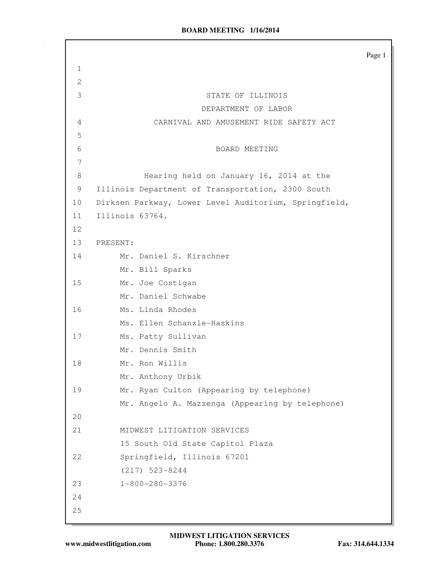|                |                                                       | Page 1 |
|----------------|-------------------------------------------------------|--------|
| $\mathbf{1}$   |                                                       |        |
| $\overline{2}$ |                                                       |        |
| 3              | STATE OF ILLINOIS                                     |        |
|                | DEPARTMENT OF LABOR                                   |        |
| 4              | CARNIVAL AND AMUSEMENT RIDE SAFETY ACT                |        |
| 5              |                                                       |        |
| 6              | BOARD MEETING                                         |        |
| 7              |                                                       |        |
| 8              | Hearing held on January 16, 2014 at the               |        |
| 9              | Illinois Department of Transportation, 2300 South     |        |
| 10             | Dirksen Parkway, Lower Level Auditorium, Springfield, |        |
| 11             | Illinois 63764.                                       |        |
| 12             |                                                       |        |
| 13             | PRESENT:                                              |        |
| 14             | Mr. Daniel S. Kirschner                               |        |
|                | Mr. Bill Sparks                                       |        |
| 15             | Mr. Joe Costigan                                      |        |
|                | Mr. Daniel Schwabe                                    |        |
| 16             | Ms. Linda Rhodes                                      |        |
|                | Ms. Ellen Schanzle-Haskins                            |        |
| 17             | Ms. Patty Sullivan                                    |        |
|                | Mr. Dennis Smith                                      |        |
| 18             | Mr. Ron Willis                                        |        |
|                | Mr. Anthony Urbik                                     |        |
| 19             | Mr. Ryan Culton (Appearing by telephone)              |        |
|                | Mr. Angelo A. Mazzenga (Appearing by telephone)       |        |
| 20             |                                                       |        |
| 21             | MIDWEST LITIGATION SERVICES                           |        |
|                | 15 South Old State Capitol Plaza                      |        |
| 22             | Springfield, Illinois 67201                           |        |
|                | $(217)$ 523-8244                                      |        |
| 23             | $1 - 800 - 280 - 3376$                                |        |
| 24             |                                                       |        |
| 25             |                                                       |        |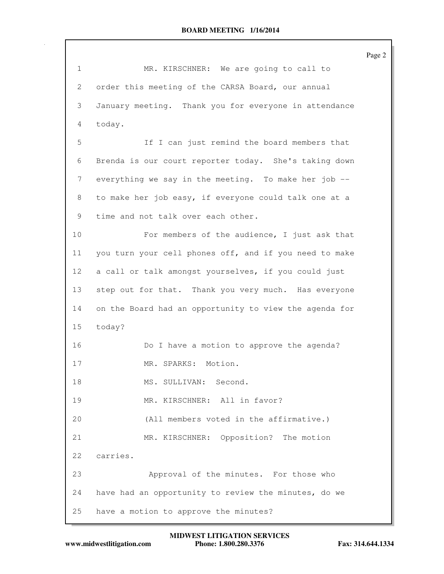|                 |                                                        | Page 2 |
|-----------------|--------------------------------------------------------|--------|
| $\mathbf{1}$    | MR. KIRSCHNER: We are going to call to                 |        |
| 2               | order this meeting of the CARSA Board, our annual      |        |
| 3               | January meeting. Thank you for everyone in attendance  |        |
| 4               | today.                                                 |        |
| 5               | If I can just remind the board members that            |        |
| 6               | Brenda is our court reporter today. She's taking down  |        |
| 7               | everything we say in the meeting. To make her job --   |        |
| 8               | to make her job easy, if everyone could talk one at a  |        |
| 9               | time and not talk over each other.                     |        |
| 10              | For members of the audience, I just ask that           |        |
| 11              | you turn your cell phones off, and if you need to make |        |
| 12 <sup>°</sup> | a call or talk amongst yourselves, if you could just   |        |
| 13              | step out for that. Thank you very much. Has everyone   |        |
| 14              | on the Board had an opportunity to view the agenda for |        |
| 15              | today?                                                 |        |
| 16              | Do I have a motion to approve the agenda?              |        |
| 17              | Motion.<br>MR. SPARKS:                                 |        |
| 18              | MS. SULLIVAN: Second.                                  |        |
| 19              | MR. KIRSCHNER: All in favor?                           |        |
| 20              | (All members voted in the affirmative.)                |        |
| 21              | MR. KIRSCHNER: Opposition? The motion                  |        |
| 22              | carries.                                               |        |
| 23              | Approval of the minutes. For those who                 |        |
| 24              | have had an opportunity to review the minutes, do we   |        |
| 25              | have a motion to approve the minutes?                  |        |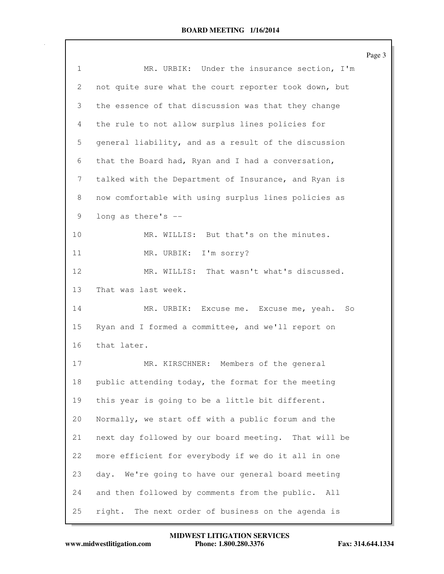|                 |                                                       | Page 3 |
|-----------------|-------------------------------------------------------|--------|
| $\mathbf{1}$    | MR. URBIK: Under the insurance section, I'm           |        |
| 2               | not quite sure what the court reporter took down, but |        |
| 3               | the essence of that discussion was that they change   |        |
| 4               | the rule to not allow surplus lines policies for      |        |
| 5               | general liability, and as a result of the discussion  |        |
| 6               | that the Board had, Ryan and I had a conversation,    |        |
| 7               | talked with the Department of Insurance, and Ryan is  |        |
| 8               | now comfortable with using surplus lines policies as  |        |
| 9               | long as there's --                                    |        |
| 10              | MR. WILLIS: But that's on the minutes.                |        |
| 11              | MR. URBIK: I'm sorry?                                 |        |
| 12 <sub>2</sub> | MR. WILLIS: That wasn't what's discussed.             |        |
| 13              | That was last week.                                   |        |
| 14              | MR. URBIK: Excuse me. Excuse me, yeah. So             |        |
| 15              | Ryan and I formed a committee, and we'll report on    |        |
| 16              | that later.                                           |        |
| 17              | MR. KIRSCHNER: Members of the general                 |        |
| 18              | public attending today, the format for the meeting    |        |
| 19              | this year is going to be a little bit different.      |        |
| 20              | Normally, we start off with a public forum and the    |        |
| 21              | next day followed by our board meeting. That will be  |        |
| 22              | more efficient for everybody if we do it all in one   |        |
| 23              | day. We're going to have our general board meeting    |        |
| 24              | and then followed by comments from the public. All    |        |
| 25              | The next order of business on the agenda is<br>right. |        |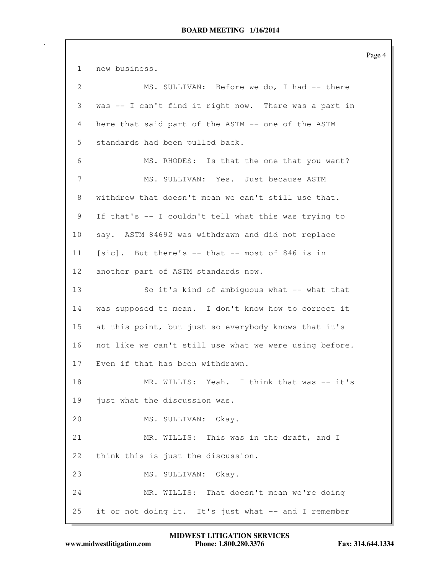Page 4 1 new business. 2 MS. SULLIVAN: Before we do, I had -- there 3 was -- I can't find it right now. There was a part in 4 here that said part of the ASTM -- one of the ASTM 5 standards had been pulled back. 6 MS. RHODES: Is that the one that you want? 7 MS. SULLIVAN: Yes. Just because ASTM 8 withdrew that doesn't mean we can't still use that. 9 If that's -- I couldn't tell what this was trying to 10 say. ASTM 84692 was withdrawn and did not replace 11 [sic]. But there's -- that -- most of 846 is in 12 another part of ASTM standards now. 13 So it's kind of ambiguous what -- what that 14 was supposed to mean. I don't know how to correct it 15 at this point, but just so everybody knows that it's 16 not like we can't still use what we were using before. 17 Even if that has been withdrawn. 18 MR. WILLIS: Yeah. I think that was -- it's 19 just what the discussion was. 20 MS. SULLIVAN: Okay. 21 MR. WILLIS: This was in the draft, and I 22 think this is just the discussion. 23 MS. SULLIVAN: Okay. 24 MR. WILLIS: That doesn't mean we're doing 25 it or not doing it. It's just what -- and I remember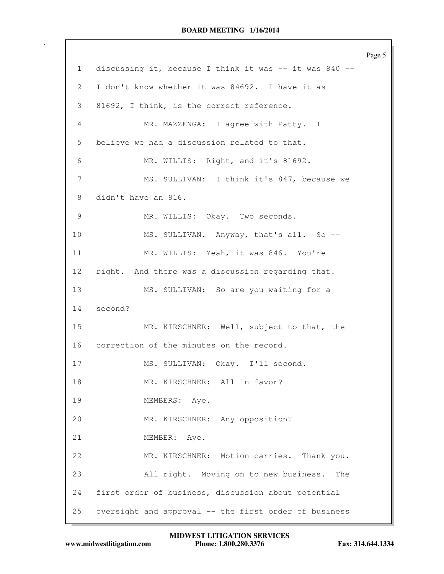Page 5 1 discussing it, because I think it was -- it was 840 -- 2 I don't know whether it was 84692. I have it as 3 81692, I think, is the correct reference. 4 MR. MAZZENGA: I agree with Patty. I 5 believe we had a discussion related to that. 6 MR. WILLIS: Right, and it's 81692. 7 MS. SULLIVAN: I think it's 847, because we 8 didn't have an 816. 9 MR. WILLIS: Okay. Two seconds. 10 MS. SULLIVAN. Anyway, that's all. So --11 MR. WILLIS: Yeah, it was 846. You're 12 right. And there was a discussion regarding that. 13 MS. SULLIVAN: So are you waiting for a 14 second? 15 MR. KIRSCHNER: Well, subject to that, the 16 correction of the minutes on the record. 17 MS. SULLIVAN: Okay. I'll second. 18 MR. KIRSCHNER: All in favor? 19 MEMBERS: Aye. 20 MR. KIRSCHNER: Any opposition? 21 MEMBER: Aye. 22 MR. KIRSCHNER: Motion carries. Thank you. 23 All right. Moving on to new business. The 24 first order of business, discussion about potential 25 oversight and approval -- the first order of business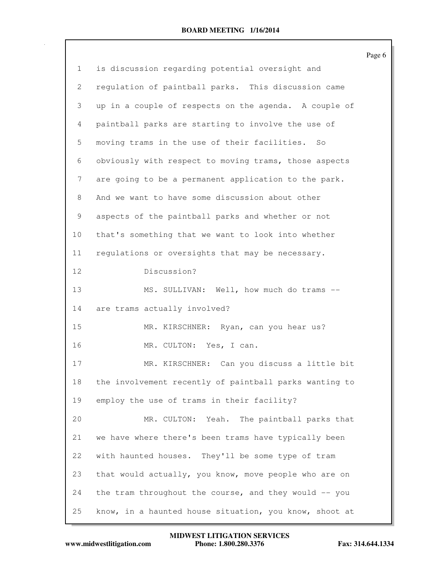|                 |                                                        | Page 6 |
|-----------------|--------------------------------------------------------|--------|
| $\mathbf{1}$    | is discussion regarding potential oversight and        |        |
| 2               | regulation of paintball parks. This discussion came    |        |
| 3               | up in a couple of respects on the agenda. A couple of  |        |
| 4               | paintball parks are starting to involve the use of     |        |
| 5               | moving trams in the use of their facilities. So        |        |
| 6               | obviously with respect to moving trams, those aspects  |        |
| 7               | are going to be a permanent application to the park.   |        |
| 8               | And we want to have some discussion about other        |        |
| 9               | aspects of the paintball parks and whether or not      |        |
| 10              | that's something that we want to look into whether     |        |
| 11              | requlations or oversights that may be necessary.       |        |
| 12 <sup>°</sup> | Discussion?                                            |        |
| 13              | MS. SULLIVAN: Well, how much do trams --               |        |
| 14              | are trams actually involved?                           |        |
| 15              | MR. KIRSCHNER: Ryan, can you hear us?                  |        |
| 16              | MR. CULTON: Yes, I can.                                |        |
| 17              | MR. KIRSCHNER: Can you discuss a little bit            |        |
| 18              | the involvement recently of paintball parks wanting to |        |
| 19              | employ the use of trams in their facility?             |        |
| 20              | MR. CULTON: Yeah. The paintball parks that             |        |
| 21              | we have where there's been trams have typically been   |        |
| 22              | with haunted houses. They'll be some type of tram      |        |
| 23              | that would actually, you know, move people who are on  |        |
| 24              | the tram throughout the course, and they would -- you  |        |
| 25              | know, in a haunted house situation, you know, shoot at |        |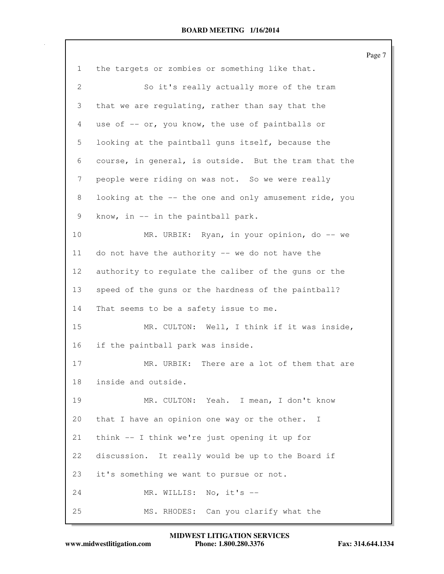Page 7 1 the targets or zombies or something like that. 2 So it's really actually more of the tram 3 that we are regulating, rather than say that the 4 use of -- or, you know, the use of paintballs or 5 looking at the paintball guns itself, because the 6 course, in general, is outside. But the tram that the 7 people were riding on was not. So we were really 8 looking at the -- the one and only amusement ride, you 9 know, in -- in the paintball park. 10 MR. URBIK: Ryan, in your opinion, do -- we 11 do not have the authority -- we do not have the 12 authority to regulate the caliber of the guns or the 13 speed of the guns or the hardness of the paintball? 14 That seems to be a safety issue to me. 15 MR. CULTON: Well, I think if it was inside, 16 if the paintball park was inside. 17 MR. URBIK: There are a lot of them that are 18 inside and outside. 19 MR. CULTON: Yeah. I mean, I don't know 20 that I have an opinion one way or the other. I 21 think -- I think we're just opening it up for 22 discussion. It really would be up to the Board if 23 it's something we want to pursue or not. 24 MR. WILLIS: No, it's --25 MS. RHODES: Can you clarify what the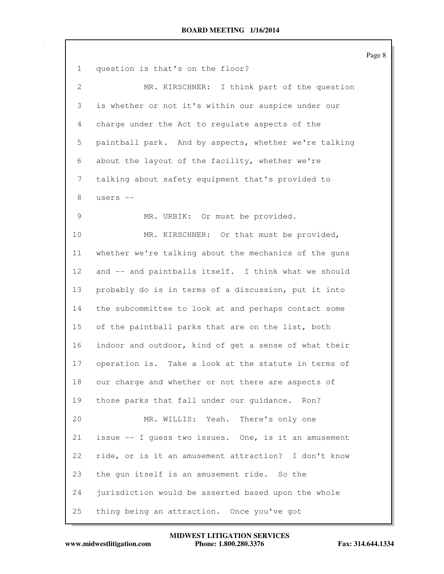Page 8 1 question is that's on the floor? 2 MR. KIRSCHNER: I think part of the question 3 is whether or not it's within our auspice under our 4 charge under the Act to regulate aspects of the 5 paintball park. And by aspects, whether we're talking 6 about the layout of the facility, whether we're 7 talking about safety equipment that's provided to 8 users -- 9 MR. URBIK: Or must be provided. 10 MR. KIRSCHNER: Or that must be provided, 11 whether we're talking about the mechanics of the guns 12 and -- and paintballs itself. I think what we should 13 probably do is in terms of a discussion, put it into 14 the subcommittee to look at and perhaps contact some 15 of the paintball parks that are on the list, both 16 indoor and outdoor, kind of get a sense of what their 17 operation is. Take a look at the statute in terms of 18 our charge and whether or not there are aspects of 19 those parks that fall under our guidance. Ron? 20 MR. WILLIS: Yeah. There's only one 21 issue -- I guess two issues. One, is it an amusement 22 ride, or is it an amusement attraction? I don't know 23 the gun itself is an amusement ride. So the 24 jurisdiction would be asserted based upon the whole 25 thing being an attraction. Once you've got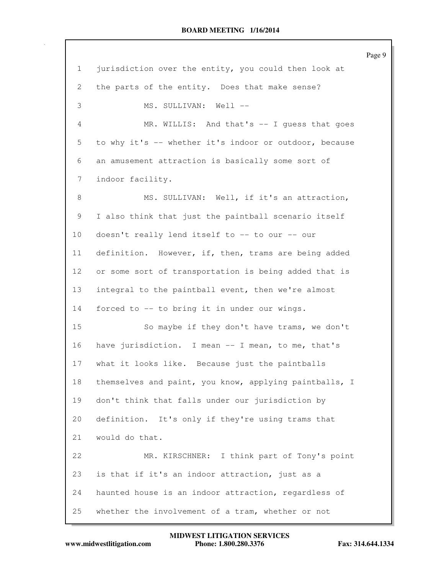|                 |                                                        | Page 9 |
|-----------------|--------------------------------------------------------|--------|
| $\mathbf{1}$    | jurisdiction over the entity, you could then look at   |        |
| 2               | the parts of the entity. Does that make sense?         |        |
| 3               | MS. SULLIVAN: Well --                                  |        |
| 4               | MR. WILLIS: And that's -- I guess that goes            |        |
| 5               | to why it's -- whether it's indoor or outdoor, because |        |
| 6               | an amusement attraction is basically some sort of      |        |
| 7               | indoor facility.                                       |        |
| 8               | MS. SULLIVAN: Well, if it's an attraction,             |        |
| 9               | I also think that just the paintball scenario itself   |        |
| 10 <sub>o</sub> | doesn't really lend itself to -- to our -- our         |        |
| 11              | definition. However, if, then, trams are being added   |        |
| 12 <sup>°</sup> | or some sort of transportation is being added that is  |        |
| 13              | integral to the paintball event, then we're almost     |        |
| 14              | forced to -- to bring it in under our wings.           |        |
| 15              | So maybe if they don't have trams, we don't            |        |
| 16              | have jurisdiction. I mean -- I mean, to me, that's     |        |
| 17              | what it looks like. Because just the paintballs        |        |
| 18              | themselves and paint, you know, applying paintballs, I |        |
| 19              | don't think that falls under our jurisdiction by       |        |
| 20              | definition. It's only if they're using trams that      |        |
| 21              | would do that.                                         |        |
| 22              | MR. KIRSCHNER: I think part of Tony's point            |        |
| 23              | is that if it's an indoor attraction, just as a        |        |
| 24              | haunted house is an indoor attraction, regardless of   |        |
| 25              | whether the involvement of a tram, whether or not      |        |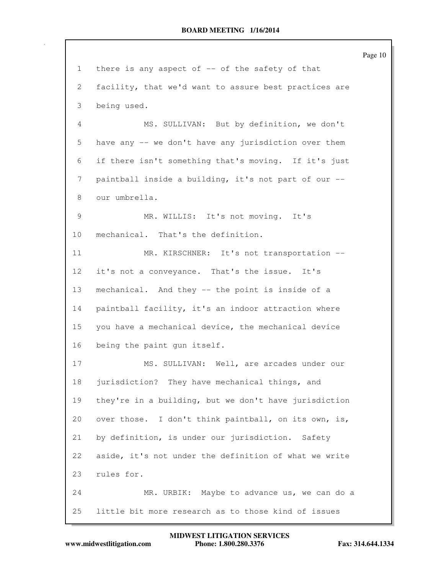Page 10 1 there is any aspect of -- of the safety of that 2 facility, that we'd want to assure best practices are 3 being used. 4 MS. SULLIVAN: But by definition, we don't 5 have any -- we don't have any jurisdiction over them 6 if there isn't something that's moving. If it's just 7 paintball inside a building, it's not part of our -- 8 our umbrella. 9 MR. WILLIS: It's not moving. It's 10 mechanical. That's the definition. 11 MR. KIRSCHNER: It's not transportation --12 it's not a conveyance. That's the issue. It's 13 mechanical. And they -- the point is inside of a 14 paintball facility, it's an indoor attraction where 15 you have a mechanical device, the mechanical device 16 being the paint gun itself. 17 MS. SULLIVAN: Well, are arcades under our 18 jurisdiction? They have mechanical things, and 19 they're in a building, but we don't have jurisdiction 20 over those. I don't think paintball, on its own, is, 21 by definition, is under our jurisdiction. Safety 22 aside, it's not under the definition of what we write 23 rules for. 24 MR. URBIK: Maybe to advance us, we can do a 25 little bit more research as to those kind of issues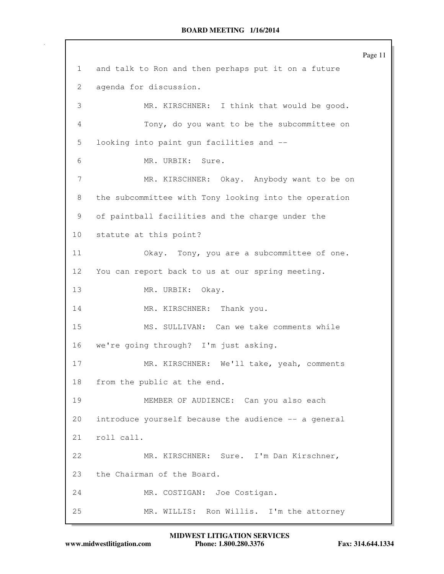Page 11 1 and talk to Ron and then perhaps put it on a future 2 agenda for discussion. 3 MR. KIRSCHNER: I think that would be good. 4 Tony, do you want to be the subcommittee on 5 looking into paint gun facilities and -- 6 MR. URBIK: Sure. 7 MR. KIRSCHNER: Okay. Anybody want to be on 8 the subcommittee with Tony looking into the operation 9 of paintball facilities and the charge under the 10 statute at this point? 11 Okay. Tony, you are a subcommittee of one. 12 You can report back to us at our spring meeting. 13 MR. URBIK: Okay. 14 MR. KIRSCHNER: Thank you. 15 MS. SULLIVAN: Can we take comments while 16 we're going through? I'm just asking. 17 MR. KIRSCHNER: We'll take, yeah, comments 18 from the public at the end. 19 MEMBER OF AUDIENCE: Can you also each 20 introduce yourself because the audience -- a general 21 roll call. 22 MR. KIRSCHNER: Sure. I'm Dan Kirschner, 23 the Chairman of the Board. 24 MR. COSTIGAN: Joe Costigan. 25 MR. WILLIS: Ron Willis. I'm the attorney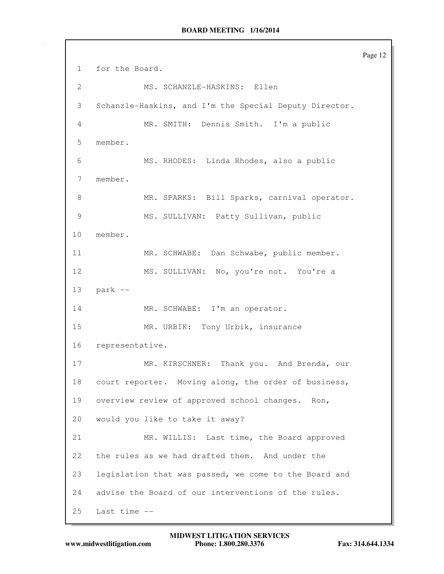Page 12 1 for the Board. 2 MS. SCHANZLE-HASKINS: Ellen 3 Schanzle-Haskins, and I'm the Special Deputy Director. 4 MR. SMITH: Dennis Smith. I'm a public 5 member. 6 MS. RHODES: Linda Rhodes, also a public 7 member. 8 MR. SPARKS: Bill Sparks, carnival operator. 9 MS. SULLIVAN: Patty Sullivan, public 10 member. 11 MR. SCHWABE: Dan Schwabe, public member. 12 MS. SULLIVAN: No, you're not. You're a 13 park -- 14 MR. SCHWABE: I'm an operator. 15 MR. URBIK: Tony Urbik, insurance 16 representative. 17 MR. KIRSCHNER: Thank you. And Brenda, our 18 court reporter. Moving along, the order of business, 19 overview review of approved school changes. Ron, 20 would you like to take it away? 21 MR. WILLIS: Last time, the Board approved 22 the rules as we had drafted them. And under the 23 legislation that was passed, we come to the Board and 24 advise the Board of our interventions of the rules. 25 Last time --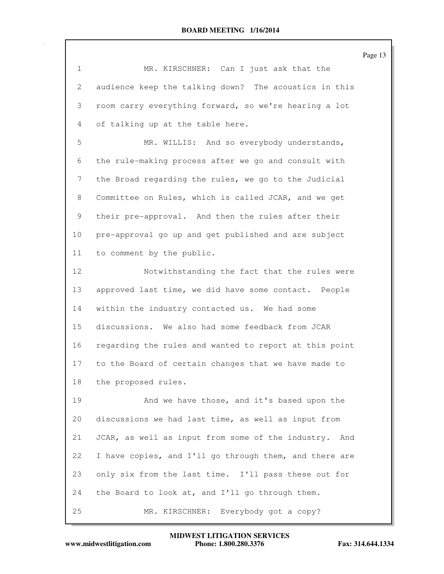1 MR. KIRSCHNER: Can I just ask that the 2 audience keep the talking down? The acoustics in this 3 room carry everything forward, so we're hearing a lot 4 of talking up at the table here. 5 MR. WILLIS: And so everybody understands, 6 the rule-making process after we go and consult with 7 the Broad regarding the rules, we go to the Judicial 8 Committee on Rules, which is called JCAR, and we get 9 their pre-approval. And then the rules after their 10 pre-approval go up and get published and are subject 11 to comment by the public. 12 Notwithstanding the fact that the rules were 13 approved last time, we did have some contact. People 14 within the industry contacted us. We had some 15 discussions. We also had some feedback from JCAR 16 regarding the rules and wanted to report at this point 17 to the Board of certain changes that we have made to 18 the proposed rules. 19 And we have those, and it's based upon the 20 discussions we had last time, as well as input from 21 JCAR, as well as input from some of the industry. And 22 I have copies, and I'll go through them, and there are 23 only six from the last time. I'll pass these out for 24 the Board to look at, and I'll go through them. 25 MR. KIRSCHNER: Everybody got a copy?

Page 13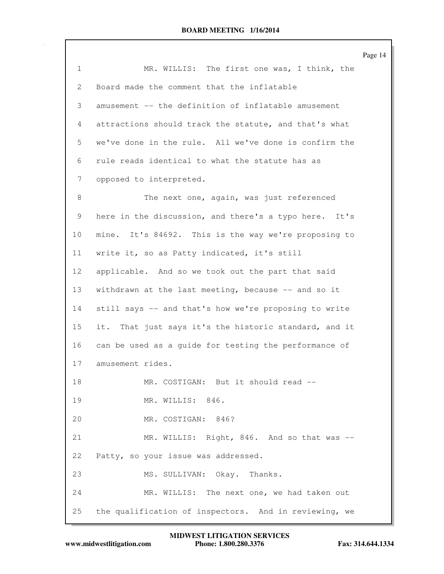|                 |                                                       | Page 14 |
|-----------------|-------------------------------------------------------|---------|
| $\mathbf{1}$    | MR. WILLIS: The first one was, I think, the           |         |
| 2               | Board made the comment that the inflatable            |         |
| 3               | amusement -- the definition of inflatable amusement   |         |
| 4               | attractions should track the statute, and that's what |         |
| 5               | we've done in the rule. All we've done is confirm the |         |
| 6               | rule reads identical to what the statute has as       |         |
| 7               | opposed to interpreted.                               |         |
| 8               | The next one, again, was just referenced              |         |
| 9               | here in the discussion, and there's a typo here. It's |         |
| 10              | mine. It's 84692. This is the way we're proposing to  |         |
| 11              | write it, so as Patty indicated, it's still           |         |
| 12 <sup>°</sup> | applicable. And so we took out the part that said     |         |
| 13              | withdrawn at the last meeting, because -- and so it   |         |
| 14              | still says -- and that's how we're proposing to write |         |
| 15              | it. That just says it's the historic standard, and it |         |
| 16              | can be used as a guide for testing the performance of |         |
| 17              | amusement rides.                                      |         |
| 18              | MR. COSTIGAN: But it should read --                   |         |
| 19              | MR. WILLIS: 846.                                      |         |
| 20              | MR. COSTIGAN: 846?                                    |         |
| 21              | MR. WILLIS: Right, 846. And so that was --            |         |
| 22              | Patty, so your issue was addressed.                   |         |
| 23              | MS. SULLIVAN: Okay. Thanks.                           |         |
| 24              | MR. WILLIS: The next one, we had taken out            |         |
| 25              | the qualification of inspectors. And in reviewing, we |         |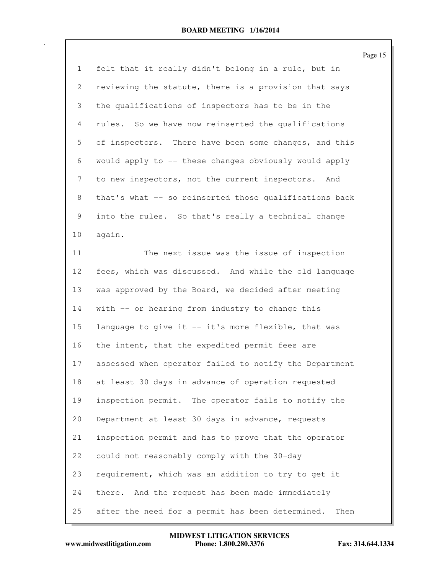|              |                                                          | Page 15 |
|--------------|----------------------------------------------------------|---------|
| $\mathbf{1}$ | felt that it really didn't belong in a rule, but in      |         |
| 2            | reviewing the statute, there is a provision that says    |         |
| 3            | the qualifications of inspectors has to be in the        |         |
| 4            | rules. So we have now reinserted the qualifications      |         |
| 5            | of inspectors. There have been some changes, and this    |         |
| 6            | would apply to -- these changes obviously would apply    |         |
| 7            | to new inspectors, not the current inspectors. And       |         |
| 8            | that's what -- so reinserted those qualifications back   |         |
| 9            | into the rules. So that's really a technical change      |         |
| 10           | again.                                                   |         |
| 11           | The next issue was the issue of inspection               |         |
| 12           | fees, which was discussed. And while the old language    |         |
| 13           | was approved by the Board, we decided after meeting      |         |
| 14           | with -- or hearing from industry to change this          |         |
| 15           | language to give it -- it's more flexible, that was      |         |
| 16           | the intent, that the expedited permit fees are           |         |
| 17           | assessed when operator failed to notify the Department   |         |
| 18           | at least 30 days in advance of operation requested       |         |
| 19           | inspection permit. The operator fails to notify the      |         |
| 20           | Department at least 30 days in advance, requests         |         |
| 21           | inspection permit and has to prove that the operator     |         |
| 22           | could not reasonably comply with the 30-day              |         |
| 23           | requirement, which was an addition to try to get it      |         |
| 24           | And the request has been made immediately<br>there.      |         |
| 25           | after the need for a permit has been determined.<br>Then |         |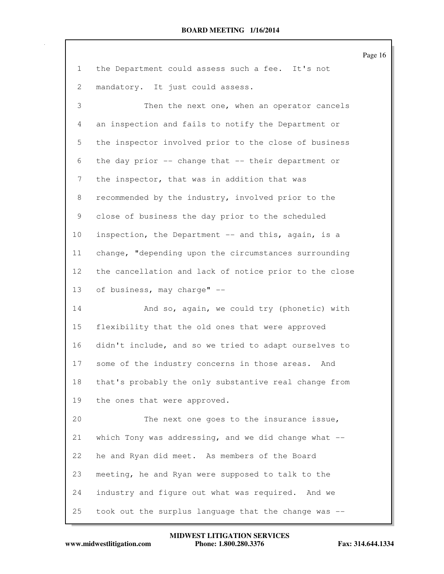|                 |                                                         | Page 16 |
|-----------------|---------------------------------------------------------|---------|
| $\mathbf{1}$    | the Department could assess such a fee. It's not        |         |
| 2               | mandatory. It just could assess.                        |         |
| 3               | Then the next one, when an operator cancels             |         |
| 4               | an inspection and fails to notify the Department or     |         |
| 5               | the inspector involved prior to the close of business   |         |
| 6               | the day prior -- change that -- their department or     |         |
| 7               | the inspector, that was in addition that was            |         |
| 8               | recommended by the industry, involved prior to the      |         |
| 9               | close of business the day prior to the scheduled        |         |
| 10              | inspection, the Department -- and this, again, is a     |         |
| 11              | change, "depending upon the circumstances surrounding   |         |
| 12 <sup>°</sup> | the cancellation and lack of notice prior to the close  |         |
| 13              | of business, may charge" --                             |         |
| 14              | And so, again, we could try (phonetic) with             |         |
| 15              | flexibility that the old ones that were approved        |         |
| 16              | didn't include, and so we tried to adapt ourselves to   |         |
| 17              | some of the industry concerns in those areas. And       |         |
| 18              | that's probably the only substantive real change from   |         |
| 19              | the ones that were approved.                            |         |
| 20              | The next one goes to the insurance issue,               |         |
| 21              | which Tony was addressing, and we did change what $-$ - |         |
| 22              | he and Ryan did meet. As members of the Board           |         |
| 23              | meeting, he and Ryan were supposed to talk to the       |         |
| 24              | industry and figure out what was required. And we       |         |
| 25              | took out the surplus language that the change was --    |         |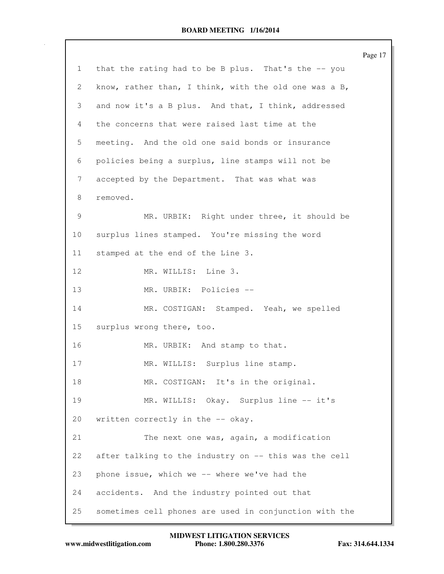|                 |                                                        | Page 17 |
|-----------------|--------------------------------------------------------|---------|
| $\mathbf{1}$    | that the rating had to be B plus. That's the -- you    |         |
| 2               | know, rather than, I think, with the old one was a B,  |         |
| 3               | and now it's a B plus. And that, I think, addressed    |         |
| 4               | the concerns that were raised last time at the         |         |
| 5               | meeting. And the old one said bonds or insurance       |         |
| 6               | policies being a surplus, line stamps will not be      |         |
| 7               | accepted by the Department. That was what was          |         |
| 8               | removed.                                               |         |
| 9               | MR. URBIK: Right under three, it should be             |         |
| 10 <sub>o</sub> | surplus lines stamped. You're missing the word         |         |
| 11              | stamped at the end of the Line 3.                      |         |
| 12              | MR. WILLIS: Line 3.                                    |         |
| 13              | MR. URBIK: Policies --                                 |         |
| 14              | MR. COSTIGAN: Stamped. Yeah, we spelled                |         |
| 15              | surplus wrong there, too.                              |         |
| 16              | MR. URBIK: And stamp to that.                          |         |
| 17              | MR. WILLIS: Surplus line stamp.                        |         |
| 18              | MR. COSTIGAN: It's in the original.                    |         |
| 19              | MR. WILLIS: Okay. Surplus line -- it's                 |         |
| 20              | written correctly in the -- okay.                      |         |
| 21              | The next one was, again, a modification                |         |
| 22              | after talking to the industry on -- this was the cell  |         |
| 23              | phone issue, which we -- where we've had the           |         |
| 24              | accidents. And the industry pointed out that           |         |
| 25              | sometimes cell phones are used in conjunction with the |         |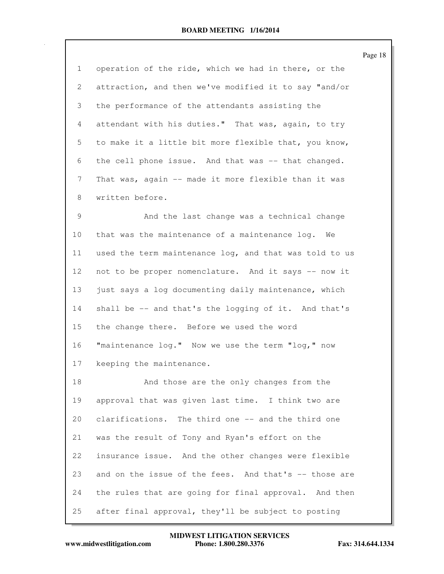Page 18

1 operation of the ride, which we had in there, or the 2 attraction, and then we've modified it to say "and/or 3 the performance of the attendants assisting the 4 attendant with his duties." That was, again, to try 5 to make it a little bit more flexible that, you know, 6 the cell phone issue. And that was -- that changed. 7 That was, again -- made it more flexible than it was 8 written before.

9 And the last change was a technical change 10 that was the maintenance of a maintenance log. We 11 used the term maintenance log, and that was told to us 12 not to be proper nomenclature. And it says -- now it 13 just says a log documenting daily maintenance, which 14 shall be -- and that's the logging of it. And that's 15 the change there. Before we used the word 16 "maintenance log." Now we use the term "log," now 17 keeping the maintenance.

18 And those are the only changes from the 19 approval that was given last time. I think two are 20 clarifications. The third one -- and the third one 21 was the result of Tony and Ryan's effort on the 22 insurance issue. And the other changes were flexible 23 and on the issue of the fees. And that's -- those are 24 the rules that are going for final approval. And then 25 after final approval, they'll be subject to posting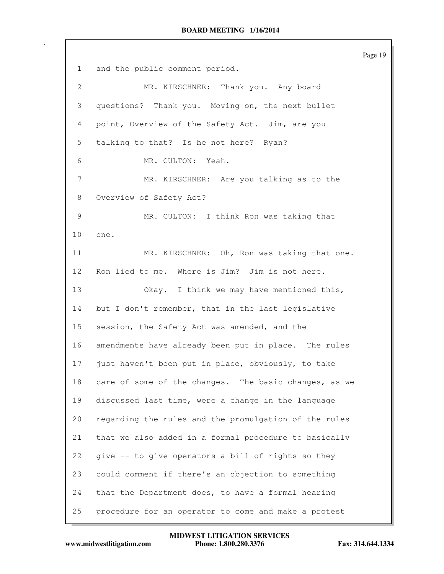Page 19 1 and the public comment period. 2 MR. KIRSCHNER: Thank you. Any board 3 questions? Thank you. Moving on, the next bullet 4 point, Overview of the Safety Act. Jim, are you 5 talking to that? Is he not here? Ryan? 6 MR. CULTON: Yeah. 7 MR. KIRSCHNER: Are you talking as to the 8 Overview of Safety Act? 9 MR. CULTON: I think Ron was taking that 10 one. 11 MR. KIRSCHNER: Oh, Ron was taking that one. 12 Ron lied to me. Where is Jim? Jim is not here. 13 Okay. I think we may have mentioned this, 14 but I don't remember, that in the last legislative 15 session, the Safety Act was amended, and the 16 amendments have already been put in place. The rules 17 just haven't been put in place, obviously, to take 18 care of some of the changes. The basic changes, as we 19 discussed last time, were a change in the language 20 regarding the rules and the promulgation of the rules 21 that we also added in a formal procedure to basically 22 give -- to give operators a bill of rights so they 23 could comment if there's an objection to something 24 that the Department does, to have a formal hearing 25 procedure for an operator to come and make a protest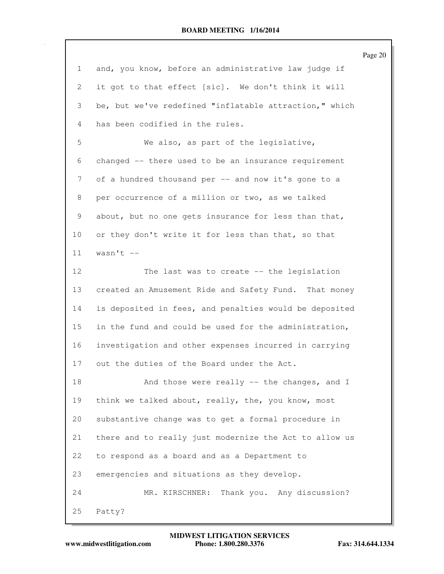Page 20

| $\mathbf{1}$   | and, you know, before an administrative law judge if   |
|----------------|--------------------------------------------------------|
| $\overline{2}$ | it got to that effect [sic]. We don't think it will    |
| 3              | be, but we've redefined "inflatable attraction," which |
| $\overline{4}$ | has been codified in the rules.                        |
| 5              | We also, as part of the legislative,                   |
| 6              | changed -- there used to be an insurance requirement   |
| 7              | of a hundred thousand per -- and now it's gone to a    |
| 8              | per occurrence of a million or two, as we talked       |
| 9              | about, but no one gets insurance for less than that,   |
| 10             | or they don't write it for less than that, so that     |
| 11             | wasn't $--$                                            |
| 12             | The last was to create -- the legislation              |
| 13             | created an Amusement Ride and Safety Fund. That money  |
| 14             | is deposited in fees, and penalties would be deposited |
| 15             | in the fund and could be used for the administration,  |
| 16             | investigation and other expenses incurred in carrying  |
| 17             | out the duties of the Board under the Act.             |
| 18             | And those were really -- the changes, and I            |
| 19             | think we talked about, really, the, you know, most     |
| 20             | substantive change was to get a formal procedure in    |
| 21             | there and to really just modernize the Act to allow us |
| 22             | to respond as a board and as a Department to           |
| 23             | emergencies and situations as they develop.            |
| 24             | Thank you. Any discussion?<br>MR. KIRSCHNER:           |
| 25             | Patty?                                                 |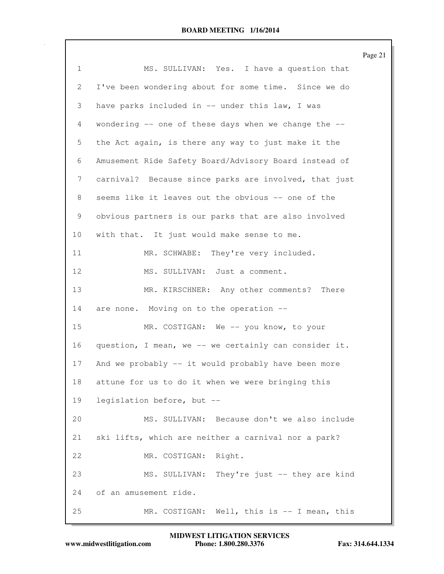|                |                                                       | Page 21 |
|----------------|-------------------------------------------------------|---------|
| $\mathbf{1}$   | MS. SULLIVAN: Yes. I have a question that             |         |
| $\overline{2}$ | I've been wondering about for some time. Since we do  |         |
| 3              | have parks included in -- under this law, I was       |         |
| 4              | wondering -- one of these days when we change the --  |         |
| 5              | the Act again, is there any way to just make it the   |         |
| 6              | Amusement Ride Safety Board/Advisory Board instead of |         |
| 7              | carnival? Because since parks are involved, that just |         |
| 8              | seems like it leaves out the obvious -- one of the    |         |
| 9              | obvious partners is our parks that are also involved  |         |
| 10             | with that. It just would make sense to me.            |         |
| 11             | MR. SCHWABE: They're very included.                   |         |
| 12             | MS. SULLIVAN: Just a comment.                         |         |
| 13             | MR. KIRSCHNER: Any other comments? There              |         |
| 14             | are none. Moving on to the operation --               |         |
| 15             | MR. COSTIGAN: We -- you know, to your                 |         |
| 16             | question, I mean, we -- we certainly can consider it. |         |
| 17             | And we probably -- it would probably have been more   |         |
| 18             | attune for us to do it when we were bringing this     |         |
| 19             | legislation before, but --                            |         |
| 20             | MS. SULLIVAN: Because don't we also include           |         |
| 21             | ski lifts, which are neither a carnival nor a park?   |         |
| 22             | MR. COSTIGAN: Right.                                  |         |
| 23             | MS. SULLIVAN: They're just -- they are kind           |         |
| 24             | of an amusement ride.                                 |         |
| 25             | MR. COSTIGAN: Well, this is -- I mean, this           |         |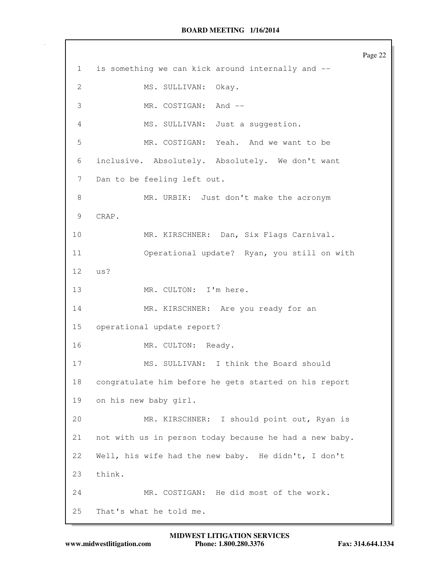Page 22 1 is something we can kick around internally and -- 2 MS. SULLIVAN: Okay. 3 MR. COSTIGAN: And -- 4 MS. SULLIVAN: Just a suggestion. 5 MR. COSTIGAN: Yeah. And we want to be 6 inclusive. Absolutely. Absolutely. We don't want 7 Dan to be feeling left out. 8 MR. URBIK: Just don't make the acronym 9 CRAP. 10 MR. KIRSCHNER: Dan, Six Flags Carnival. 11 Operational update? Ryan, you still on with 12 us? 13 MR. CULTON: I'm here. 14 MR. KIRSCHNER: Are you ready for an 15 operational update report? 16 MR. CULTON: Ready. 17 MS. SULLIVAN: I think the Board should 18 congratulate him before he gets started on his report 19 on his new baby girl. 20 MR. KIRSCHNER: I should point out, Ryan is 21 not with us in person today because he had a new baby. 22 Well, his wife had the new baby. He didn't, I don't 23 think. 24 MR. COSTIGAN: He did most of the work. 25 That's what he told me.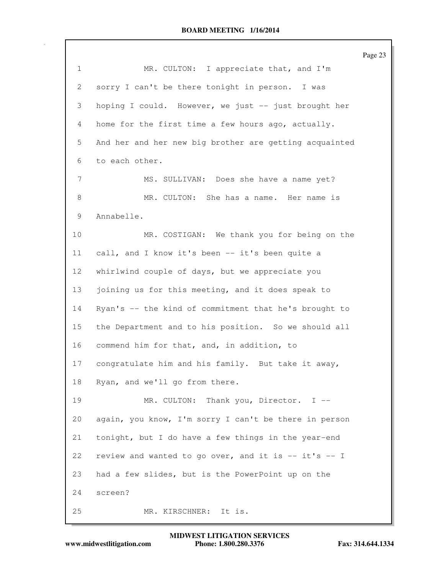|              |                                                        | Page 23 |
|--------------|--------------------------------------------------------|---------|
| $\mathbf{1}$ | MR. CULTON: I appreciate that, and I'm                 |         |
| 2            | sorry I can't be there tonight in person. I was        |         |
| 3            | hoping I could. However, we just -- just brought her   |         |
| 4            | home for the first time a few hours ago, actually.     |         |
| 5            | And her and her new big brother are getting acquainted |         |
| 6            | to each other.                                         |         |
| 7            | MS. SULLIVAN: Does she have a name yet?                |         |
| 8            | MR. CULTON: She has a name. Her name is                |         |
| 9            | Annabelle.                                             |         |
| 10           | MR. COSTIGAN: We thank you for being on the            |         |
| 11           | call, and I know it's been -- it's been quite a        |         |
| 12           | whirlwind couple of days, but we appreciate you        |         |
| 13           | joining us for this meeting, and it does speak to      |         |
| 14           | Ryan's -- the kind of commitment that he's brought to  |         |
| 15           | the Department and to his position. So we should all   |         |
| 16           | commend him for that, and, in addition, to             |         |
| 17           | congratulate him and his family. But take it away,     |         |
| 18           | Ryan, and we'll go from there.                         |         |
| 19           | Thank you, Director. I --<br>MR. CULTON:               |         |
| 20           | again, you know, I'm sorry I can't be there in person  |         |
| 21           | tonight, but I do have a few things in the year-end    |         |
| 22           | review and wanted to go over, and it is -- it's -- I   |         |
| 23           | had a few slides, but is the PowerPoint up on the      |         |
| 24           | screen?                                                |         |
| 25           | MR. KIRSCHNER:<br>It is.                               |         |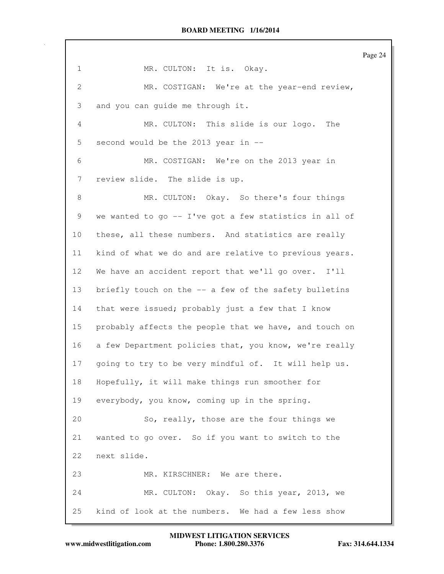Page 24 1 MR. CULTON: It is. Okay. 2 MR. COSTIGAN: We're at the year-end review, 3 and you can guide me through it. 4 MR. CULTON: This slide is our logo. The 5 second would be the 2013 year in -- 6 MR. COSTIGAN: We're on the 2013 year in 7 review slide. The slide is up. 8 MR. CULTON: Okay. So there's four things 9 we wanted to go -- I've got a few statistics in all of 10 these, all these numbers. And statistics are really 11 kind of what we do and are relative to previous years. 12 We have an accident report that we'll go over. I'll 13 briefly touch on the -- a few of the safety bulletins 14 that were issued; probably just a few that I know 15 probably affects the people that we have, and touch on 16 a few Department policies that, you know, we're really 17 going to try to be very mindful of. It will help us. 18 Hopefully, it will make things run smoother for 19 everybody, you know, coming up in the spring. 20 So, really, those are the four things we 21 wanted to go over. So if you want to switch to the 22 next slide. 23 MR. KIRSCHNER: We are there. 24 MR. CULTON: Okay. So this year, 2013, we 25 kind of look at the numbers. We had a few less show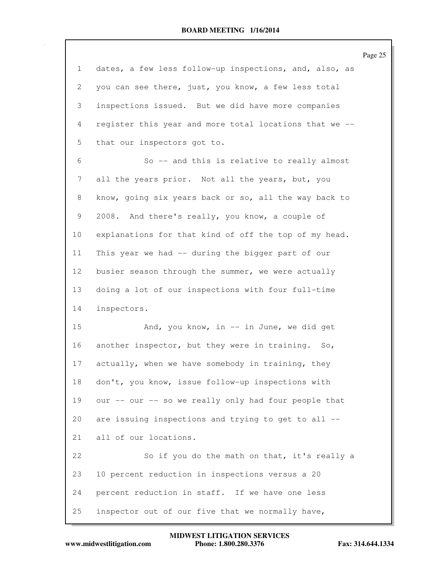|              | Page 25                                                |
|--------------|--------------------------------------------------------|
| $\mathbf{1}$ | dates, a few less follow-up inspections, and, also, as |
| 2            | you can see there, just, you know, a few less total    |
| 3            | inspections issued. But we did have more companies     |
| 4            | register this year and more total locations that we -- |
| 5            | that our inspectors got to.                            |
| 6            | So -- and this is relative to really almost            |
| 7            | all the years prior. Not all the years, but, you       |
| 8            | know, going six years back or so, all the way back to  |
| 9            | 2008. And there's really, you know, a couple of        |
| 10           | explanations for that kind of off the top of my head.  |
| 11           | This year we had -- during the bigger part of our      |
| 12           | busier season through the summer, we were actually     |
| 13           | doing a lot of our inspections with four full-time     |
| 14           | inspectors.                                            |
| 15           | And, you know, in -- in June, we did get               |
| 16           | another inspector, but they were in training. So,      |
| 17           | actually, when we have somebody in training, they      |
| 18           | don't, you know, issue follow-up inspections with      |
| 19           | our -- our -- so we really only had four people that   |
| 20           | are issuing inspections and trying to get to all --    |
| 21           | all of our locations.                                  |
| 22           | So if you do the math on that, it's really a           |
| 23           | 10 percent reduction in inspections versus a 20        |
| 24           | percent reduction in staff. If we have one less        |
| 25           | inspector out of our five that we normally have,       |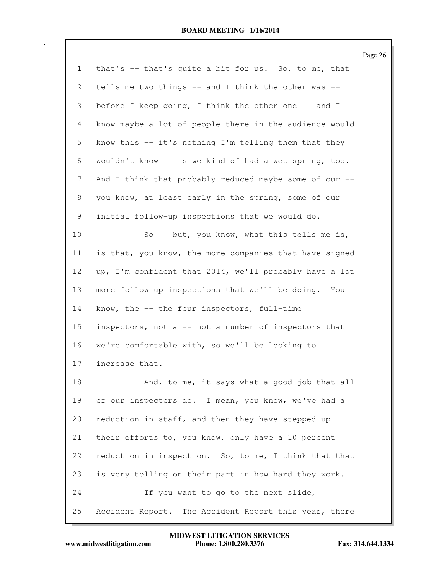|              |                                                        | Page 26 |
|--------------|--------------------------------------------------------|---------|
| $\mathbf{1}$ | that's -- that's quite a bit for us. So, to me, that   |         |
| 2            | tells me two things -- and I think the other was --    |         |
| 3            | before I keep going, I think the other one -- and I    |         |
| 4            | know maybe a lot of people there in the audience would |         |
| 5            | know this -- it's nothing I'm telling them that they   |         |
| 6            | wouldn't know -- is we kind of had a wet spring, too.  |         |
| 7            | And I think that probably reduced maybe some of our -- |         |
| 8            | you know, at least early in the spring, some of our    |         |
| 9            | initial follow-up inspections that we would do.        |         |
| 10           | So -- but, you know, what this tells me is,            |         |
| 11           | is that, you know, the more companies that have signed |         |
| 12           | up, I'm confident that 2014, we'll probably have a lot |         |
| 13           | more follow-up inspections that we'll be doing. You    |         |
| 14           | know, the -- the four inspectors, full-time            |         |
| 15           | inspectors, not a -- not a number of inspectors that   |         |
| 16           | we're comfortable with, so we'll be looking to         |         |
| 17           | increase that.                                         |         |
| 18           | And, to me, it says what a good job that all           |         |
| 19           | of our inspectors do. I mean, you know, we've had a    |         |
| 20           | reduction in staff, and then they have stepped up      |         |
| 21           | their efforts to, you know, only have a 10 percent     |         |
| 22           | reduction in inspection. So, to me, I think that that  |         |
| 23           | is very telling on their part in how hard they work.   |         |
| 24           | If you want to go to the next slide,                   |         |
| 25           | Accident Report. The Accident Report this year, there  |         |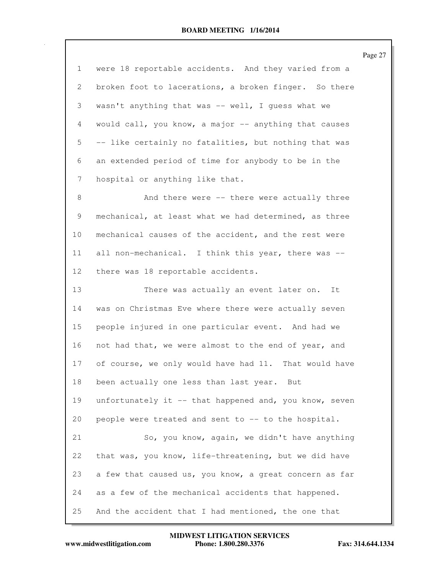Page 27

| $\mathbf 1$    | were 18 reportable accidents. And they varied from a   |
|----------------|--------------------------------------------------------|
| $\mathbf{2}$   | broken foot to lacerations, a broken finger. So there  |
| 3              | wasn't anything that was -- well, I guess what we      |
| $\overline{4}$ | would call, you know, a major -- anything that causes  |
| 5              | -- like certainly no fatalities, but nothing that was  |
| 6              | an extended period of time for anybody to be in the    |
| 7              | hospital or anything like that.                        |
| 8              | And there were -- there were actually three            |
| 9              | mechanical, at least what we had determined, as three  |
| 10             | mechanical causes of the accident, and the rest were   |
| 11             | all non-mechanical. I think this year, there was --    |
| 12             | there was 18 reportable accidents.                     |
| 13             | There was actually an event later on.<br>It            |
| 14             | was on Christmas Eve where there were actually seven   |
| 15             | people injured in one particular event. And had we     |
| 16             | not had that, we were almost to the end of year, and   |
| 17             | of course, we only would have had 11. That would have  |
| 18             | been actually one less than last year.<br>But          |
| 19             | unfortunately it -- that happened and, you know, seven |
| 20             | people were treated and sent to -- to the hospital.    |
| 21             | So, you know, again, we didn't have anything           |
| 22             | that was, you know, life-threatening, but we did have  |
| 23             | a few that caused us, you know, a great concern as far |
| 24             | as a few of the mechanical accidents that happened.    |
| 25             | And the accident that I had mentioned, the one that    |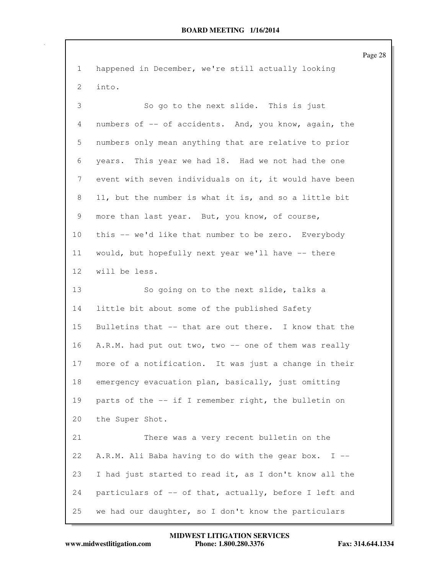Page 28 1 happened in December, we're still actually looking 2 into. 3 So go to the next slide. This is just 4 numbers of -- of accidents. And, you know, again, the 5 numbers only mean anything that are relative to prior 6 years. This year we had 18. Had we not had the one 7 event with seven individuals on it, it would have been 8 11, but the number is what it is, and so a little bit 9 more than last year. But, you know, of course, 10 this -- we'd like that number to be zero. Everybody 11 would, but hopefully next year we'll have -- there 12 will be less. 13 So going on to the next slide, talks a 14 little bit about some of the published Safety 15 Bulletins that -- that are out there. I know that the 16 A.R.M. had put out two, two -- one of them was really 17 more of a notification. It was just a change in their 18 emergency evacuation plan, basically, just omitting 19 parts of the -- if I remember right, the bulletin on 20 the Super Shot. 21 There was a very recent bulletin on the 22 A.R.M. Ali Baba having to do with the gear box. I -- 23 I had just started to read it, as I don't know all the 24 particulars of -- of that, actually, before I left and 25 we had our daughter, so I don't know the particulars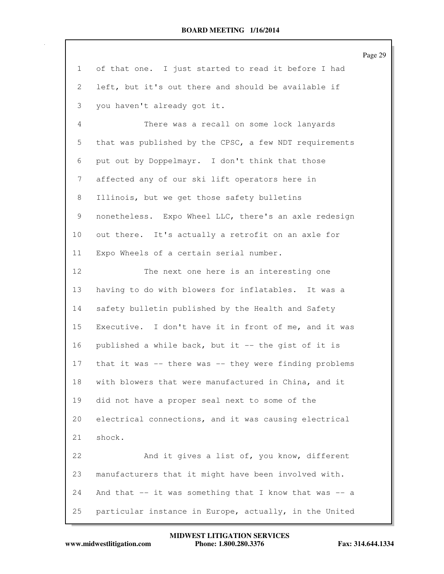Page 29

| 1              | of that one. I just started to read it before I had    |
|----------------|--------------------------------------------------------|
| $\mathbf{2}$   | left, but it's out there and should be available if    |
| 3              | you haven't already got it.                            |
| $\overline{4}$ | There was a recall on some lock lanyards               |
| 5              | that was published by the CPSC, a few NDT requirements |
| 6              | put out by Doppelmayr. I don't think that those        |
| 7              | affected any of our ski lift operators here in         |
| 8              | Illinois, but we get those safety bulletins            |
| 9              | nonetheless. Expo Wheel LLC, there's an axle redesign  |
| 10             | out there. It's actually a retrofit on an axle for     |
| 11             | Expo Wheels of a certain serial number.                |
| 12             | The next one here is an interesting one                |
| 13             | having to do with blowers for inflatables. It was a    |
| 14             | safety bulletin published by the Health and Safety     |
| 15             | Executive. I don't have it in front of me, and it was  |
| 16             | published a while back, but it -- the gist of it is    |
| 17             | that it was -- there was -- they were finding problems |
| 18             | with blowers that were manufactured in China, and it   |
| 19             | did not have a proper seal next to some of the         |
| 20             | electrical connections, and it was causing electrical  |
| 21             | shock.                                                 |
| 22             | And it gives a list of, you know, different            |
| 23             | manufacturers that it might have been involved with.   |
| 24             | And that -- it was something that I know that was -- a |
| 25             | particular instance in Europe, actually, in the United |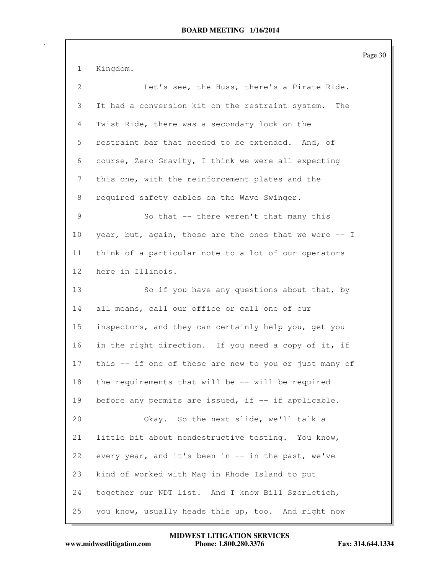Page 30

1 Kingdom.

| $\mathbf{2}^{\prime}$ | Let's see, the Huss, there's a Pirate Ride.             |
|-----------------------|---------------------------------------------------------|
| 3                     | It had a conversion kit on the restraint system.<br>The |
| 4                     | Twist Ride, there was a secondary lock on the           |
| 5                     | restraint bar that needed to be extended. And, of       |
| 6                     | course, Zero Gravity, I think we were all expecting     |
| 7                     | this one, with the reinforcement plates and the         |
| 8                     | required safety cables on the Wave Swinger.             |
| 9                     | So that -- there weren't that many this                 |
| 10                    | year, but, again, those are the ones that we were -- I  |
| 11                    | think of a particular note to a lot of our operators    |
| 12                    | here in Illinois.                                       |
| 13                    | So if you have any questions about that, by             |
| 14                    | all means, call our office or call one of our           |
| 15                    | inspectors, and they can certainly help you, get you    |
| 16                    | in the right direction. If you need a copy of it, if    |
| 17                    | this -- if one of these are new to you or just many of  |
| 18                    | the requirements that will be -- will be required       |
| 19                    | before any permits are issued, if -- if applicable.     |
| 20                    | Okay. So the next slide, we'll talk a                   |
| 21                    | little bit about nondestructive testing. You know,      |
| 22                    | every year, and it's been in -- in the past, we've      |
| 23                    | kind of worked with Mag in Rhode Island to put          |
| 24                    | together our NDT list. And I know Bill Szerletich,      |
| 25                    | you know, usually heads this up, too. And right now     |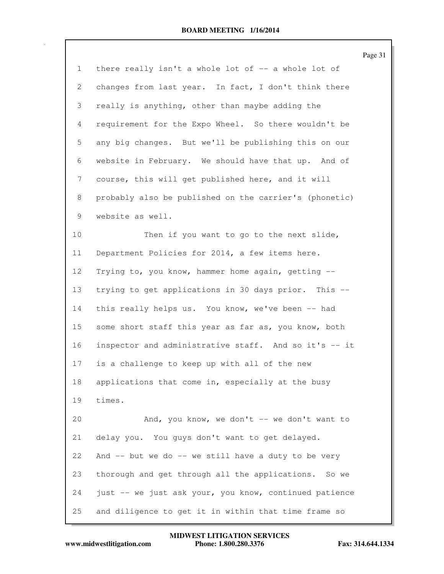|              |                                                        | Page 31 |
|--------------|--------------------------------------------------------|---------|
| $\mathbf{1}$ | there really isn't a whole lot of -- a whole lot of    |         |
| $\mathbf{2}$ | changes from last year. In fact, I don't think there   |         |
| 3            | really is anything, other than maybe adding the        |         |
| 4            | requirement for the Expo Wheel. So there wouldn't be   |         |
| 5            | any big changes. But we'll be publishing this on our   |         |
| 6            | website in February. We should have that up. And of    |         |
| 7            | course, this will get published here, and it will      |         |
| 8            | probably also be published on the carrier's (phonetic) |         |
| 9            | website as well.                                       |         |
| 10           | Then if you want to go to the next slide,              |         |
| 11           | Department Policies for 2014, a few items here.        |         |
| 12           | Trying to, you know, hammer home again, getting --     |         |
| 13           | trying to get applications in 30 days prior. This --   |         |
| 14           | this really helps us. You know, we've been -- had      |         |
| 15           | some short staff this year as far as, you know, both   |         |
| 16           | inspector and administrative staff. And so it's -- it  |         |
| 17           | is a challenge to keep up with all of the new          |         |
| 18           | applications that come in, especially at the busy      |         |
| 19           | times.                                                 |         |
| 20           | And, you know, we don't -- we don't want to            |         |
| 21           | delay you. You guys don't want to get delayed.         |         |
| 22           | And -- but we do -- we still have a duty to be very    |         |
| 23           | thorough and get through all the applications. So we   |         |
| 24           | just -- we just ask your, you know, continued patience |         |
| 25           | and diligence to get it in within that time frame so   |         |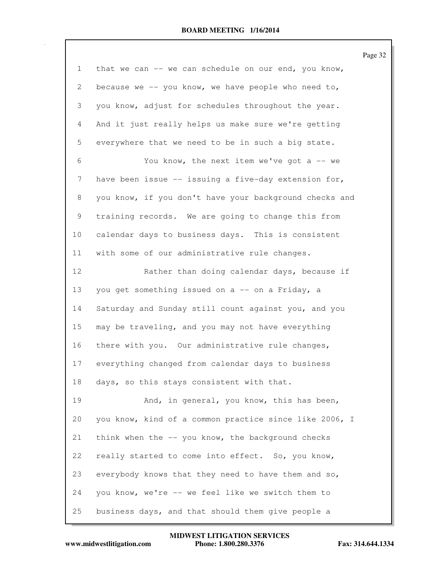Page 32

| $\mathbf 1$ | that we can -- we can schedule on our end, you know,   |
|-------------|--------------------------------------------------------|
| 2           | because we $-$ - you know, we have people who need to, |
| 3           | you know, adjust for schedules throughout the year.    |
| 4           | And it just really helps us make sure we're getting    |
| 5           | everywhere that we need to be in such a big state.     |
| 6           | You know, the next item we've got a $-$ we             |
| 7           | have been issue -- issuing a five-day extension for,   |
| 8           | you know, if you don't have your background checks and |
| 9           | training records. We are going to change this from     |
| 10          | calendar days to business days. This is consistent     |
| 11          | with some of our administrative rule changes.          |
| 12          | Rather than doing calendar days, because if            |
| 13          | you get something issued on a -- on a Friday, a        |
| 14          | Saturday and Sunday still count against you, and you   |
| 15          | may be traveling, and you may not have everything      |
| 16          | there with you. Our administrative rule changes,       |
| 17          | everything changed from calendar days to business      |
| 18          | days, so this stays consistent with that.              |
| 19          | And, in general, you know, this has been,              |
| 20          | you know, kind of a common practice since like 2006, I |
| 21          | think when the $-$ you know, the background checks     |
| 22          | really started to come into effect. So, you know,      |
| 23          | everybody knows that they need to have them and so,    |
| 24          | you know, we're -- we feel like we switch them to      |
| 25          | business days, and that should them give people a      |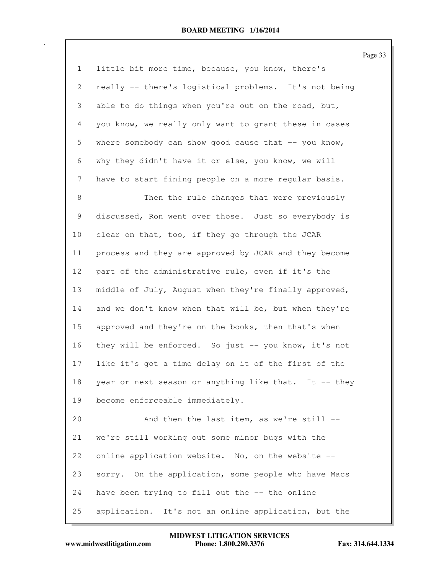|              |                                                         | Page |
|--------------|---------------------------------------------------------|------|
| $\mathbf{1}$ | little bit more time, because, you know, there's        |      |
| $\mathbf{2}$ | really -- there's logistical problems. It's not being   |      |
| 3            | able to do things when you're out on the road, but,     |      |
| 4            | you know, we really only want to grant these in cases   |      |
| 5            | where somebody can show good cause that $-$ - you know, |      |
| 6            | why they didn't have it or else, you know, we will      |      |
| 7            | have to start fining people on a more regular basis.    |      |
| 8            | Then the rule changes that were previously              |      |
| 9            | discussed, Ron went over those. Just so everybody is    |      |
| 10           | clear on that, too, if they go through the JCAR         |      |
| 11           | process and they are approved by JCAR and they become   |      |
| 12           | part of the administrative rule, even if it's the       |      |
| 13           | middle of July, August when they're finally approved,   |      |
| 14           | and we don't know when that will be, but when they're   |      |
| 15           | approved and they're on the books, then that's when     |      |
| 16           | they will be enforced. So just -- you know, it's not    |      |
| 17           | like it's got a time delay on it of the first of the    |      |
| 18           | year or next season or anything like that. It -- they   |      |
| 19           | become enforceable immediately.                         |      |
| 20           | And then the last item, as we're still --               |      |
| 21           | we're still working out some minor bugs with the        |      |
| 22           | online application website. No, on the website --       |      |
| 23           | sorry. On the application, some people who have Macs    |      |
| 24           | have been trying to fill out the -- the online          |      |
| 25           | application. It's not an online application, but the    |      |

Page 33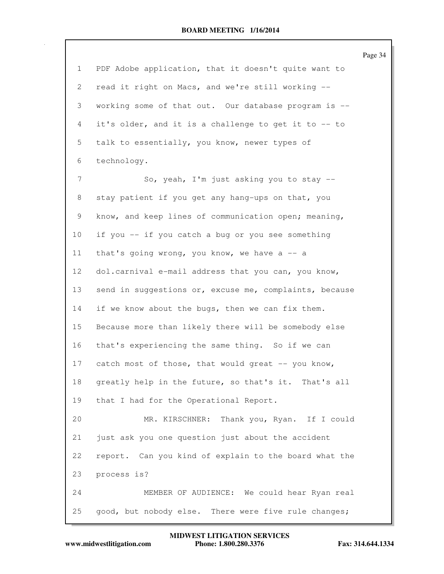|                 |                                                        | Page 34 |
|-----------------|--------------------------------------------------------|---------|
| $\mathbf{1}$    | PDF Adobe application, that it doesn't quite want to   |         |
| 2               | read it right on Macs, and we're still working --      |         |
| 3               | working some of that out. Our database program is --   |         |
| 4               | it's older, and it is a challenge to get it to -- to   |         |
| 5               | talk to essentially, you know, newer types of          |         |
| 6               | technology.                                            |         |
| $7\phantom{.0}$ | So, yeah, I'm just asking you to stay --               |         |
| 8               | stay patient if you get any hang-ups on that, you      |         |
| 9               | know, and keep lines of communication open; meaning,   |         |
| 10              | if you -- if you catch a bug or you see something      |         |
| 11              | that's going wrong, you know, we have a $-$ a          |         |
| 12              | dol.carnival e-mail address that you can, you know,    |         |
| 13              | send in suggestions or, excuse me, complaints, because |         |
| 14              | if we know about the bugs, then we can fix them.       |         |
| 15              | Because more than likely there will be somebody else   |         |
| 16              | that's experiencing the same thing. So if we can       |         |
| 17              | catch most of those, that would great -- you know,     |         |
| 18              | greatly help in the future, so that's it. That's all   |         |
| 19              | that I had for the Operational Report.                 |         |
| 20              | MR. KIRSCHNER:<br>Thank you, Ryan. If I could          |         |
| 21              | just ask you one question just about the accident      |         |
| 22              | report. Can you kind of explain to the board what the  |         |
| 23              | process is?                                            |         |
| 24              | MEMBER OF AUDIENCE: We could hear Ryan real            |         |
| 25              | good, but nobody else. There were five rule changes;   |         |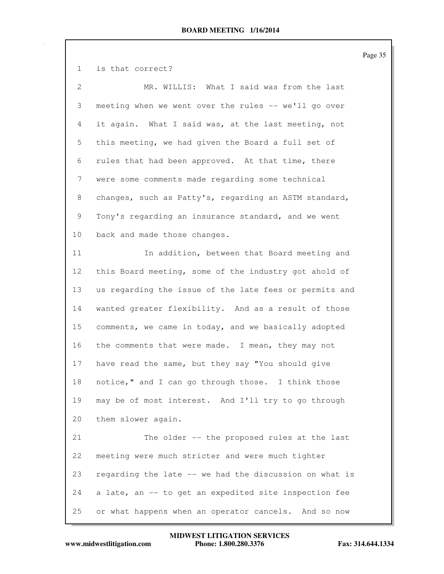1 is that correct? 2 MR. WILLIS: What I said was from the last 3 meeting when we went over the rules -- we'll go over 4 it again. What I said was, at the last meeting, not 5 this meeting, we had given the Board a full set of 6 rules that had been approved. At that time, there 7 were some comments made regarding some technical 8 changes, such as Patty's, regarding an ASTM standard, 9 Tony's regarding an insurance standard, and we went 10 back and made those changes. 11 In addition, between that Board meeting and 12 this Board meeting, some of the industry got ahold of 13 us regarding the issue of the late fees or permits and 14 wanted greater flexibility. And as a result of those 15 comments, we came in today, and we basically adopted 16 the comments that were made. I mean, they may not 17 have read the same, but they say "You should give 18 notice," and I can go through those. I think those 19 may be of most interest. And I'll try to go through 20 them slower again. 21 The older -- the proposed rules at the last 22 meeting were much stricter and were much tighter 23 regarding the late -- we had the discussion on what is 24 a late, an -- to get an expedited site inspection fee 25 or what happens when an operator cancels. And so now

Page 35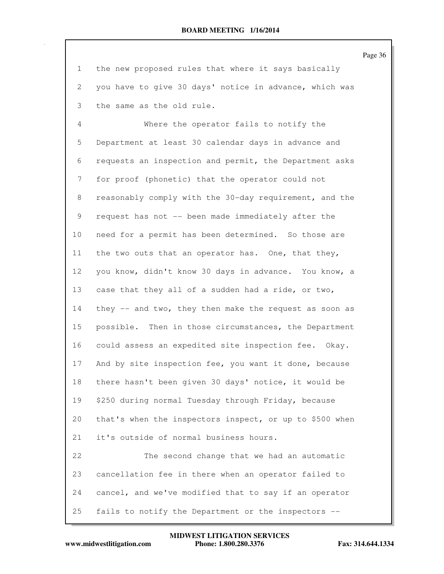Page 36 1 the new proposed rules that where it says basically 2 you have to give 30 days' notice in advance, which was 3 the same as the old rule. 4 Where the operator fails to notify the 5 Department at least 30 calendar days in advance and 6 requests an inspection and permit, the Department asks 7 for proof (phonetic) that the operator could not 8 reasonably comply with the 30-day requirement, and the 9 request has not -- been made immediately after the 10 need for a permit has been determined. So those are 11 the two outs that an operator has. One, that they, 12 you know, didn't know 30 days in advance. You know, a 13 case that they all of a sudden had a ride, or two, 14 they -- and two, they then make the request as soon as 15 possible. Then in those circumstances, the Department 16 could assess an expedited site inspection fee. Okay. 17 And by site inspection fee, you want it done, because 18 there hasn't been given 30 days' notice, it would be 19 \$250 during normal Tuesday through Friday, because 20 that's when the inspectors inspect, or up to \$500 when 21 it's outside of normal business hours. 22 The second change that we had an automatic 23 cancellation fee in there when an operator failed to 24 cancel, and we've modified that to say if an operator 25 fails to notify the Department or the inspectors --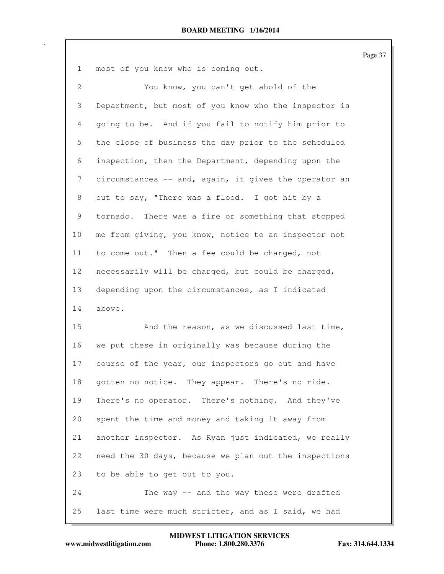Page 37

| $\mathbf 1$    | most of you know who is coming out.                   |
|----------------|-------------------------------------------------------|
| $\overline{2}$ | You know, you can't get ahold of the                  |
| 3              | Department, but most of you know who the inspector is |
| 4              | going to be. And if you fail to notify him prior to   |
| 5              | the close of business the day prior to the scheduled  |
| 6              | inspection, then the Department, depending upon the   |
| 7              | circumstances -- and, again, it gives the operator an |
| 8              | out to say, "There was a flood. I got hit by a        |
| 9              | tornado. There was a fire or something that stopped   |
| 10             | me from giving, you know, notice to an inspector not  |
| 11             | to come out." Then a fee could be charged, not        |
| 12             | necessarily will be charged, but could be charged,    |
| 13             | depending upon the circumstances, as I indicated      |
| 14             | above.                                                |
| 15             | And the reason, as we discussed last time,            |
| 16             | we put these in originally was because during the     |
| 17             | course of the year, our inspectors go out and have    |
| 18             | gotten no notice. They appear. There's no ride.       |
| 19             | There's no operator. There's nothing. And they've     |
| 20             | spent the time and money and taking it away from      |
| 21             | another inspector. As Ryan just indicated, we really  |
| 22             | need the 30 days, because we plan out the inspections |
| 23             | to be able to get out to you.                         |
|                |                                                       |

24 The way -- and the way these were drafted 25 last time were much stricter, and as I said, we had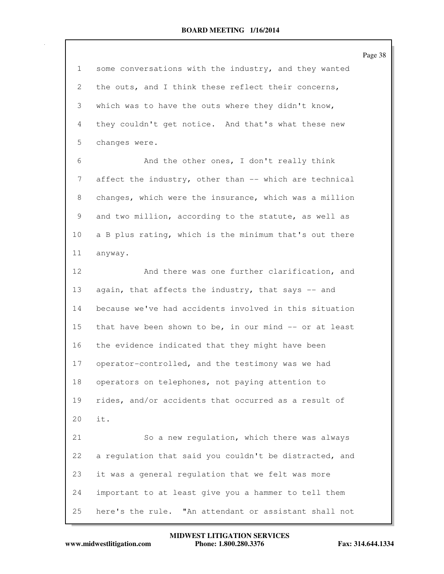Page 38 1 some conversations with the industry, and they wanted 2 the outs, and I think these reflect their concerns, 3 which was to have the outs where they didn't know, 4 they couldn't get notice. And that's what these new 5 changes were. 6 And the other ones, I don't really think 7 affect the industry, other than -- which are technical 8 changes, which were the insurance, which was a million 9 and two million, according to the statute, as well as 10 a B plus rating, which is the minimum that's out there 11 anyway. 12 And there was one further clarification, and 13 again, that affects the industry, that says -- and 14 because we've had accidents involved in this situation 15 that have been shown to be, in our mind -- or at least 16 the evidence indicated that they might have been 17 operator-controlled, and the testimony was we had 18 operators on telephones, not paying attention to 19 rides, and/or accidents that occurred as a result of 20 it. 21 So a new regulation, which there was always 22 a regulation that said you couldn't be distracted, and 23 it was a general regulation that we felt was more 24 important to at least give you a hammer to tell them 25 here's the rule. "An attendant or assistant shall not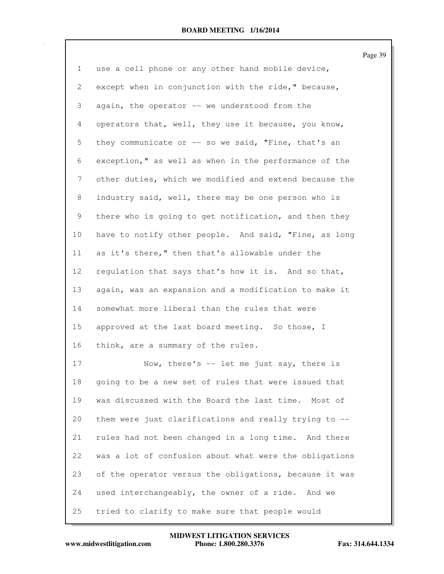| $\mathbf 1$    | use a cell phone or any other hand mobile device,      |
|----------------|--------------------------------------------------------|
| 2              | except when in conjunction with the ride," because,    |
| 3              | again, the operator -- we understood from the          |
| $\overline{4}$ | operators that, well, they use it because, you know,   |
| 5              | they communicate or -- so we said, "Fine, that's an    |
| 6              | exception," as well as when in the performance of the  |
| 7              | other duties, which we modified and extend because the |
| 8              | industry said, well, there may be one person who is    |
| 9              | there who is going to get notification, and then they  |
| 10             | have to notify other people. And said, "Fine, as long  |
| 11             | as it's there," then that's allowable under the        |
| 12             | regulation that says that's how it is. And so that,    |
| 13             | again, was an expansion and a modification to make it  |
| 14             | somewhat more liberal than the rules that were         |
| 15             | approved at the last board meeting. So those, I        |
| 16             | think, are a summary of the rules.                     |
| 17             | Now, there's -- let me just say, there is              |
| 18             | going to be a new set of rules that were issued that   |
| 19             | was discussed with the Board the last time. Most of    |
| 20             | them were just clarifications and really trying to --  |
| 21             | rules had not been changed in a long time. And there   |
| 22             | was a lot of confusion about what were the obligations |
| 23             | of the operator versus the obligations, because it was |
| 24             | used interchangeably, the owner of a ride. And we      |

25 tried to clarify to make sure that people would

**www.midwestlitigation.com Phone: 1.800.280.3376 Fax: 314.644.1334 MIDWEST LITIGATION SERVICES**

Page 39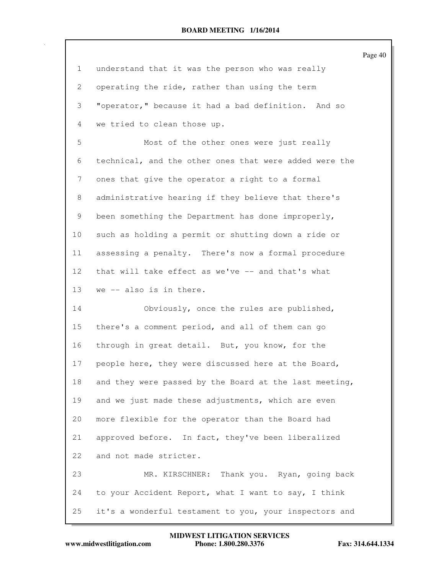|                 |                                                        | Page 40 |
|-----------------|--------------------------------------------------------|---------|
| 1               | understand that it was the person who was really       |         |
| 2               | operating the ride, rather than using the term         |         |
| 3               | "operator," because it had a bad definition. And so    |         |
| $\overline{4}$  | we tried to clean those up.                            |         |
| 5               | Most of the other ones were just really                |         |
| 6               | technical, and the other ones that were added were the |         |
| 7               | ones that give the operator a right to a formal        |         |
| 8               | administrative hearing if they believe that there's    |         |
| 9               | been something the Department has done improperly,     |         |
| 10 <sub>o</sub> | such as holding a permit or shutting down a ride or    |         |
| 11              | assessing a penalty. There's now a formal procedure    |         |
| 12 <sup>°</sup> | that will take effect as we've -- and that's what      |         |
| 13              | we -- also is in there.                                |         |
| 14              | Obviously, once the rules are published,               |         |
| 15              | there's a comment period, and all of them can go       |         |
| 16              | through in great detail. But, you know, for the        |         |
| 17              | people here, they were discussed here at the Board,    |         |
| 18              | and they were passed by the Board at the last meeting, |         |
| 19              | and we just made these adjustments, which are even     |         |
| 20              | more flexible for the operator than the Board had      |         |
| 21              | approved before. In fact, they've been liberalized     |         |
| 22              | and not made stricter.                                 |         |
| 23              | MR. KIRSCHNER: Thank you. Ryan, going back             |         |
| 24              | to your Accident Report, what I want to say, I think   |         |
| 25              | it's a wonderful testament to you, your inspectors and |         |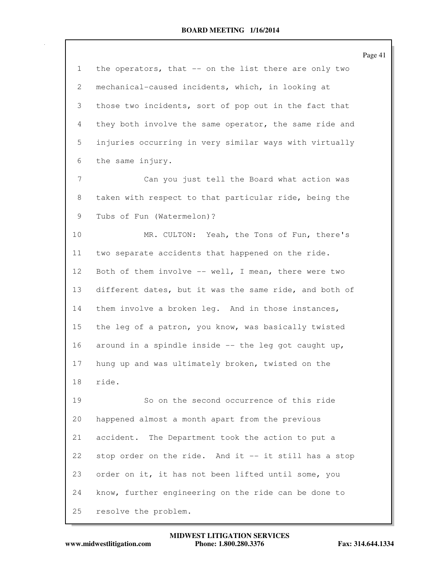|    |                                                        | Page 41 |
|----|--------------------------------------------------------|---------|
| 1  | the operators, that -- on the list there are only two  |         |
| 2  | mechanical-caused incidents, which, in looking at      |         |
| 3  | those two incidents, sort of pop out in the fact that  |         |
| 4  | they both involve the same operator, the same ride and |         |
| 5  | injuries occurring in very similar ways with virtually |         |
| 6  | the same injury.                                       |         |
| 7  | Can you just tell the Board what action was            |         |
| 8  | taken with respect to that particular ride, being the  |         |
| 9  | Tubs of Fun (Watermelon)?                              |         |
| 10 | MR. CULTON: Yeah, the Tons of Fun, there's             |         |
| 11 | two separate accidents that happened on the ride.      |         |
| 12 | Both of them involve -- well, I mean, there were two   |         |
| 13 | different dates, but it was the same ride, and both of |         |
| 14 | them involve a broken leg. And in those instances,     |         |
| 15 | the leg of a patron, you know, was basically twisted   |         |
| 16 | around in a spindle inside $--$ the leg got caught up, |         |
| 17 | hung up and was ultimately broken, twisted on the      |         |
| 18 | ride.                                                  |         |
| 19 | So on the second occurrence of this ride               |         |
| 20 | happened almost a month apart from the previous        |         |
| 21 | accident. The Department took the action to put a      |         |
| 22 | stop order on the ride. And it -- it still has a stop  |         |
| 23 | order on it, it has not been lifted until some, you    |         |
| 24 | know, further engineering on the ride can be done to   |         |
| 25 | resolve the problem.                                   |         |

**www.midwestlitigation.com Phone: 1.800.280.3376 Fax: 314.644.1334 MIDWEST LITIGATION SERVICES**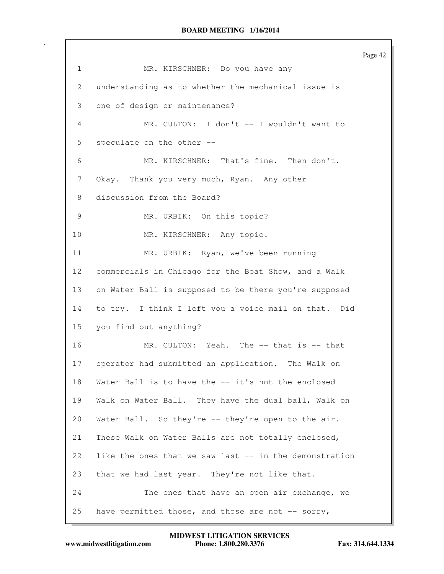Page 42 1 MR. KIRSCHNER: Do you have any 2 understanding as to whether the mechanical issue is 3 one of design or maintenance? 4 MR. CULTON: I don't -- I wouldn't want to 5 speculate on the other -- 6 MR. KIRSCHNER: That's fine. Then don't. 7 Okay. Thank you very much, Ryan. Any other 8 discussion from the Board? 9 MR. URBIK: On this topic? 10 MR. KIRSCHNER: Any topic. 11 MR. URBIK: Ryan, we've been running 12 commercials in Chicago for the Boat Show, and a Walk 13 on Water Ball is supposed to be there you're supposed 14 to try. I think I left you a voice mail on that. Did 15 you find out anything? 16 MR. CULTON: Yeah. The -- that is -- that 17 operator had submitted an application. The Walk on 18 Water Ball is to have the -- it's not the enclosed 19 Walk on Water Ball. They have the dual ball, Walk on 20 Water Ball. So they're -- they're open to the air. 21 These Walk on Water Balls are not totally enclosed, 22 like the ones that we saw last -- in the demonstration 23 that we had last year. They're not like that. 24 The ones that have an open air exchange, we 25 have permitted those, and those are not  $-$ - sorry,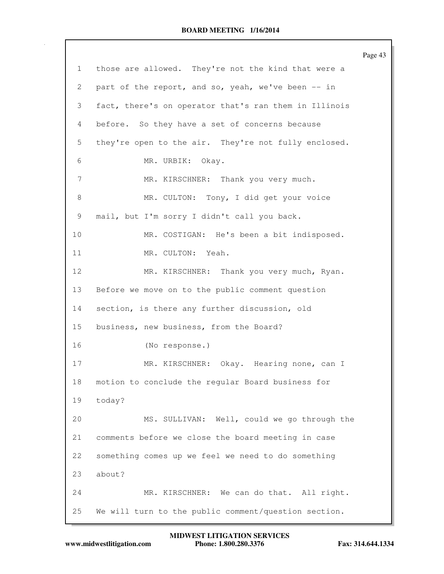|              |                                                       | Page 43 |
|--------------|-------------------------------------------------------|---------|
| $\mathbf{1}$ | those are allowed. They're not the kind that were a   |         |
| 2            | part of the report, and so, yeah, we've been -- in    |         |
| 3            | fact, there's on operator that's ran them in Illinois |         |
| 4            | before. So they have a set of concerns because        |         |
| 5            | they're open to the air. They're not fully enclosed.  |         |
| 6            | MR. URBIK: Okay.                                      |         |
| 7            | MR. KIRSCHNER: Thank you very much.                   |         |
| 8            | MR. CULTON: Tony, I did get your voice                |         |
| 9            | mail, but I'm sorry I didn't call you back.           |         |
| 10           | MR. COSTIGAN: He's been a bit indisposed.             |         |
| 11           | MR. CULTON: Yeah.                                     |         |
| 12           | MR. KIRSCHNER: Thank you very much, Ryan.             |         |
| 13           | Before we move on to the public comment question      |         |
| 14           | section, is there any further discussion, old         |         |
| 15           | business, new business, from the Board?               |         |
| 16           | (No response.)                                        |         |
| 17           | MR. KIRSCHNER: Okay. Hearing none, can I              |         |
| 18           | motion to conclude the regular Board business for     |         |
| 19           | today?                                                |         |
| 20           | MS. SULLIVAN: Well, could we go through the           |         |
| 21           | comments before we close the board meeting in case    |         |
| 22           | something comes up we feel we need to do something    |         |
| 23           | about?                                                |         |
| 24           | MR. KIRSCHNER: We can do that. All right.             |         |
| 25           | We will turn to the public comment/question section.  |         |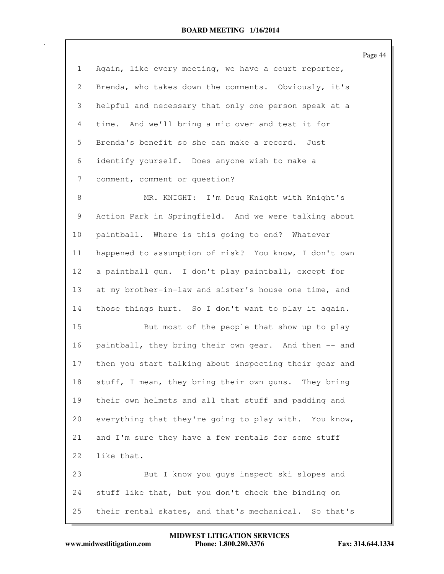|                       |                                                        | Page 44 |
|-----------------------|--------------------------------------------------------|---------|
| $\mathbf{1}$          | Again, like every meeting, we have a court reporter,   |         |
| $\mathbf{2}^{\prime}$ | Brenda, who takes down the comments. Obviously, it's   |         |
| 3                     | helpful and necessary that only one person speak at a  |         |
| $\overline{4}$        | time. And we'll bring a mic over and test it for       |         |
| 5                     | Brenda's benefit so she can make a record. Just        |         |
| 6                     | identify yourself. Does anyone wish to make a          |         |
| 7                     | comment, comment or question?                          |         |
| 8                     | MR. KNIGHT: I'm Doug Knight with Knight's              |         |
| 9                     | Action Park in Springfield. And we were talking about  |         |
| 10                    | paintball. Where is this going to end? Whatever        |         |
| 11                    | happened to assumption of risk? You know, I don't own  |         |
| 12                    | a paintball gun. I don't play paintball, except for    |         |
| 13                    | at my brother-in-law and sister's house one time, and  |         |
| 14                    | those things hurt. So I don't want to play it again.   |         |
| 15                    | But most of the people that show up to play            |         |
| 16                    | paintball, they bring their own gear. And then -- and  |         |
| 17                    | then you start talking about inspecting their gear and |         |
| 18                    | stuff, I mean, they bring their own guns. They bring   |         |
| 19                    | their own helmets and all that stuff and padding and   |         |
| 20                    | everything that they're going to play with. You know,  |         |
| 21                    | and I'm sure they have a few rentals for some stuff    |         |
| 22                    | like that.                                             |         |
| 23                    | But I know you guys inspect ski slopes and             |         |
| 24                    | stuff like that, but you don't check the binding on    |         |
| 25                    | their rental skates, and that's mechanical. So that's  |         |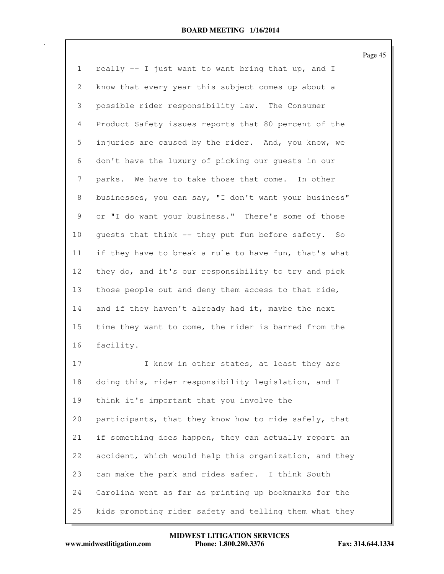|                |                                                        | Page 45 |
|----------------|--------------------------------------------------------|---------|
| $\mathbf{1}$   | really -- I just want to want bring that up, and I     |         |
| 2              | know that every year this subject comes up about a     |         |
| 3              | possible rider responsibility law. The Consumer        |         |
| $\overline{4}$ | Product Safety issues reports that 80 percent of the   |         |
| 5              | injuries are caused by the rider. And, you know, we    |         |
| 6              | don't have the luxury of picking our quests in our     |         |
| $\overline{7}$ | parks. We have to take those that come. In other       |         |
| 8              | businesses, you can say, "I don't want your business"  |         |
| 9              | or "I do want your business." There's some of those    |         |
| 10             | quests that think -- they put fun before safety. So    |         |
| 11             | if they have to break a rule to have fun, that's what  |         |
| 12             | they do, and it's our responsibility to try and pick   |         |
| 13             | those people out and deny them access to that ride,    |         |
| 14             | and if they haven't already had it, maybe the next     |         |
| 15             | time they want to come, the rider is barred from the   |         |
| 16             | facility.                                              |         |
| 17             | I know in other states, at least they are              |         |
| 18             | doing this, rider responsibility legislation, and I    |         |
| 19             | think it's important that you involve the              |         |
| 20             | participants, that they know how to ride safely, that  |         |
| 21             | if something does happen, they can actually report an  |         |
| 22             | accident, which would help this organization, and they |         |
| 23             | can make the park and rides safer. I think South       |         |
| 24             | Carolina went as far as printing up bookmarks for the  |         |

25 kids promoting rider safety and telling them what they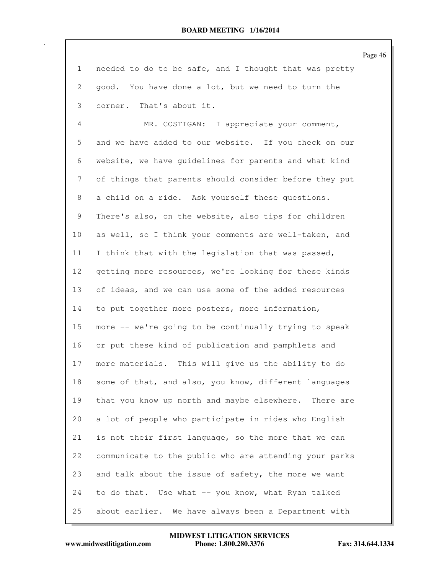Page 46

1 needed to do to be safe, and I thought that was pretty 2 good. You have done a lot, but we need to turn the 3 corner. That's about it.

4 MR. COSTIGAN: I appreciate your comment, 5 and we have added to our website. If you check on our 6 website, we have guidelines for parents and what kind 7 of things that parents should consider before they put 8 a child on a ride. Ask yourself these questions. 9 There's also, on the website, also tips for children 10 as well, so I think your comments are well-taken, and 11 I think that with the legislation that was passed, 12 getting more resources, we're looking for these kinds 13 of ideas, and we can use some of the added resources 14 to put together more posters, more information, 15 more -- we're going to be continually trying to speak 16 or put these kind of publication and pamphlets and 17 more materials. This will give us the ability to do 18 some of that, and also, you know, different languages 19 that you know up north and maybe elsewhere. There are 20 a lot of people who participate in rides who English 21 is not their first language, so the more that we can 22 communicate to the public who are attending your parks 23 and talk about the issue of safety, the more we want 24 to do that. Use what -- you know, what Ryan talked 25 about earlier. We have always been a Department with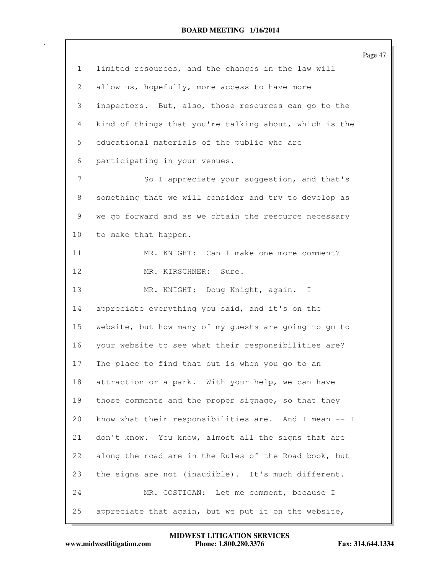|    |                                                        | Page 47 |
|----|--------------------------------------------------------|---------|
| 1  | limited resources, and the changes in the law will     |         |
| 2  | allow us, hopefully, more access to have more          |         |
| 3  | inspectors. But, also, those resources can go to the   |         |
| 4  | kind of things that you're talking about, which is the |         |
| 5  | educational materials of the public who are            |         |
| 6  | participating in your venues.                          |         |
| 7  | So I appreciate your suggestion, and that's            |         |
| 8  | something that we will consider and try to develop as  |         |
| 9  | we go forward and as we obtain the resource necessary  |         |
| 10 | to make that happen.                                   |         |
| 11 | MR. KNIGHT: Can I make one more comment?               |         |
| 12 | MR. KIRSCHNER: Sure.                                   |         |
| 13 | MR. KNIGHT: Doug Knight, again. I                      |         |
| 14 | appreciate everything you said, and it's on the        |         |
| 15 | website, but how many of my guests are going to go to  |         |
| 16 | your website to see what their responsibilities are?   |         |
| 17 | The place to find that out is when you go to an        |         |
| 18 | attraction or a park. With your help, we can have      |         |
| 19 | those comments and the proper signage, so that they    |         |
| 20 | know what their responsibilities are. And I mean -- I  |         |
| 21 | don't know. You know, almost all the signs that are    |         |
| 22 | along the road are in the Rules of the Road book, but  |         |
| 23 | the signs are not (inaudible). It's much different.    |         |
| 24 | MR. COSTIGAN: Let me comment, because I                |         |
| 25 | appreciate that again, but we put it on the website,   |         |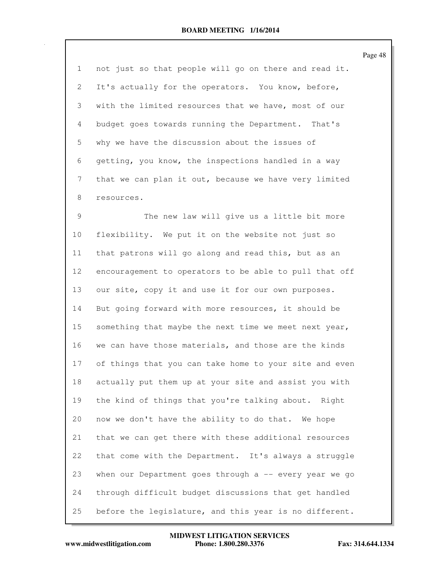Page 48

1 not just so that people will go on there and read it. 2 It's actually for the operators. You know, before, 3 with the limited resources that we have, most of our 4 budget goes towards running the Department. That's 5 why we have the discussion about the issues of 6 getting, you know, the inspections handled in a way 7 that we can plan it out, because we have very limited 8 resources.

9 The new law will give us a little bit more 10 flexibility. We put it on the website not just so 11 that patrons will go along and read this, but as an 12 encouragement to operators to be able to pull that off 13 our site, copy it and use it for our own purposes. 14 But going forward with more resources, it should be 15 something that maybe the next time we meet next year, 16 we can have those materials, and those are the kinds 17 of things that you can take home to your site and even 18 actually put them up at your site and assist you with 19 the kind of things that you're talking about. Right 20 now we don't have the ability to do that. We hope 21 that we can get there with these additional resources 22 that come with the Department. It's always a struggle 23 when our Department goes through a -- every year we go 24 through difficult budget discussions that get handled 25 before the legislature, and this year is no different.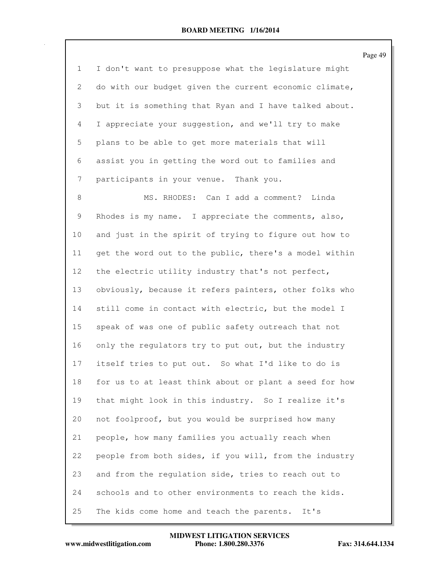Page 49 1 I don't want to presuppose what the legislature might 2 do with our budget given the current economic climate, 3 but it is something that Ryan and I have talked about. 4 I appreciate your suggestion, and we'll try to make 5 plans to be able to get more materials that will 6 assist you in getting the word out to families and 7 participants in your venue. Thank you. 8 MS. RHODES: Can I add a comment? Linda 9 Rhodes is my name. I appreciate the comments, also, 10 and just in the spirit of trying to figure out how to 11 get the word out to the public, there's a model within 12 the electric utility industry that's not perfect, 13 obviously, because it refers painters, other folks who 14 still come in contact with electric, but the model I 15 speak of was one of public safety outreach that not 16 only the regulators try to put out, but the industry 17 itself tries to put out. So what I'd like to do is 18 for us to at least think about or plant a seed for how 19 that might look in this industry. So I realize it's 20 not foolproof, but you would be surprised how many 21 people, how many families you actually reach when 22 people from both sides, if you will, from the industry 23 and from the regulation side, tries to reach out to 24 schools and to other environments to reach the kids. 25 The kids come home and teach the parents. It's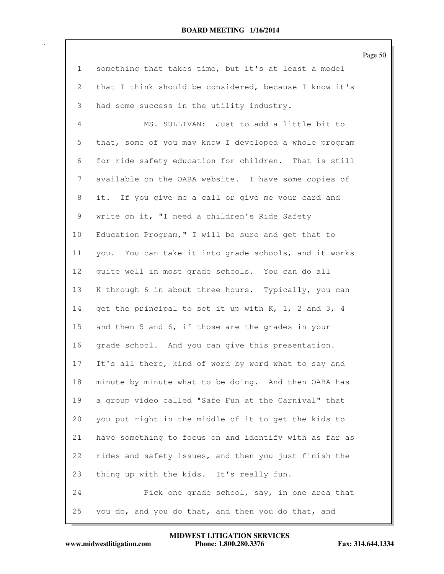Page 50

| $\mathbf{1}$   | something that takes time, but it's at least a model   |
|----------------|--------------------------------------------------------|
| 2              | that I think should be considered, because I know it's |
| 3              | had some success in the utility industry.              |
| $\overline{4}$ | MS. SULLIVAN: Just to add a little bit to              |
| 5              | that, some of you may know I developed a whole program |
| 6              | for ride safety education for children. That is still  |
| 7              | available on the OABA website. I have some copies of   |
| 8              | it. If you give me a call or give me your card and     |
| 9              | write on it, "I need a children's Ride Safety          |
| 10             | Education Program, " I will be sure and get that to    |
| 11             | you. You can take it into grade schools, and it works  |
| 12             | quite well in most grade schools. You can do all       |
| 13             | K through 6 in about three hours. Typically, you can   |
| 14             | get the principal to set it up with K, 1, 2 and 3, 4   |
| 15             | and then 5 and 6, if those are the grades in your      |
| 16             | grade school. And you can give this presentation.      |
| 17             | It's all there, kind of word by word what to say and   |
| 18             | minute by minute what to be doing. And then OABA has   |
| 19             | a group video called "Safe Fun at the Carnival" that   |
| 20             | you put right in the middle of it to get the kids to   |
| 21             | have something to focus on and identify with as far as |
| 22             | rides and safety issues, and then you just finish the  |
| 23             | thing up with the kids. It's really fun.               |
| 24             | Pick one grade school, say, in one area that           |
| 25             | you do, and you do that, and then you do that, and     |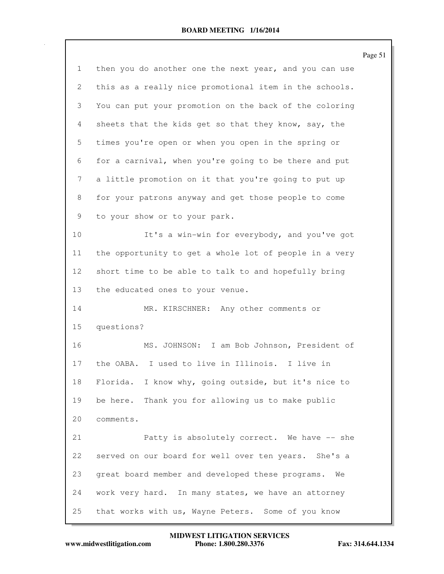|                           |                                                         | Page 51 |
|---------------------------|---------------------------------------------------------|---------|
| $\mathbf{1}$              | then you do another one the next year, and you can use  |         |
| $\mathbf{2}^{\mathsf{I}}$ | this as a really nice promotional item in the schools.  |         |
| 3                         | You can put your promotion on the back of the coloring  |         |
| 4                         | sheets that the kids get so that they know, say, the    |         |
| 5                         | times you're open or when you open in the spring or     |         |
| 6                         | for a carnival, when you're going to be there and put   |         |
| 7                         | a little promotion on it that you're going to put up    |         |
| 8                         | for your patrons anyway and get those people to come    |         |
| 9                         | to your show or to your park.                           |         |
| 10                        | It's a win-win for everybody, and you've got            |         |
| 11                        | the opportunity to get a whole lot of people in a very  |         |
| 12                        | short time to be able to talk to and hopefully bring    |         |
| 13                        | the educated ones to your venue.                        |         |
| 14                        | MR. KIRSCHNER: Any other comments or                    |         |
| 15                        | questions?                                              |         |
| 16                        | MS. JOHNSON: I am Bob Johnson, President of             |         |
| 17                        | the OABA. I used to live in Illinois. I live in         |         |
| 18                        | I know why, going outside, but it's nice to<br>Florida. |         |
| 19                        | Thank you for allowing us to make public<br>be here.    |         |
| 20                        | comments.                                               |         |
| 21                        | Patty is absolutely correct. We have -- she             |         |
| 22                        | served on our board for well over ten years. She's a    |         |
| 23                        | great board member and developed these programs.<br>We  |         |
| 24                        | work very hard. In many states, we have an attorney     |         |
| 25                        | that works with us, Wayne Peters. Some of you know      |         |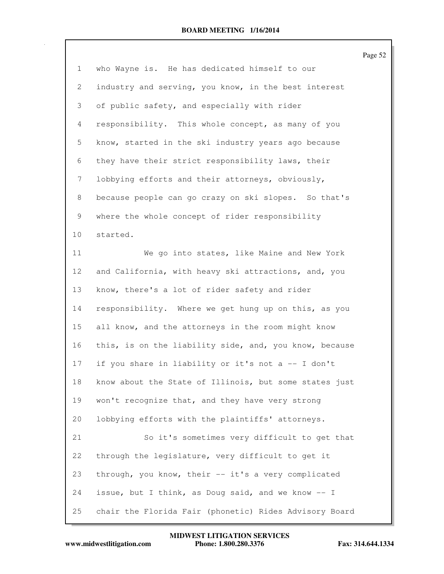|                       |                                                        | Page 52 |
|-----------------------|--------------------------------------------------------|---------|
| 1                     | who Wayne is. He has dedicated himself to our          |         |
| $\mathbf{2}^{\prime}$ | industry and serving, you know, in the best interest   |         |
| 3                     | of public safety, and especially with rider            |         |
| $\overline{4}$        | responsibility. This whole concept, as many of you     |         |
| 5                     | know, started in the ski industry years ago because    |         |
| 6                     | they have their strict responsibility laws, their      |         |
| 7                     | lobbying efforts and their attorneys, obviously,       |         |
| 8                     | because people can go crazy on ski slopes. So that's   |         |
| 9                     | where the whole concept of rider responsibility        |         |
| 10 <sub>o</sub>       | started.                                               |         |
| 11                    | We go into states, like Maine and New York             |         |
| 12                    | and California, with heavy ski attractions, and, you   |         |
| 13                    | know, there's a lot of rider safety and rider          |         |
| 14                    | responsibility. Where we get hung up on this, as you   |         |
| 15                    | all know, and the attorneys in the room might know     |         |
| 16                    | this, is on the liability side, and, you know, because |         |
| 17                    | if you share in liability or it's not a -- I don't     |         |
| 18                    | know about the State of Illinois, but some states just |         |
| 19                    | won't recognize that, and they have very strong        |         |
| 20                    | lobbying efforts with the plaintiffs' attorneys.       |         |
| 21                    | So it's sometimes very difficult to get that           |         |
| 22                    | through the legislature, very difficult to get it      |         |
| 23                    | through, you know, their -- it's a very complicated    |         |
| 24                    | issue, but I think, as Doug said, and we know -- I     |         |
| 25                    | chair the Florida Fair (phonetic) Rides Advisory Board |         |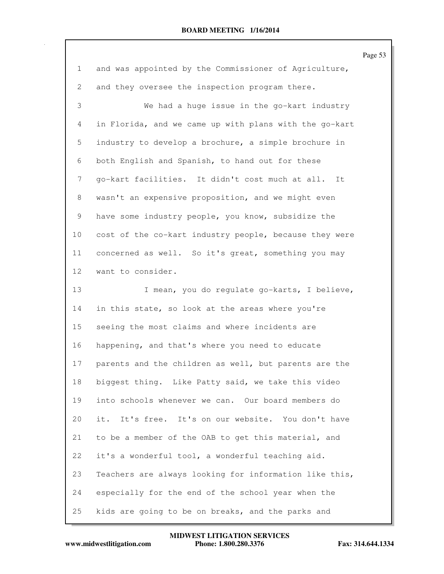|                 |                                                        | Page 53 |
|-----------------|--------------------------------------------------------|---------|
| $\mathbf{1}$    | and was appointed by the Commissioner of Agriculture,  |         |
| 2               | and they oversee the inspection program there.         |         |
| 3               | We had a huge issue in the go-kart industry            |         |
| 4               | in Florida, and we came up with plans with the go-kart |         |
| 5               | industry to develop a brochure, a simple brochure in   |         |
| 6               | both English and Spanish, to hand out for these        |         |
| 7               | go-kart facilities. It didn't cost much at all. It     |         |
| 8               | wasn't an expensive proposition, and we might even     |         |
| 9               | have some industry people, you know, subsidize the     |         |
| 10              | cost of the co-kart industry people, because they were |         |
| 11              | concerned as well. So it's great, something you may    |         |
| 12 <sub>2</sub> | want to consider.                                      |         |
| 13              | I mean, you do regulate go-karts, I believe,           |         |
| 14              | in this state, so look at the areas where you're       |         |
| 15              | seeing the most claims and where incidents are         |         |
| 16              | happening, and that's where you need to educate        |         |
| 17              | parents and the children as well, but parents are the  |         |
| 18              | biggest thing. Like Patty said, we take this video     |         |
| 19              | into schools whenever we can. Our board members do     |         |
| 20              | it. It's free. It's on our website. You don't have     |         |
| 21              | to be a member of the OAB to get this material, and    |         |
| 22              | it's a wonderful tool, a wonderful teaching aid.       |         |
| 23              | Teachers are always looking for information like this, |         |
| 24              | especially for the end of the school year when the     |         |
| 25              | kids are going to be on breaks, and the parks and      |         |

**MIDWEST LITIGATION SERVICES**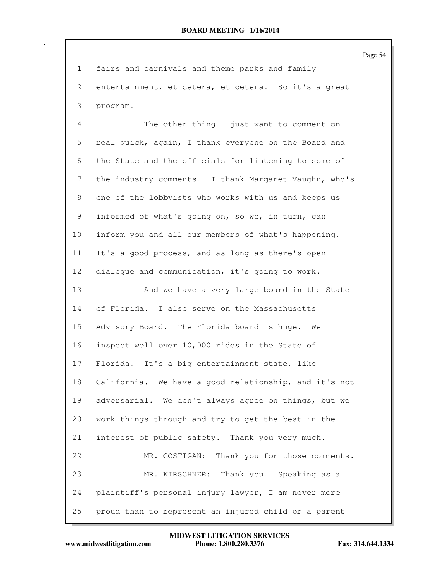Page 54 1 fairs and carnivals and theme parks and family 2 entertainment, et cetera, et cetera. So it's a great 3 program. 4 The other thing I just want to comment on 5 real quick, again, I thank everyone on the Board and 6 the State and the officials for listening to some of 7 the industry comments. I thank Margaret Vaughn, who's 8 one of the lobbyists who works with us and keeps us 9 informed of what's going on, so we, in turn, can 10 inform you and all our members of what's happening. 11 It's a good process, and as long as there's open 12 dialogue and communication, it's going to work. 13 And we have a very large board in the State 14 of Florida. I also serve on the Massachusetts 15 Advisory Board. The Florida board is huge. We 16 inspect well over 10,000 rides in the State of 17 Florida. It's a big entertainment state, like 18 California. We have a good relationship, and it's not 19 adversarial. We don't always agree on things, but we 20 work things through and try to get the best in the 21 interest of public safety. Thank you very much. 22 MR. COSTIGAN: Thank you for those comments. 23 MR. KIRSCHNER: Thank you. Speaking as a 24 plaintiff's personal injury lawyer, I am never more 25 proud than to represent an injured child or a parent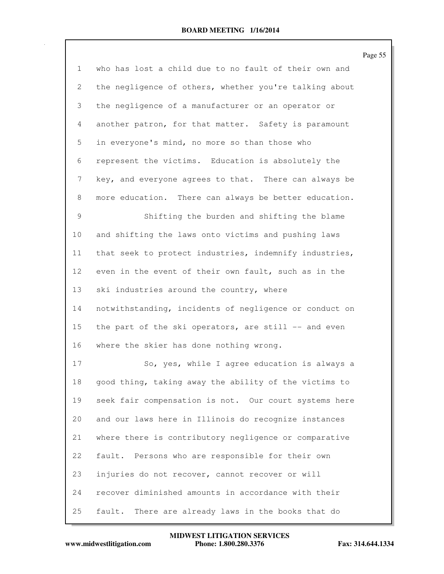Page 55 1 who has lost a child due to no fault of their own and 2 the negligence of others, whether you're talking about 3 the negligence of a manufacturer or an operator or 4 another patron, for that matter. Safety is paramount 5 in everyone's mind, no more so than those who 6 represent the victims. Education is absolutely the 7 key, and everyone agrees to that. There can always be 8 more education. There can always be better education. 9 Shifting the burden and shifting the blame 10 and shifting the laws onto victims and pushing laws 11 that seek to protect industries, indemnify industries, 12 even in the event of their own fault, such as in the 13 ski industries around the country, where 14 notwithstanding, incidents of negligence or conduct on 15 the part of the ski operators, are still -- and even 16 where the skier has done nothing wrong. 17 So, yes, while I agree education is always a 18 good thing, taking away the ability of the victims to

19 seek fair compensation is not. Our court systems here 20 and our laws here in Illinois do recognize instances 21 where there is contributory negligence or comparative 22 fault. Persons who are responsible for their own 23 injuries do not recover, cannot recover or will 24 recover diminished amounts in accordance with their 25 fault. There are already laws in the books that do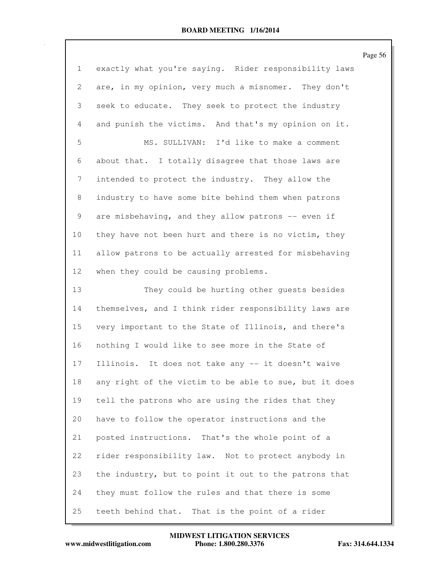|                           |                                                        | Page 56 |
|---------------------------|--------------------------------------------------------|---------|
| $\mathbf{1}$              | exactly what you're saying. Rider responsibility laws  |         |
| $\mathbf{2}^{\mathsf{I}}$ | are, in my opinion, very much a misnomer. They don't   |         |
| 3                         | seek to educate. They seek to protect the industry     |         |
| 4                         | and punish the victims. And that's my opinion on it.   |         |
| 5                         | MS. SULLIVAN: I'd like to make a comment               |         |
| 6                         | about that. I totally disagree that those laws are     |         |
| 7                         | intended to protect the industry. They allow the       |         |
| 8                         | industry to have some bite behind them when patrons    |         |
| 9                         | are misbehaving, and they allow patrons -- even if     |         |
| 10                        | they have not been hurt and there is no victim, they   |         |
| 11                        | allow patrons to be actually arrested for misbehaving  |         |
| 12                        | when they could be causing problems.                   |         |
| 13                        | They could be hurting other quests besides             |         |
| 14                        | themselves, and I think rider responsibility laws are  |         |
| 15                        | very important to the State of Illinois, and there's   |         |
| 16                        | nothing I would like to see more in the State of       |         |
| 17                        | Illinois. It does not take any -- it doesn't waive     |         |
| 18                        | any right of the victim to be able to sue, but it does |         |
| 19                        | tell the patrons who are using the rides that they     |         |
| 20                        | have to follow the operator instructions and the       |         |
| 21                        | posted instructions. That's the whole point of a       |         |
| 22                        | rider responsibility law. Not to protect anybody in    |         |
| 23                        | the industry, but to point it out to the patrons that  |         |
| 24                        | they must follow the rules and that there is some      |         |
| 25                        | teeth behind that.<br>That is the point of a rider     |         |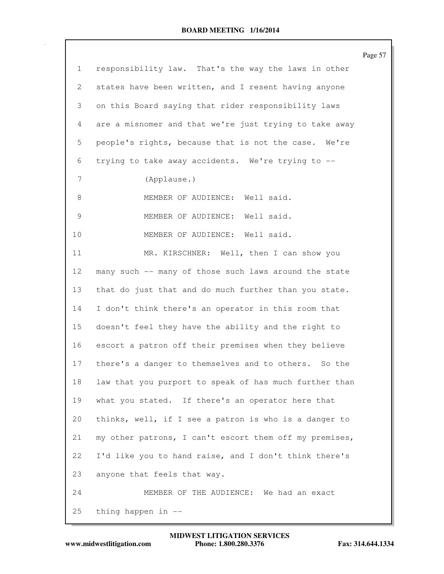|                           |                                                        | Page 57 |
|---------------------------|--------------------------------------------------------|---------|
| $\mathbf{1}$              | responsibility law. That's the way the laws in other   |         |
| $\mathbf{2}^{\mathsf{I}}$ | states have been written, and I resent having anyone   |         |
| 3                         | on this Board saying that rider responsibility laws    |         |
| 4                         | are a misnomer and that we're just trying to take away |         |
| 5                         | people's rights, because that is not the case. We're   |         |
| 6                         | trying to take away accidents. We're trying to --      |         |
| 7                         | (Applause.)                                            |         |
| 8                         | MEMBER OF AUDIENCE: Well said.                         |         |
| 9                         | MEMBER OF AUDIENCE: Well said.                         |         |
| 10                        | MEMBER OF AUDIENCE: Well said.                         |         |
| 11                        | MR. KIRSCHNER: Well, then I can show you               |         |
| 12                        | many such -- many of those such laws around the state  |         |
| 13                        | that do just that and do much further than you state.  |         |
| 14                        | I don't think there's an operator in this room that    |         |
| 15                        | doesn't feel they have the ability and the right to    |         |
| 16                        | escort a patron off their premises when they believe   |         |
| 17                        | there's a danger to themselves and to others. So the   |         |
| 18                        | law that you purport to speak of has much further than |         |
| 19                        | what you stated. If there's an operator here that      |         |
| 20                        | thinks, well, if I see a patron is who is a danger to  |         |
| 21                        | my other patrons, I can't escort them off my premises, |         |
| 22                        | I'd like you to hand raise, and I don't think there's  |         |
| 23                        | anyone that feels that way.                            |         |
| 24                        | MEMBER OF THE AUDIENCE: We had an exact                |         |
| 25                        | thing happen in --                                     |         |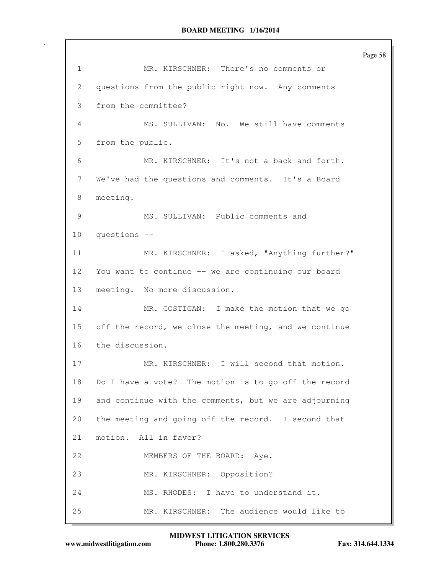Page 58 1 MR. KIRSCHNER: There's no comments or 2 questions from the public right now. Any comments 3 from the committee? 4 MS. SULLIVAN: No. We still have comments 5 from the public. 6 MR. KIRSCHNER: It's not a back and forth. 7 We've had the questions and comments. It's a Board 8 meeting. 9 MS. SULLIVAN: Public comments and 10 questions -- 11 MR. KIRSCHNER: I asked, "Anything further?" 12 You want to continue -- we are continuing our board 13 meeting. No more discussion. 14 MR. COSTIGAN: I make the motion that we go 15 off the record, we close the meeting, and we continue 16 the discussion. 17 MR. KIRSCHNER: I will second that motion. 18 Do I have a vote? The motion is to go off the record 19 and continue with the comments, but we are adjourning 20 the meeting and going off the record. I second that 21 motion. All in favor? 22 MEMBERS OF THE BOARD: Aye. 23 MR. KIRSCHNER: Opposition? 24 MS. RHODES: I have to understand it. 25 MR. KIRSCHNER: The audience would like to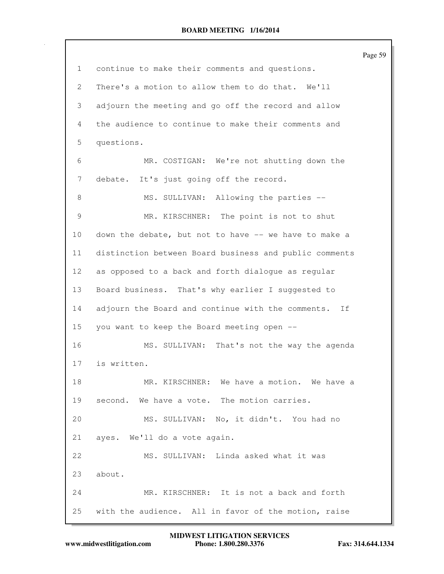|                |                                                        | Page 59 |
|----------------|--------------------------------------------------------|---------|
| 1              | continue to make their comments and questions.         |         |
| $\overline{2}$ | There's a motion to allow them to do that. We'll       |         |
| 3              | adjourn the meeting and go off the record and allow    |         |
| 4              | the audience to continue to make their comments and    |         |
| 5              | questions.                                             |         |
| 6              | MR. COSTIGAN: We're not shutting down the              |         |
| 7              | debate. It's just going off the record.                |         |
| 8              | MS. SULLIVAN: Allowing the parties --                  |         |
| $\mathcal{G}$  | MR. KIRSCHNER: The point is not to shut                |         |
| 10             | down the debate, but not to have -- we have to make a  |         |
| 11             | distinction between Board business and public comments |         |
| 12             | as opposed to a back and forth dialogue as regular     |         |
| 13             | Board business. That's why earlier I suggested to      |         |
| 14             | adjourn the Board and continue with the comments. If   |         |
| 15             | you want to keep the Board meeting open --             |         |
| 16             | MS. SULLIVAN: That's not the way the agenda            |         |
| 17             | is written.                                            |         |
| 18             | MR. KIRSCHNER: We have a motion. We have a             |         |
| 19             | second. We have a vote. The motion carries.            |         |
| 20             | MS. SULLIVAN: No, it didn't. You had no                |         |
| 21             | ayes. We'll do a vote again.                           |         |
| 22             | MS. SULLIVAN: Linda asked what it was                  |         |
| 23             | about.                                                 |         |
| 24             | MR. KIRSCHNER: It is not a back and forth              |         |
| 25             | with the audience. All in favor of the motion, raise   |         |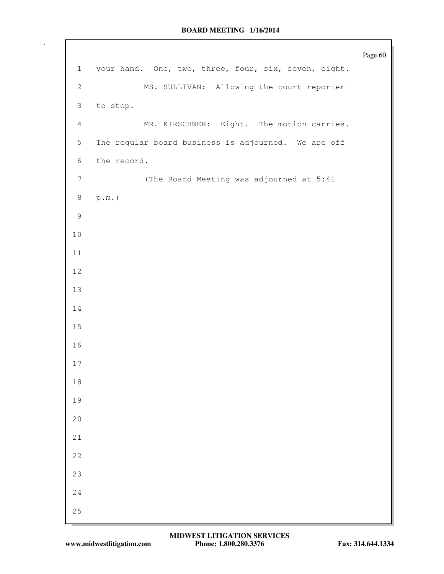|                |                                                      | Page 60 |
|----------------|------------------------------------------------------|---------|
| $\mathbf{1}$   | your hand. One, two, three, four, six, seven, eight. |         |
| 2              | MS. SULLIVAN: Allowing the court reporter            |         |
| $\mathfrak{Z}$ | to stop.                                             |         |
| $\overline{4}$ | MR. KIRSCHNER: Eight. The motion carries.            |         |
| $\overline{5}$ | The regular board business is adjourned. We are off  |         |
| 6              | the record.                                          |         |
| $\overline{7}$ | (The Board Meeting was adjourned at 5:41             |         |
| $\,8\,$        | $\texttt{p.m.})$                                     |         |
| $\mathcal{G}$  |                                                      |         |
| $10$           |                                                      |         |
| 11             |                                                      |         |
| 12             |                                                      |         |
| 13             |                                                      |         |
| 14             |                                                      |         |
| 15             |                                                      |         |
| 16             |                                                      |         |
| $17$           |                                                      |         |
| $1\,8$         |                                                      |         |
| 19             |                                                      |         |
| 20             |                                                      |         |
| $2\sqrt{1}$    |                                                      |         |
| 22             |                                                      |         |
| 23             |                                                      |         |
| 24             |                                                      |         |
| 25             |                                                      |         |
|                |                                                      |         |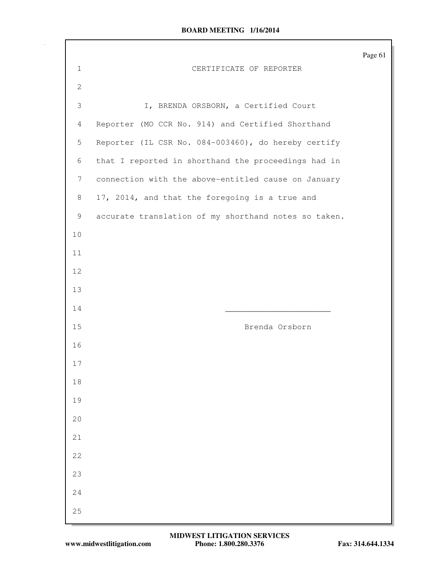|              |                                                      | Page 61 |
|--------------|------------------------------------------------------|---------|
| $\mathbf 1$  | CERTIFICATE OF REPORTER                              |         |
| $\mathbf{2}$ |                                                      |         |
| 3            | I, BRENDA ORSBORN, a Certified Court                 |         |
| 4            | Reporter (MO CCR No. 914) and Certified Shorthand    |         |
| 5            | Reporter (IL CSR No. 084-003460), do hereby certify  |         |
| 6            | that I reported in shorthand the proceedings had in  |         |
| 7            | connection with the above-entitled cause on January  |         |
| 8            | 17, 2014, and that the foregoing is a true and       |         |
| 9            | accurate translation of my shorthand notes so taken. |         |
| 10           |                                                      |         |
| 11           |                                                      |         |
| 12           |                                                      |         |
| 13           |                                                      |         |
| 14           |                                                      |         |
| 15           | Brenda Orsborn                                       |         |
| 16           |                                                      |         |
| 17           |                                                      |         |
| $1\,8$       |                                                      |         |
| 19           |                                                      |         |
| 20           |                                                      |         |
| $2\sqrt{1}$  |                                                      |         |
| 22           |                                                      |         |
| 23           |                                                      |         |
| 24           |                                                      |         |
| 25           |                                                      |         |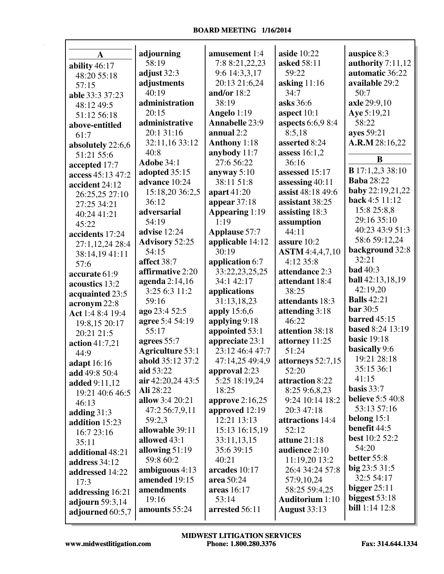|                    | adjourning                     | amusement 1:4                 | aside $10:22$                        | auspice 8:3                            |
|--------------------|--------------------------------|-------------------------------|--------------------------------------|----------------------------------------|
| A                  | 58:19                          | 7:8 8:21,22,23                | asked 58:11                          | authority 7:11,12                      |
| ability 46:17      | adjust $32:3$                  | 9:6 14:3,3,17                 | 59:22                                | automatic 36:22                        |
| 48:20 55:18        | adjustments                    | 20:13 21:6,24                 | asking $11:16$                       | available 29:2                         |
| 57:15              | 40:19                          | and/or $18:2$                 | 34:7                                 | 50:7                                   |
| able 33:3 37:23    | administration                 | 38:19                         | asks 36:6                            | axle 29:9,10                           |
| 48:12 49:5         | 20:15                          |                               |                                      | Aye 5:19,21                            |
| 51:12 56:18        | administrative                 | Angelo 1:19<br>Annabelle 23:9 | aspect $10:1$<br>aspects 6:6,9 8:4   | 58:22                                  |
| above-entitled     | 20:1 31:16                     | annual 2:2                    | 8:5,18                               | ayes 59:21                             |
| 61:7               | 32:11,16 33:12                 | <b>Anthony</b> 1:18           | asserted 8:24                        | A.R.M 28:16,22                         |
| absolutely 22:6,6  | 40:8                           |                               |                                      |                                        |
| 51:21 55:6         | <b>Adobe 34:1</b>              | anybody $11:7$<br>27:6 56:22  | assess $16:1,2$<br>36:16             | B                                      |
| accepted 17:7      |                                |                               | assessed 15:17                       | <b>B</b> 17:1,2,3 38:10                |
| access 45:13 47:2  | adopted 35:15<br>advance 10:24 | anyway $5:10$<br>38:11 51:8   |                                      | <b>Baba</b> 28:22                      |
| accident 24:12     |                                |                               | assessing 40:11                      | <b>baby</b> 22:19,21,22                |
| 26:25,25 27:10     | 15:18,20 36:2,5                | apart $41:20$                 | assist 48:18 49:6<br>assistant 38:25 | back 4:5 11:12                         |
| 27:25 34:21        | 36:12                          | appear $37:18$                |                                      | 15:8 25:8,8                            |
| 40:24 41:21        | adversarial                    | Appearing 1:19                | assisting 18:3                       | 29:16 35:10                            |
| 45:22              | 54:19                          | 1:19                          | assumption                           | 40:23 43:9 51:3                        |
| accidents 17:24    | advise 12:24                   | <b>Applause 57:7</b>          | 44:11                                | 58:6 59:12,24                          |
| 27:1,12,24 28:4    | <b>Advisory 52:25</b>          | applicable 14:12              | assure 10:2                          | background 32:8                        |
| 38:14,1941:11      | 54:15                          | 30:19                         | <b>ASTM</b> 4:4,4,7,10               | 32:21                                  |
| 57:6               | affect 38:7                    | application 6:7               | 4:12 35:8                            | <b>bad</b> 40:3                        |
| accurate 61:9      | affirmative 2:20               | 33:22,23,25,25                | attendance 2:3                       | <b>ball</b> 42:13,18,19                |
| acoustics 13:2     | agenda $2:14,16$               | 34:1 42:17                    | attendant 18:4                       | 42:19,20                               |
| acquainted 23:5    | 3:25 6:3 11:2                  | applications                  | 38:25                                | <b>Balls</b> 42:21                     |
| acronym 22:8       | 59:16                          | 31:13,18,23                   | attendants 18:3                      | <b>bar</b> 30:5                        |
| Act 1:4 8:4 19:4   | ago 23:4 52:5                  | apply $15:6,6$                | attending 3:18                       | <b>barred</b> 45:15                    |
| 19:8,15 20:17      | agree 5:4 54:19                | applying 9:18                 | 46:22                                | based 8:24 13:19                       |
| 20:21 21:5         | 55:17                          | appointed 53:1                | attention 38:18                      | <b>basic</b> 19:18                     |
| action 41:7,21     | agrees $55:7$                  | appreciate 23:1               | attorney 11:25                       | basically 9:6                          |
| 44:9               | <b>Agriculture 53:1</b>        | 23:12 46:4 47:7               | 51:24                                | 19:21 28:18                            |
| <b>adapt</b> 16:16 | ahold 35:12 37:2               | 47:14,25 49:4,9               | attorneys 52:7,15                    | 35:15 36:1                             |
| add 49:8 50:4      | aid 53:22                      | approval 2:23                 | 52:20                                | 41:15                                  |
| added 9:11,12      | air 42:20,24 43:5              | 5:25 18:19,24                 | attraction 8:22                      | basis 33:7                             |
| 19:21 40:6 46:5    | Ali 28:22                      | 18:25                         | 8:25 9:6,8,23                        | <b>believe</b> 5:5 40:8                |
| 46:13              | allow 3:4 20:21                | approve $2:16,25$             | 9:24 10:14 18:2                      | 53:13 57:16                            |
| adding $31:3$      | 47:2 56:7,9,11                 | approved 12:19                | 20:3 47:18                           | belong $15:1$                          |
| addition 15:23     | 59:2,3                         | 12:21 13:13                   | attractions 14:4                     | benefit 44:5                           |
| 16:7 23:16         | allowable 39:11                | 15:13 16:15,19                | 52:12                                | <b>best</b> 10:2 52:2                  |
| 35:11              | allowed 43:1                   | 33:11,13,15                   | attune $21:18$                       | 54:20                                  |
| additional 48:21   | allowing $51:19$               | 35:6 39:15                    | audience 2:10                        | better 55:8                            |
| address 34:12      | 59:8 60:2                      | 40:21                         | 11:19,20 13:2                        | big 23:5 31:5                          |
| addressed 14:22    | ambiguous 4:13                 | arcades 10:17                 | 26:4 34:24 57:8                      | 32:5 54:17                             |
| 17:3               | amended 19:15                  | area 50:24                    | 57:9,10,24                           | bigger $25:11$                         |
| addressing 16:21   | amendments                     | areas $16:17$                 | 58:25 59:4,25                        |                                        |
| adjourn 59:3,14    | 19:16                          | 53:14                         | <b>Auditorium</b> 1:10               | biggest 53:18<br><b>bill</b> 1:14 12:8 |
| adjourned 60:5,7   | amounts 55:24                  | arrested 56:11                | <b>August 33:13</b>                  |                                        |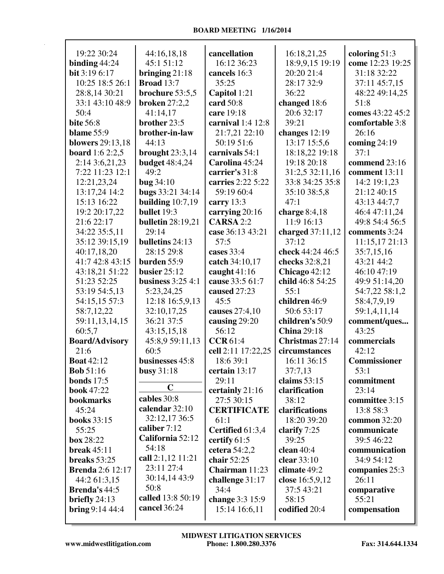| 19:22 30:24                               | 44:16,18,18              | cancellation                  | 16:18,21,25                   | coloring $51:3$         |
|-------------------------------------------|--------------------------|-------------------------------|-------------------------------|-------------------------|
| binding $44:24$                           | 45:1 51:12               | 16:12 36:23                   | 18:9,9,15 19:19               | come 12:23 19:25        |
| bit 3:19 6:17                             | bringing $21:18$         | cancels 16:3                  | 20:20 21:4                    | 31:18 32:22             |
| 10:25 18:5 26:1                           | <b>Broad</b> 13:7        | 35:25                         | 28:17 32:9                    | 37:11 45:7,15           |
| 28:8,14 30:21                             | brochure 53:5,5          | Capitol 1:21                  | 36:22                         | 48:22 49:14,25          |
| 33:1 43:10 48:9                           | <b>broken</b> 27:2,2     | card 50:8                     | changed 18:6                  | 51:8                    |
| 50:4                                      | 41:14,17                 | care 19:18                    | 20:6 32:17                    | comes 43:22 45:2        |
| <b>bite 56:8</b>                          | brother 23:5             | carnival $1:4$ $12:8$         | 39:21                         | comfortable 3:8         |
| <b>blame</b> 55:9                         | brother-in-law           | 21:7,21 22:10                 | changes 12:19                 | 26:16                   |
| <b>blowers</b> 29:13,18                   | 44:13                    | 50:19 51:6                    | 13:17 15:5,6                  | coming $24:19$          |
| <b>board</b> 1:6 2:2,5                    | brought $23:3,14$        | carnivals 54:1                | 18:18,22 19:18                | 37:1                    |
| 2:14 3:6,21,23                            | <b>budget</b> 48:4,24    | Carolina 45:24                | 19:18 20:18                   | commend 23:16           |
| 7:22 11:23 12:1                           | 49:2                     | carrier's 31:8                | 31:2,5 32:11,16               | comment 13:11           |
| 12:21,23,24                               | <b>bug 34:10</b>         | carries 2:22 5:22             | 33:8 34:25 35:8               | 14:2 19:1,23            |
| 13:17,24 14:2                             | bugs 33:21 34:14         | 59:19 60:4                    | 35:10 38:5,8                  | 21:12 40:15             |
| 15:13 16:22                               | building $10:7,19$       | carry 13:3                    | 47:1                          | 43:13 44:7,7            |
| 19:2 20:17,22                             | bullet 19:3              | carrying 20:16                | charge $8:4,18$               | 46:4 47:11,24           |
| 21:6 22:17                                | <b>bulletin</b> 28:19,21 | <b>CARSA 2:2</b>              | 11:9 16:13                    | 49:8 54:4 56:5          |
| 34:22 35:5,11                             | 29:14                    | case 36:13 43:21              | charged $37:11,12$            | comments 3:24           |
| 35:12 39:15,19                            | bulletins 24:13          | 57:5                          | 37:12                         | 11:15,17 21:13          |
| 40:17,18,20                               | 28:15 29:8               | cases 33:4                    | check 44:24 46:5              | 35:7,15,16              |
| 41:7 42:8 43:15                           | burden 55:9              | catch 34:10,17                | checks 32:8,21                | 43:21 44:2              |
| 43:18,21 51:22                            | busier $25:12$           | caught $41:16$                | Chicago 42:12                 | 46:10 47:19             |
| 51:23 52:25                               | business $3:254:1$       | cause 33:5 61:7               | child 46:8 54:25              | 49:9 51:14,20           |
| 53:19 54:5,13                             | 5:23,24,25               | caused 27:23                  | 55:1                          | 54:7,22 58:1,2          |
| 54:15,15 57:3                             | 12:18 16:5,9,13          | 45:5                          | children 46:9                 | 58:4,7,9,19             |
| 58:7,12,22                                | 32:10,17,25              | causes 27:4,10                | 50:6 53:17                    | 59:1,4,11,14            |
| 59:11,13,14,15                            | 36:21 37:5               | causing 29:20                 | children's 50:9               | comment/ques            |
| 60:5,7                                    | 43:15,15,18              | 56:12                         | <b>China</b> 29:18            | 43:25                   |
| <b>Board/Advisory</b>                     | 45:8,9 59:11,13          | <b>CCR61:4</b>                | Christmas 27:14               | commercials             |
| 21:6                                      | 60:5                     | cell 2:11 17:22,25            | circumstances                 | 42:12                   |
| <b>Boat 42:12</b>                         | businesses 45:8          | 18:6 39:1                     | 16:11 36:15                   | Commissioner            |
| <b>Bob</b> 51:16                          | busy $31:18$             | certain 13:17                 | 37:7,13                       | 53:1                    |
| bonds $17:5$                              | $\mathbf C$              | 29:11                         | claims $53:15$                | commitment              |
| <b>book</b> 47:22                         | cables 30:8              | certainly 21:16               | clarification                 | 23:14                   |
| bookmarks                                 | calendar 32:10           | 27:5 30:15                    | 38:12                         | committee 3:15          |
| 45:24                                     | 32:12,17 36:5            | <b>CERTIFICATE</b>            | clarifications                | 13:8 58:3               |
| <b>books</b> 33:15                        | caliber $7:12$           | 61:1                          | 18:20 39:20                   | common 32:20            |
| 55:25                                     | California 52:12         | Certified 61:3,4              | clarify 7:25                  | communicate             |
| box 28:22                                 | 54:18                    | certify 61:5                  | 39:25                         | 39:5 46:22              |
| break $45:11$                             | call 2:1,12 11:21        | cetera $54:2,2$               | clean $40:4$                  | communication           |
| breaks $53:25$<br><b>Brenda</b> 2:6 12:17 | 23:11 27:4               | chair 52:25<br>Chairman 11:23 | clear $33:10$<br>climate 49:2 | 34:9 54:12              |
| 44:2 61:3,15                              | 30:14,14 43:9            | challenge 31:17               | close 16:5,9,12               | companies 25:3<br>26:11 |
| <b>Brenda's 44:5</b>                      | 50:8                     | 34:4                          | 37:5 43:21                    | comparative             |
| briefly $24:13$                           | called 13:8 50:19        | change 3:3 15:9               | 58:15                         | 55:21                   |
| <b>bring</b> $9:144:4$                    | cancel 36:24             | 15:14 16:6,11                 | codified 20:4                 | compensation            |
|                                           |                          |                               |                               |                         |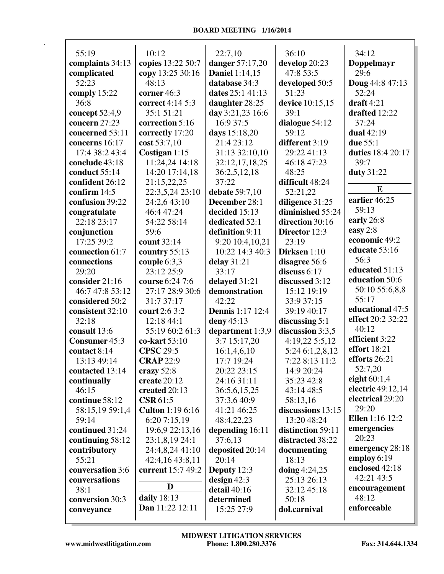| 55:19                           | 10:12                   | 22:7,10                       | 36:10                   | 34:12                  |
|---------------------------------|-------------------------|-------------------------------|-------------------------|------------------------|
| complaints 34:13                | copies 13:22 50:7       | <b>danger</b> 57:17,20        | develop 20:23           |                        |
| complicated                     | copy 13:25 30:16        | <b>Daniel 1:14,15</b>         | 47:8 53:5               | Doppelmayr<br>29:6     |
| 52:23                           | 48:13                   | database 34:3                 | developed 50:5          | <b>Doug</b> 44:8 47:13 |
| comply 15:22                    | corner 46:3             | dates 25:1 41:13              | 51:23                   | 52:24                  |
| 36:8                            | correct 4:14 5:3        | daughter 28:25                | device 10:15,15         | $draff 4:21$           |
|                                 | 35:1 51:21              |                               | 39:1                    | drafted 12:22          |
| concept 52:4,9<br>concern 27:23 | correction 5:16         | day 3:21,23 16:6<br>16:9 37:5 |                         | 37:24                  |
| concerned 53:11                 |                         |                               | dialogue 54:12<br>59:12 | dual 42:19             |
|                                 | correctly 17:20         | days 15:18,20<br>21:4 23:12   | different 3:19          | due 55:1               |
| concerns 16:17                  | cost 53:7,10            |                               |                         |                        |
| 17:4 38:2 43:4                  | Costigan 1:15           | 31:13 32:10,10                | 29:22 41:13             | duties 18:4 20:17      |
| conclude 43:18                  | 11:24,24 14:18          | 32:12,17,18,25                | 46:18 47:23             | 39:7                   |
| conduct 55:14                   | 14:20 17:14,18          | 36:2,5,12,18                  | 48:25                   | duty 31:22             |
| confident 26:12                 | 21:15,22,25             | 37:22                         | difficult 48:24         | E                      |
| confirm 14:5                    | 22:3,5,24 23:10         | debate 59:7,10                | 52:21,22                | earlier 46:25          |
| confusion 39:22                 | 24:2,6 43:10            | December 28:1                 | diligence 31:25         | 59:13                  |
| congratulate                    | 46:4 47:24              | decided 15:13                 | diminished 55:24        |                        |
| 22:18 23:17                     | 54:22 58:14             | dedicated 52:1                | direction 30:16         | early 26:8             |
| conjunction                     | 59:6                    | definition 9:11               | Director 12:3           | easy 2:8               |
| 17:25 39:2                      | count 32:14             | 9:20 10:4,10,21               | 23:19                   | economic 49:2          |
| connection 61:7                 | country 55:13           | 10:22 14:3 40:3               | Dirksen 1:10            | educate 53:16          |
| connections                     | couple $6:3,3$          | delay 31:21                   | disagree 56:6           | 56:3                   |
| 29:20                           | 23:12 25:9              | 33:17                         | discuss 6:17            | educated 51:13         |
| consider 21:16                  | course 6:24 7:6         | delayed 31:21                 | discussed 3:12          | education 50:6         |
| 46:7 47:8 53:12                 | 27:17 28:9 30:6         | demonstration                 | 15:12 19:19             | 50:10 55:6,8,8         |
| considered 50:2                 | 31:7 37:17              | 42:22                         | 33:9 37:15              | 55:17                  |
| consistent 32:10                | court 2:6 3:2           | <b>Dennis</b> 1:17 12:4       | 39:19 40:17             | educational 47:5       |
| 32:18                           | 12:18 44:1              | deny 45:13                    | discussing $5:1$        | effect 20:2 32:22      |
| consult 13:6                    | 55:19 60:2 61:3         | department 1:3,9              | discussion 3:3,5        | 40:12                  |
| Consumer 45:3                   | co-kart 53:10           | 3:7 15:17,20                  | 4:19,22 5:5,12          | efficient 3:22         |
| contact 8:14                    | <b>CPSC</b> 29:5        | 16:1,4,6,10                   | 5:24 6:1,2,8,12         | effort 18:21           |
| 13:13 49:14                     | <b>CRAP 22:9</b>        | 17:7 19:24                    | 7:22 8:13 11:2          | efforts 26:21          |
| contacted 13:14                 | crazy 52:8              | 20:22 23:15                   | 14:9 20:24              | 52:7,20                |
| continually                     | create 20:12            | 24:16 31:11                   | 35:23 42:8              | eight $60:1,4$         |
| 46:15                           | created 20:13           | 36:5,6,15,25                  | 43:14 48:5              | electric 49:12,14      |
| continue 58:12                  | $\text{CSR}61:5$        | 37:3,6 40:9                   | 58:13,16                | electrical 29:20       |
| 58:15,19 59:1,4                 | <b>Culton</b> 1:19 6:16 | 41:21 46:25                   | discussions 13:15       | 29:20                  |
| 59:14                           | 6:20 7:15,19            | 48:4,22,23                    | 13:20 48:24             | <b>Ellen</b> 1:16 12:2 |
| continued 31:24                 | 19:6,9 22:13,16         | depending 16:11               | distinction 59:11       | emergencies            |
| continuing 58:12                | 23:1,8,19 24:1          | 37:6,13                       | distracted 38:22        | 20:23                  |
| contributory                    | 24:4,8,24 41:10         | deposited 20:14               | documenting             | emergency 28:18        |
| 55:21                           | 42:4,16 43:8,11         | 20:14                         | 18:13                   | employ 6:19            |
| conversation 3:6                | current 15:7 49:2       | Deputy $12:3$                 | doing $4:24,25$         | enclosed 42:18         |
| conversations                   |                         | design $42:3$                 | 25:13 26:13             | 42:21 43:5             |
| 38:1                            | D                       | detail 40:16                  | 32:12 45:18             | encouragement          |
| conversion 30:3                 | daily 18:13             | determined                    | 50:18                   | 48:12                  |
| conveyance                      | Dan 11:22 12:11         | 15:25 27:9                    | dol.carnival            | enforceable            |
|                                 |                         |                               |                         |                        |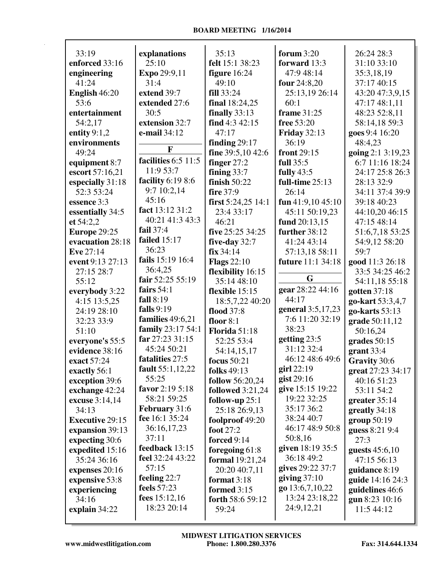| 33:19                  | explanations         | 35:13                   | forum $3:20$        | 26:24 28:3        |
|------------------------|----------------------|-------------------------|---------------------|-------------------|
| enforced 33:16         | 25:10                | felt 15:1 38:23         | forward 13:3        | 31:10 33:10       |
| engineering            | Expo 29:9,11         | figure $16:24$          | 47:9 48:14          | 35:3,18,19        |
| 41:24                  | 31:4                 | 49:10                   | four 24:8,20        | 37:17 40:15       |
| English 46:20          | extend 39:7          | fill 33:24              | 25:13,19 26:14      | 43:20 47:3,9,15   |
| 53:6                   | extended 27:6        | final 18:24,25          | 60:1                | 47:17 48:1,11     |
| entertainment          | 30:5                 | finally $33:13$         | <b>frame</b> 31:25  | 48:23 52:8,11     |
| 54:2,17                | extension 32:7       | find 4:3 42:15          | free 53:20          | 58:14,18 59:3     |
| entity $9:1,2$         | e-mail 34:12         | 47:17                   | <b>Friday 32:13</b> | goes 9:4 16:20    |
| environments           |                      | finding $29:17$         | 36:19               | 48:4,23           |
| 49:24                  | $\mathbf F$          | fine 39:5,10 42:6       | front 29:15         | going 2:1 3:19,23 |
| equipment 8:7          | facilities 6:5 11:5  | finger $27:2$           | full 35:5           | 6:7 11:16 18:24   |
| escort 57:16,21        | 11:9 53:7            | fining $33:7$           | fully $43:5$        | 24:17 25:8 26:3   |
| especially 31:18       | facility 6:19 8:6    | finish 50:22            | full-time 25:13     | 28:13 32:9        |
| 52:3 53:24             | 9:7 10:2,14          | fire 37:9               | 26:14               | 34:11 37:4 39:9   |
| essence 3:3            | 45:16                | first $5:24,25$ 14:1    | fun $41:9,1045:10$  | 39:18 40:23       |
| essentially 34:5       | fact 13:12 31:2      | 23:4 33:17              | 45:11 50:19,23      | 44:10,20 46:15    |
| et 54:2,2              | 40:21 41:3 43:3      | 46:21                   | fund 20:13,15       | 47:15 48:14       |
| Europe 29:25           | fail 37:4            | five 25:25 34:25        | further 38:12       | 51:6,7,18 53:25   |
| evacuation 28:18       | failed $15:17$       | five-day $32:7$         | 41:24 43:14         | 54:9,12 58:20     |
| Eve 27:14              | 36:23                | fix 34:14               | 57:13,18 58:11      | 59:7              |
| event 9:13 27:13       | fails 15:19 16:4     | <b>Flags</b> 22:10      | future 11:1 34:18   | good 11:3 26:18   |
| 27:15 28:7             | 36:4,25              | flexibility 16:15       |                     | 33:5 34:25 46:2   |
| 55:12                  | fair 52:25 55:19     | 35:14 48:10             | G                   | 54:11,18 55:18    |
| everybody 3:22         | fairs $54:1$         | flexible 15:15          | gear 28:22 44:16    | gotten $37:18$    |
| 4:15 13:5,25           | fall 8:19            | 18:5,7,22 40:20         | 44:17               | go-kart 53:3,4,7  |
| 24:19 28:10            | falls 9:19           | flood 37:8              | general 3:5,17,23   | go-karts 53:13    |
| 32:23 33:9             | families 49:6,21     | floor $8:1$             | 7:6 11:20 32:19     | grade 50:11,12    |
| 51:10                  | family 23:17 54:1    | <b>Florida 51:18</b>    | 38:23               | 50:16,24          |
| everyone's 55:5        | far 27:23 31:15      | 52:25 53:4              | getting 23:5        | grades $50:15$    |
| evidence 38:16         | 45:24 50:21          | 54:14,15,17             | 31:12 32:4          | grant 33:4        |
| exact 57:24            | fatalities 27:5      | <b>focus</b> 50:21      | 46:12 48:6 49:6     | Gravity 30:6      |
| exactly 56:1           | fault 55:1,12,22     | folks 49:13             | girl 22:19          | great 27:23 34:17 |
| exception 39:6         | 55:25                | follow 56:20,24         | gist $29:16$        | 40:16 51:23       |
| exchange 42:24         | favor 2:19 5:18      | <b>followed</b> 3:21,24 | give 15:15 19:22    | 53:11 54:2        |
| excuse 3:14,14         | 58:21 59:25          | follow-up $25:1$        | 19:22 32:25         | greater $35:14$   |
| 34:13                  | <b>February</b> 31:6 | 25:18 26:9,13           | 35:17 36:2          | greatly 34:18     |
| <b>Executive 29:15</b> | fee 16:1 35:24       | foolproof 49:20         | 38:24 40:7          | group $50:19$     |
| expansion 39:13        | 36:16,17,23          | foot 27:2               | 46:17 48:9 50:8     | guess 8:21 9:4    |
| expecting 30:6         | 37:11                | forced 9:14             | 50:8,16             | 27:3              |
| expedited 15:16        | feedback 13:15       | foregoing $61:8$        | given 18:19 35:5    | guests $45:6,10$  |
| 35:24 36:16            | feel 32:24 43:22     | <b>formal</b> 19:21,24  | 36:18 49:2          | 47:15 56:13       |
| expenses 20:16         | 57:15                | 20:20 40:7,11           | gives 29:22 37:7    | guidance 8:19     |
| expensive 53:8         | feeling 22:7         | format $3:18$           | giving $37:10$      | guide 14:16 24:3  |
| experiencing           | feels 57:23          | formed 3:15             | go 13:6,7,10,22     | guidelines 46:6   |
| 34:16                  | fees $15:12,16$      | forth 58:6 59:12        | 13:24 23:18,22      | gun 8:23 10:16    |
| explain 34:22          | 18:23 20:14          | 59:24                   | 24:9,12,21          | 11:5 44:12        |
|                        |                      |                         |                     |                   |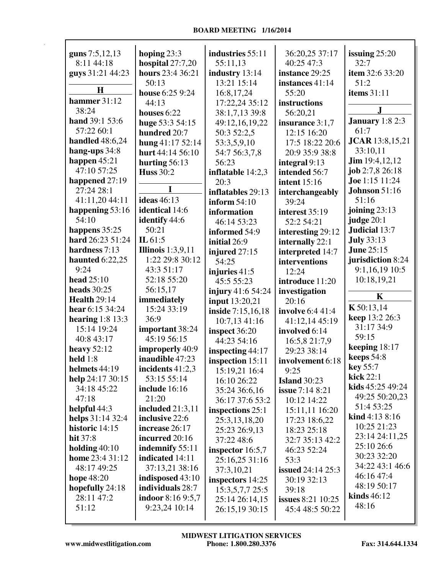| guns 7:5,12,13         | hoping $23:3$            | industries 55:11   | 36:20,25 37:17           | issuing $25:20$        |
|------------------------|--------------------------|--------------------|--------------------------|------------------------|
| 8:11 44:18             | hospital $27:7,20$       | 55:11,13           | 40:25 47:3               | 32:7                   |
| guys 31:21 44:23       | hours 23:4 36:21         | industry 13:14     | instance 29:25           | item 32:6 33:20        |
|                        | 50:13                    | 13:21 15:14        | instances 41:14          | 51:2                   |
| H                      | house 6:25 9:24          | 16:8,17,24         | 55:20                    | <b>items</b> 31:11     |
| hammer 31:12           | 44:13                    | 17:22,24 35:12     | instructions             |                        |
| 38:24                  | houses $6:22$            | 38:1,7,13 39:8     | 56:20,21                 | J                      |
| hand 39:1 53:6         | huge 53:3 54:15          | 49:12,16,19,22     | insurance 3:1,7          | <b>January</b> 1:8 2:3 |
| 57:22 60:1             | hundred 20:7             | 50:3 52:2,5        | 12:15 16:20              | 61:7                   |
| <b>handled</b> 48:6,24 | hung 41:17 52:14         | 53:3,5,9,10        | 17:5 18:22 20:6          | <b>JCAR</b> 13:8,15,21 |
| hang-ups 34:8          | hurt 44:14 56:10         | 54:7 56:3,7,8      | 20:9 35:9 38:8           | 33:10,11               |
| happen $45:21$         | hurting $56:13$          | 56:23              | integral 9:13            | <b>Jim</b> 19:4,12,12  |
| 47:10 57:25            | <b>Huss 30:2</b>         | inflatable 14:2,3  | intended 56:7            | job $2:7,8$ $26:18$    |
| happened 27:19         |                          | 20:3               | <b>intent</b> 15:16      | Joe 1:15 11:24         |
| 27:24 28:1             |                          | inflatables 29:13  | interchangeably          | <b>Johnson</b> 51:16   |
| 41:11,20 44:11         | <b>ideas</b> 46:13       | inform $54:10$     | 39:24                    | 51:16                  |
| happening 53:16        | identical 14:6           | information        | interest 35:19           | joining $23:13$        |
| 54:10                  | identify 44:6            | 46:14 53:23        | 52:2 54:21               | judge 20:1             |
| happens 35:25          | 50:21                    | informed 54:9      | interesting 29:12        | Judicial 13:7          |
| hard 26:23 51:24       | IL $61:5$                | initial 26:9       | internally 22:1          | <b>July 33:13</b>      |
| hardness 7:13          | Illinois $1:3,9,11$      | injured 27:15      | interpreted 14:7         | <b>June 25:15</b>      |
| haunted $6:22,25$      | 1:22 29:8 30:12          | 54:25              | interventions            | jurisdiction 8:24      |
| 9:24                   | 43:3 51:17               | injuries 41:5      | 12:24                    | 9:1,16,19 10:5         |
| head 25:10             | 52:18 55:20              | 45:5 55:23         | introduce 11:20          | 10:18,19,21            |
| heads $30:25$          | 56:15,17                 | injury 41:6 54:24  | investigation            |                        |
| <b>Health 29:14</b>    | immediately              | input 13:20,21     | 20:16                    | $\mathbf K$            |
| hear 6:15 34:24        | 15:24 33:19              | inside 7:15,16,18  | involve 6:4 41:4         | K 50:13,14             |
| hearing $1:8$ 13:3     | 36:9                     | 10:7,1341:16       | 41:12,14 45:19           | keep 13:2 26:3         |
| 15:14 19:24            | important 38:24          | inspect 36:20      | involved 6:14            | 31:17 34:9             |
| 40:8 43:17             | 45:19 56:15              | 44:23 54:16        | 16:5,8 21:7,9            | 59:15                  |
| heavy $52:12$          | improperly 40:9          | inspecting $44:17$ | 29:23 38:14              | keeping 18:17          |
| held $1:8$             | inaudible 47:23          | inspection 15:11   | involvement 6:18         | keeps 54:8             |
| helmets 44:19          | incidents $41:2,3$       | 15:19,21 16:4      | 9:25                     | key 55:7               |
| help 24:17 30:15       | 53:15 55:14              | 16:10 26:22        | <b>Island</b> 30:23      | kick 22:1              |
| 34:18 45:22            | include 16:16            | 35:24 36:6,16      | <b>issue</b> 7:14 8:21   | kids 45:25 49:24       |
| 47:18                  | 21:20                    | 36:17 37:6 53:2    | 10:12 14:22              | 49:25 50:20,23         |
| helpful 44:3           | <b>included</b> 21:3,11  | inspections 25:1   | 15:11,11 16:20           | 51:4 53:25             |
| helps 31:14 32:4       | inclusive 22:6           | 25:3,13,18,20      | 17:23 18:6,22            | <b>kind</b> $4:138:16$ |
| historic 14:15         | increase 26:17           | 25:23 26:9,13      | 18:23 25:18              | 10:25 21:23            |
| hit 37:8               | incurred 20:16           | 37:22 48:6         | 32:7 35:13 42:2          | 23:14 24:11,25         |
| holding $40:10$        | indemnify 55:11          | inspector $16:5,7$ | 46:23 52:24              | 25:10 26:6             |
| home 23:4 31:12        | indicated 14:11          | 25:16,25 31:16     | 53:3                     | 30:23 32:20            |
| 48:17 49:25            | 37:13,21 38:16           | 37:3,10,21         | <b>issued</b> 24:14 25:3 | 34:22 43:1 46:6        |
| hope 48:20             | indisposed 43:10         | inspectors 14:25   | 30:19 32:13              | 46:16 47:4             |
| hopefully 24:18        | individuals 28:7         | 15:3,5,7,7 25:5    | 39:18                    | 48:19 50:17            |
| 28:11 47:2             | <b>indoor</b> 8:16 9:5,7 | 25:14 26:14,15     | <b>issues</b> 8:21 10:25 | kinds $46:12$          |
| 51:12                  | 9:23,24 10:14            | 26:15,19 30:15     | 45:4 48:5 50:22          | 48:16                  |
|                        |                          |                    |                          |                        |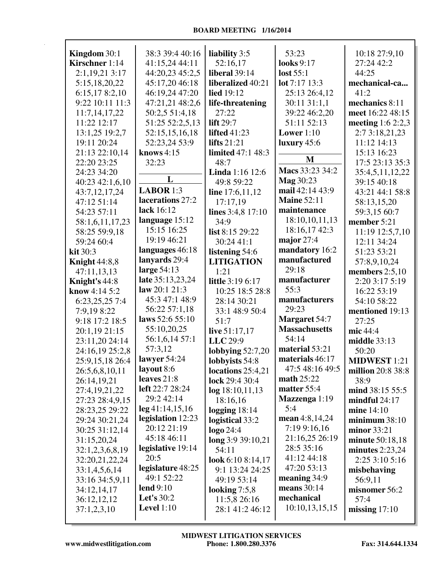| Kingdom 30:1         | 38:3 39:4 40:16    | liability 3:5            | 53:23                     | 10:18 27:9,10       |
|----------------------|--------------------|--------------------------|---------------------------|---------------------|
| Kirschner 1:14       | 41:15,24 44:11     | 52:16,17                 | looks 9:17                | 27:24 42:2          |
| 2:1,19,21 3:17       | 44:20,23 45:2,5    | liberal 39:14            | lost 55:1                 | 44:25               |
| 5:15,18,20,22        | 45:17,20 46:18     | liberalized 40:21        | $\text{lot } 7:17 \ 13:3$ | mechanical-ca       |
| 6:15,178:2,10        | 46:19,24 47:20     | <b>lied</b> 19:12        | 25:13 26:4,12             | 41:2                |
| 9:22 10:11 11:3      | 47:21,21 48:2,6    | life-threatening         | 30:11 31:1,1              | mechanics 8:11      |
| 11:7,14,17,22        | 50:2,5 51:4,18     | 27:22                    | 39:22 46:2,20             | meet 16:22 48:15    |
| 11:22 12:17          | 51:25 52:2,5,13    | <b>lift</b> 29:7         | 51:11 52:13               | meeting $1:62:2,3$  |
| 13:1,25 19:2,7       | 52:15,15,16,18     | <b>lifted</b> 41:23      | Lower $1:10$              | 2:7 3:18,21,23      |
| 19:11 20:24          | 52:23,24 53:9      | lifts $21:21$            | luxury $45:6$             | 11:12 14:13         |
| 21:13 22:10,14       | knows $4:15$       | <b>limited</b> 47:1 48:3 |                           | 15:13 16:23         |
| 22:20 23:25          | 32:23              | 48:7                     | M                         | 17:5 23:13 35:3     |
| 24:23 34:20          |                    | Linda 1:16 12:6          | Macs 33:23 34:2           | 35:4,5,11,12,22     |
| 40:23 42:1,6,10      | L                  | 49:8 59:22               | Mag 30:23                 | 39:15 40:18         |
| 43:7,12,17,24        | <b>LABOR</b> 1:3   | line $17:6,11,12$        | mail 42:14 43:9           | 43:21 44:1 58:8     |
| 47:12 51:14          | lacerations 27:2   | 17:17,19                 | <b>Maine 52:11</b>        | 58:13,15,20         |
| 54:23 57:11          | lack 16:12         | lines 3:4,8 17:10        | maintenance               | 59:3,15 60:7        |
| 58:1,6,11,17,23      | language 15:12     | 34:9                     | 18:10,10,11,13            | member 5:21         |
| 58:25 59:9,18        | 15:15 16:25        | list 8:15 29:22          | 18:16,17 42:3             | 11:19 12:5,7,10     |
| 59:24 60:4           | 19:19 46:21        | 30:24 41:1               | major $27:4$              | 12:11 34:24         |
| kit 30:3             | languages 46:18    | listening 54:6           | mandatory 16:2            | 51:23 53:21         |
| <b>Knight 44:8,8</b> | lanyards 29:4      | <b>LITIGATION</b>        | manufactured              | 57:8,9,10,24        |
| 47:11,13,13          | large $54:13$      | 1:21                     | 29:18                     | members $2:5,10$    |
| Knight's 44:8        | late 35:13,23,24   | little 3:19 6:17         | manufacturer              | 2:20 3:17 5:19      |
| know 4:14 5:2        | law $20:121:3$     | 10:25 18:5 28:8          | 55:3                      | 16:22 53:19         |
| 6:23,25,25 7:4       | 45:3 47:1 48:9     | 28:14 30:21              | manufacturers             | 54:10 58:22         |
| 7:9,19 8:22          | 56:22 57:1,18      | 33:1 48:9 50:4           | 29:23                     | mentioned 19:13     |
| 9:18 17:2 18:5       | laws 52:6 55:10    | 51:7                     | <b>Margaret</b> 54:7      | 27:25               |
| 20:1,19 21:15        | 55:10,20,25        | live 51:17,17            | <b>Massachusetts</b>      | mic 44:4            |
| 23:11,20 24:14       | 56:1,6,14 57:1     | LLC 29:9                 | 54:14                     | middle 33:13        |
| 24:16,19 25:2,8      | 57:3,12            | lobbying $52:7,20$       | material 53:21            | 50:20               |
| 25:9,15,18 26:4      | lawyer 54:24       | lobbyists 54:8           | materials 46:17           | <b>MIDWEST</b> 1:21 |
| 26:5,6,8,10,11       | layout 8:6         | locations $25:4,21$      | 47:5 48:16 49:5           | million 20:8 38:8   |
| 26:14,19,21          | leaves 21:8        | lock 29:4 30:4           | <b>math 25:22</b>         | 38:9                |
| 27:4,19,21,22        | left 22:7 28:24    | log 18:10,11,13          | matter 55:4               | mind 38:15 55:5     |
| 27:23 28:4,9,15      | 29:2 42:14         | 18:16,16                 | Mazzenga 1:19             | mindful $24:17$     |
| 28:23,25 29:22       | $\log 41:14,15,16$ | logging $18:14$          | 5:4                       | mine 14:10          |
| 29:24 30:21,24       | legislation 12:23  | logistical 33:2          | mean $4:8,14,24$          | minimum38:10        |
| 30:25 31:12,14       | 20:12 21:19        | logo 24:4                | 7:19 9:16,16              | minor 33:21         |
| 31:15,20,24          | 45:18 46:11        | long 3:9 39:10,21        | 21:16,25 26:19            | minute 50:18,18     |
| 32:1,2,3,6,8,19      | legislative 19:14  | 54:11                    | 28:5 35:16                | minutes $2:23,24$   |
| 32:20,21,22,24       | 20:5               | look 6:10 8:14,17        | 41:12 44:18               | 2:25 3:10 5:16      |
| 33:1,4,5,6,14        | legislature 48:25  | 9:1 13:24 24:25          | 47:20 53:13               | misbehaving         |
| 33:16 34:5,9,11      | 49:1 52:22         | 49:19 53:14              | meaning 34:9              | 56:9,11             |
| 34:12,14,17          | lend $9:10$        | looking $7:5,8$          | means 30:14               | misnomer 56:2       |
| 36:12,12,12          | Let's 30:2         | 11:5,8 26:16             | mechanical                | 57:4                |
| 37:1,2,3,10          | <b>Level</b> 1:10  | 28:1 41:2 46:12          | 10:10,13,15,15            | missing $17:10$     |
|                      |                    |                          |                           |                     |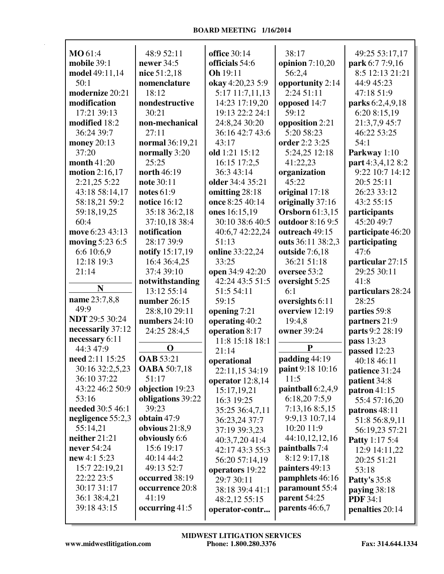| MO 61:4               | 48:9 52:11          | <b>office</b> 30:14 | 38:17                  | 49:25 53:17,17        |
|-----------------------|---------------------|---------------------|------------------------|-----------------------|
| mobile 39:1           | newer 34:5          | officials 54:6      | opinion $7:10,20$      | park 6:7 7:9,16       |
| model 49:11,14        | nice 51:2,18        | Oh 19:11            | 56:2,4                 | 8:5 12:13 21:21       |
| 50:1                  | nomenclature        | okay 4:20,23 5:9    | opportunity 2:14       | 44:9 45:23            |
| modernize 20:21       | 18:12               | 5:17 11:7,11,13     | 2:24 51:11             | 47:18 51:9            |
| modification          | nondestructive      | 14:23 17:19,20      | opposed 14:7           | parks 6:2,4,9,18      |
| 17:21 39:13           | 30:21               | 19:13 22:2 24:1     | 59:12                  | 6:20 8:15,19          |
| modified 18:2         | non-mechanical      | 24:8,24 30:20       | opposition 2:21        | 21:3,7,9 45:7         |
| 36:24 39:7            | 27:11               | 36:16 42:7 43:6     | 5:20 58:23             | 46:22 53:25           |
| money 20:13           | normal 36:19,21     | 43:17               | order 2:2 3:25         | 54:1                  |
| 37:20                 | normally 3:20       | old 1:21 15:12      | 5:24,25 12:18          | Parkway 1:10          |
| month 41:20           | 25:25               | 16:15 17:2,5        | 41:22,23               | part 4:3,4,12 8:2     |
| motion 2:16,17        | north 46:19         | 36:3 43:14          | organization           | 9:22 10:7 14:12       |
| 2:21,25 5:22          | note 30:11          | older 34:4 35:21    | 45:22                  | 20:5 25:11            |
| 43:18 58:14,17        | notes $61:9$        | omitting 28:18      | original 17:18         | 26:23 33:12           |
| 58:18,21 59:2         | notice 16:12        | once 8:25 40:14     | originally 37:16       | 43:2 55:15            |
| 59:18,19,25           | 35:18 36:2,18       | ones 16:15,19       | <b>Orsborn</b> 61:3,15 | participants          |
| 60:4                  | 37:10,18 38:4       | 30:10 38:6 40:5     | outdoor 8:16 9:5       | 45:20 49:7            |
| move 6:23 43:13       | notification        | 40:6,7 42:22,24     | outreach 49:15         | participate 46:20     |
| moving 5:23 6:5       | 28:17 39:9          | 51:13               | outs 36:11 38:2,3      | participating         |
| 6:6 10:6,9            | notify 15:17,19     | online 33:22,24     | outside 7:6,18         | 47:6                  |
| 12:18 19:3            | 16:4 36:4,25        | 33:25               | 36:21 51:18            | particular 27:15      |
| 21:14                 | 37:4 39:10          | open 34:9 42:20     | oversee 53:2           | 29:25 30:11           |
|                       | notwithstanding     | 42:24 43:5 51:5     | oversight 5:25         | 41:8                  |
| N                     | 13:12 55:14         | 51:5 54:11          | 6:1                    | particulars 28:24     |
| name 23:7,8,8         | number 26:15        | 59:15               | oversights 6:11        | 28:25                 |
| 49:9                  | 28:8,10 29:11       | opening 7:21        | overview 12:19         | parties 59:8          |
| <b>NDT</b> 29:5 30:24 | numbers 24:10       | operating 40:2      | 19:4,8                 | partners 21:9         |
| necessarily 37:12     | 24:25 28:4,5        | operation 8:17      | owner 39:24            | parts 9:2 28:19       |
| necessary 6:11        |                     | 11:8 15:18 18:1     |                        | pass 13:23            |
| 44:3 47:9             | $\mathbf 0$         | 21:14               | P                      | passed 12:23          |
| need 2:11 15:25       | <b>OAB</b> 53:21    | operational         | padding 44:19          | 40:18 46:11           |
| 30:16 32:2,5,23       | <b>OABA</b> 50:7,18 | 22:11,15 34:19      | paint 9:18 10:16       | patience 31:24        |
| 36:10 37:22           | 51:17               | operator 12:8,14    | 11:5                   | patient 34:8          |
| 43:22 46:2 50:9       | objection 19:23     | 15:17,19,21         | paintball 6:2,4,9      | patron $41:15$        |
| 53:16                 | obligations 39:22   | 16:3 19:25          | 6:18,207:5,9           | 55:4 57:16,20         |
| needed 30:5 46:1      | 39:23               | 35:25 36:4,7,11     | 7:13,16 8:5,15         | patrons 48:11         |
| negligence 55:2,3     | obtain 47:9         | 36:23,24 37:7       | 9:9,13 10:7,14         | 51:8 56:8,9,11        |
| 55:14,21              | obvious $21:8,9$    | 37:19 39:3,23       | 10:20 11:9             | 56:19,23 57:21        |
| neither 21:21         | obviously 6:6       | 40:3,7,20 41:4      | 44:10,12,12,16         | <b>Patty</b> 1:17 5:4 |
| never 54:24           | 15:6 19:17          | 42:17 43:3 55:3     | paintballs 7:4         | 12:9 14:11,22         |
| new 4:1 5:23          | 40:14 44:2          | 56:20 57:14,19      | 8:12 9:17,18           | 20:25 51:21           |
| 15:7 22:19,21         | 49:13 52:7          | operators 19:22     | painters 49:13         | 53:18                 |
| 22:22 23:5            | occurred 38:19      | 29:7 30:11          | pamphlets 46:16        | <b>Patty's 35:8</b>   |
| 30:17 31:17           | occurrence 20:8     | 38:18 39:4 41:1     | paramount 55:4         | paying $38:18$        |
| 36:1 38:4,21          | 41:19               | 48:2,12 55:15       | parent 54:25           | <b>PDF</b> 34:1       |
| 39:18 43:15           | occurring 41:5      | operator-contr      | parents 46:6,7         | penalties 20:14       |
|                       |                     |                     |                        |                       |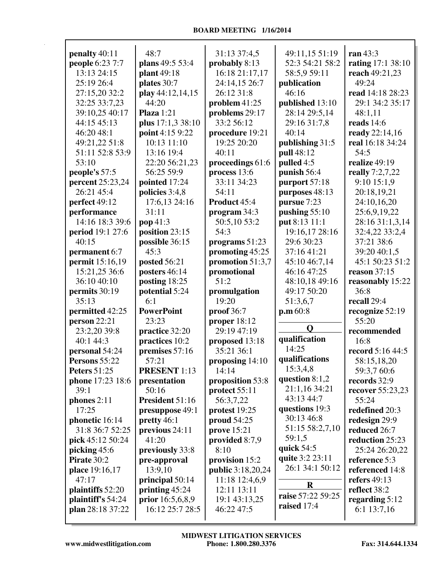|                     | 48:7                |                          |                   | ran 43:3                 |
|---------------------|---------------------|--------------------------|-------------------|--------------------------|
| penalty 40:11       |                     | 31:13 37:4,5             | 49:11,15 51:19    |                          |
| people 6:23 7:7     | plans 49:5 53:4     | probably 8:13            | 52:3 54:21 58:2   | <b>rating</b> 17:1 38:10 |
| 13:13 24:15         | plant 49:18         | 16:18 21:17,17           | 58:5,9 59:11      | reach 49:21,23           |
| 25:19 26:4          | plates 30:7         | 24:14,15 26:7            | publication       | 49:24                    |
| 27:15,20 32:2       | play 44:12,14,15    | 26:12 31:8               | 46:16             | read 14:18 28:23         |
| 32:25 33:7,23       | 44:20               | problem $41:25$          | published 13:10   | 29:1 34:2 35:17          |
| 39:10,25 40:17      | Plaza $1:21$        | problems 29:17           | 28:14 29:5,14     | 48:1,11                  |
| 44:15 45:13         | plus 17:1,3 38:10   | 33:2 56:12               | 29:16 31:7,8      | reads 14:6               |
| 46:20 48:1          | point 4:15 9:22     | procedure 19:21          | 40:14             | ready 22:14,16           |
| 49:21,22 51:8       | 10:13 11:10         | 19:25 20:20              | publishing 31:5   | real 16:18 34:24         |
| 51:11 52:8 53:9     | 13:16 19:4          | 40:11                    | pull 48:12        | 54:5                     |
| 53:10               | 22:20 56:21,23      | proceedings 61:6         | pulled 4:5        | realize 49:19            |
| people's 57:5       | 56:25 59:9          | process 13:6             | punish 56:4       | really 7:2,7,22          |
| percent 25:23,24    | pointed 17:24       | 33:11 34:23              | purport 57:18     | $9:10$ 15:1,9            |
| 26:21 45:4          | policies 3:4,8      | 54:11                    | purposes 48:13    | 20:18,19,21              |
| perfect 49:12       | 17:6,13 24:16       | Product 45:4             | pursue 7:23       | 24:10,16,20              |
| performance         | 31:11               | program 34:3             | pushing $55:10$   | 25:6,9,19,22             |
| 14:16 18:3 39:6     | pop41:3             | 50:5,10 53:2             | put 8:13 11:1     | 28:16 31:1,3,14          |
| period 19:1 27:6    | position $23:15$    | 54:3                     | 19:16,17 28:16    | 32:4,22 33:2,4           |
| 40:15               | possible 36:15      |                          | 29:6 30:23        | 37:21 38:6               |
|                     |                     | programs $51:23$         |                   |                          |
| permanent 6:7       | 45:3                | promoting 45:25          | 37:16 41:21       | 39:20 40:1.5             |
| permit 15:16,19     | posted 56:21        | promotion 51:3,7         | 45:10 46:7,14     | 45:1 50:23 51:2          |
| 15:21,25 36:6       | posters 46:14       | promotional              | 46:16 47:25       | reason 37:15             |
| 36:10 40:10         | posting 18:25       | 51:2                     | 48:10,18 49:16    | reasonably 15:22         |
| permits 30:19       | potential 5:24      | promulgation             | 49:17 50:20       | 36:8                     |
| 35:13               | 6:1                 | 19:20                    | 51:3,6,7          | recall 29:4              |
| permitted 42:25     | <b>PowerPoint</b>   | proof 36:7               | p.m.60:8          | recognize 52:19          |
| person 22:21        | 23:23               | proper $18:12$           |                   | 55:20                    |
| 23:2,20 39:8        | practice 32:20      | 29:19 47:19              | Q                 | recommended              |
| 40:1 44:3           | practices 10:2      | proposed 13:18           | qualification     | 16:8                     |
| personal 54:24      | premises 57:16      | 35:21 36:1               | 14:25             | record 5:16 44:5         |
| Persons 55:22       | 57:21               | proposing 14:10          | qualifications    | 58:15,18,20              |
| <b>Peters 51:25</b> | <b>PRESENT</b> 1:13 | 14:14                    | 15:3,4,8          | 59:3,7 60:6              |
| phone 17:23 18:6    | presentation        | proposition 53:8         | question $8:1,2$  | records 32:9             |
| 39:1                | 50:16               | protect 55:11            | 21:1,16 34:21     | recover 55:23,23         |
| phones $2:11$       | President 51:16     | 56:3,7,22                | 43:13 44:7        | 55:24                    |
| 17:25               | presuppose 49:1     | protest 19:25            | questions 19:3    | redefined 20:3           |
| phonetic 16:14      | pretty 46:1         | proud $54:25$            | 30:13 46:8        | redesign 29:9            |
| 31:8 36:7 52:25     | previous 24:11      | prove 15:21              | 51:15 58:2,7,10   | reduced 26:7             |
| pick 45:12 50:24    | 41:20               | provided 8:7,9           | 59:1,5            | reduction 25:23          |
| picking 45:6        | previously 33:8     | 8:10                     | quick $54:5$      | 25:24 26:20,22           |
| Pirate 30:2         | pre-approval        | provision 15:2           | quite 3:2 23:11   | reference 5:3            |
| place 19:16,17      | 13:9,10             | <b>public</b> 3:18,20,24 | 26:1 34:1 50:12   | referenced 14:8          |
| 47:17               | principal 50:14     | 11:18 12:4,6,9           |                   | refers 49:13             |
|                     |                     | 12:11 13:11              | $\bf{R}$          | reflect 38:2             |
| plaintiffs 52:20    | printing $45:24$    |                          | raise 57:22 59:25 |                          |
| plaintiff's 54:24   | prior 16:5,6,8,9    | 19:1 43:13,25            | raised 17:4       | regarding $5:12$         |
| plan 28:18 37:22    | 16:12 25:7 28:5     | 46:22 47:5               |                   | 6:1 13:7,16              |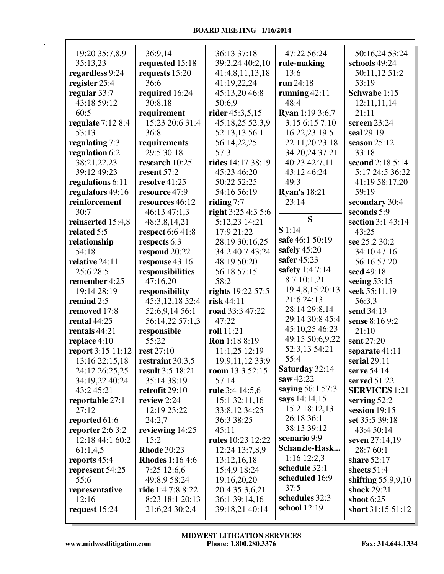| 19:20 35:7,8,9              | 36:9,14                        | 36:13 37:18                     | 47:22 56:24                            | 50:16,24 53:24                  |
|-----------------------------|--------------------------------|---------------------------------|----------------------------------------|---------------------------------|
| 35:13,23                    | requested 15:18                | 39:2,24 40:2,10                 | rule-making                            | schools 49:24                   |
| regardless 9:24             | requests 15:20                 | 41:4,8,11,13,18                 | 13:6                                   | 50:11,12 51:2                   |
| register 25:4               | 36:6                           | 41:19,22,24                     | run 24:18                              | 53:19                           |
| regular 33:7                | required 16:24                 | 45:13,20 46:8                   | running $42:11$                        | Schwabe 1:15                    |
| 43:18 59:12                 | 30:8,18                        | 50:6,9                          | 48:4                                   | 12:11,11,14                     |
| 60:5                        | requirement<br>15:23 20:6 31:4 | rider 45:3,5,15                 | <b>Ryan</b> 1:19 3:6,7<br>3:156:157:10 | 21:11                           |
| regulate $7:128:4$<br>53:13 |                                | 45:18,25 52:3,9                 |                                        | screen 23:24<br>seal 29:19      |
| regulating 7:3              | 36:8                           | 52:13,13 56:1                   | 16:22,23 19:5<br>22:11,20 23:18        | season $25:12$                  |
| regulation 6:2              | requirements<br>29:5 30:18     | 56:14,22,25<br>57:3             | 34:20,24 37:21                         | 33:18                           |
| 38:21,22,23                 | research 10:25                 | rides 14:17 38:19               | 40:23 42:7,11                          | second 2:18 5:14                |
| 39:12 49:23                 | resent 57:2                    | 45:23 46:20                     | 43:12 46:24                            | 5:17 24:5 36:22                 |
| regulations 6:11            | resolve 41:25                  | 50:22 52:25                     | 49:3                                   | 41:19 58:17,20                  |
| regulators 49:16            | resource 47:9                  | 54:16 56:19                     | <b>Ryan's 18:21</b>                    | 59:19                           |
| reinforcement               | resources 46:12                | riding $7:7$                    | 23:14                                  | secondary 30:4                  |
| 30:7                        | 46:13 47:1,3                   | right $3:254:35:6$              |                                        | seconds 5:9                     |
| reinserted 15:4,8           | 48:3,8,14,21                   | 5:12,23 14:21                   | S                                      | section 3:1 43:14               |
| related 5:5                 | respect 6:6 41:8               | 17:9 21:22                      | S1:14                                  | 43:25                           |
| relationship                | respects 6:3                   | 28:19 30:16,25                  | safe 46:1 50:19                        | see 25:2 30:2                   |
| 54:18                       | respond 20:22                  | 34:2 40:7 43:24                 | safely 45:20                           | 34:10 47:16                     |
| relative 24:11              | response 43:16                 | 48:19 50:20                     | safer 45:23                            | 56:16 57:20                     |
| 25:6 28:5                   | responsibilities               | 56:18 57:15                     | safety 1:4 7:14                        | seed 49:18                      |
| remember 4:25               | 47:16,20                       | 58:2                            | 8:7 10:1,21                            | seeing $53:15$                  |
| 19:14 28:19                 | responsibility                 | rights 19:22 57:5               | 19:4,8,15 20:13                        | seek 55:11,19                   |
| remind 2:5                  | 45:3,12,18 52:4                | risk 44:11                      | 21:6 24:13                             | 56:3,3                          |
| removed 17:8                | 52:6,9,14 56:1                 | road 33:3 47:22                 | 28:14 29:8,14                          | send 34:13                      |
| rental $44:25$              | 56:14,22 57:1,3                | 47:22                           | 29:14 30:8 45:4                        | sense 8:16 9:2                  |
| rentals 44:21               | responsible                    | roll 11:21                      | 45:10,25 46:23                         | 21:10                           |
| replace 4:10                | 55:22                          | Ron 1:18 8:19                   | 49:15 50:6,9,22                        | sent 27:20                      |
| report 3:15 11:12           | rest 27:10                     | 11:1,25 12:19                   | 52:3,13 54:21                          | separate 41:11                  |
| 13:16 22:15,18              | restraint $30:3,5$             | 19:9,11,12 33:9                 | 55:4                                   | serial $29:11$                  |
| 24:12 26:25,25              | <b>result</b> 3:5 18:21        | room 13:3 52:15                 | Saturday 32:14                         | serve 54:14                     |
| 34:19,22 40:24              | 35:14 38:19                    | 57:14                           | saw 42:22                              | served 51:22                    |
| 43:245:21                   | retrofit $29:10$               | rule 3:4 14:5,6                 | saying 56:1 57:3                       | <b>SERVICES</b> 1:21            |
| reportable 27:1             | review 2:24                    | 15:1 32:11,16                   | says 14:14,15                          | serving $52:2$                  |
| 27:12                       | 12:19 23:22                    | 33:8,12 34:25                   | 15:2 18:12,13                          | session 19:15                   |
| reported 61:6               | 24:2,7                         | 36:3 38:25                      | 26:18 36:1                             | set 35:5 39:18                  |
| reporter 2:6 3:2            | reviewing 14:25                | 45:11                           | 38:13 39:12                            | 43:4 50:14                      |
| 12:18 44:1 60:2             | 15:2                           | rules 10:23 12:22               | scenario 9:9                           | seven 27:14,19                  |
| 61:1,4,5                    | <b>Rhode</b> 30:23             | 12:24 13:7,8,9                  | Schanzle-Hask<br>$1:16$ 12:2,3         | 28:7 60:1                       |
| reports 45:4                | <b>Rhodes</b> 1:16 4:6         | 13:12,16,18                     | schedule 32:1                          | share 52:17                     |
| represent 54:25             | 7:25 12:6,6                    | 15:4,9 18:24                    | scheduled 16:9                         | sheets $51:4$                   |
| 55:6                        | 49:8,9 58:24                   | 19:16,20,20                     | 37:5                                   | shifting $55:9,9,10$            |
| representative              | ride 1:4 7:8 8:22              | 20:4 35:3,6,21                  | schedules 32:3                         | shock 29:21                     |
| 12:16                       | 8:23 18:1 20:13                | 36:1 39:14,16<br>39:18,21 40:14 | school 12:19                           | shoot 6:25<br>short 31:15 51:12 |
| request $15:24$             | 21:6,24 30:2,4                 |                                 |                                        |                                 |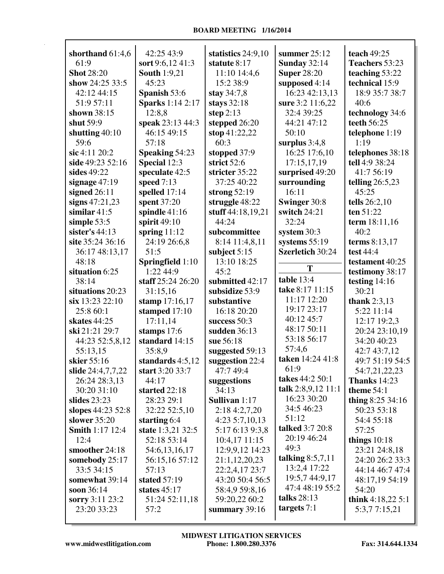| shorthand 61:4,6       | 42:25 43:9              | statistics $24:9,10$ | summer $25:12$      | teach 49:25         |
|------------------------|-------------------------|----------------------|---------------------|---------------------|
| 61:9                   | sort 9:6,12 41:3        | statute 8:17         | <b>Sunday 32:14</b> | Teachers 53:23      |
| <b>Shot 28:20</b>      | <b>South 1:9,21</b>     | 11:10 14:4,6         | <b>Super 28:20</b>  | teaching 53:22      |
| show 24:25 33:5        | 45:23                   | 15:2 38:9            | supposed 4:14       | technical 15:9      |
| 42:12 44:15            | Spanish 53:6            | stay 34:7,8          | 16:23 42:13,13      | 18:9 35:7 38:7      |
| 51:9 57:11             | <b>Sparks</b> 1:14 2:17 | stays $32:18$        | sure 3:2 11:6,22    | 40:6                |
| shown 38:15            | 12:8,8                  | step $2:13$          | 32:4 39:25          | technology 34:6     |
| shut 59:9              | speak 23:13 44:3        | stepped 26:20        | 44:21 47:12         | teeth 56:25         |
| shutting $40:10$       | 46:15 49:15             | stop 41:22,22        | 50:10               | telephone 1:19      |
| 59:6                   | 57:18                   | 60:3                 | surplus $3:4,8$     | 1:19                |
| sic 4:11 20:2          | Speaking 54:23          | stopped 37:9         | 16:25 17:6,10       | telephones 38:18    |
| side 49:23 52:16       | Special 12:3            | strict 52:6          | 17:15,17,19         | tell 4:9 38:24      |
| sides 49:22            | speculate 42:5          | stricter 35:22       | surprised 49:20     | 41:7 56:19          |
| signage $47:19$        | speed $7:13$            | 37:25 40:22          | surrounding         | telling $26:5,23$   |
| signed $26:11$         | spelled 17:14           | strong $52:19$       | 16:11               | 45:25               |
| signs $47:21,23$       | spent 37:20             | struggle 48:22       | Swinger 30:8        | tells 26:2,10       |
| similar $41:5$         | spindle 41:16           | stuff 44:18,19,21    | switch 24:21        | ten 51:22           |
| simple 53:5            | spirit $49:10$          | 44:24                | 32:24               | term 18:11,16       |
| sister's $44:13$       | spring $11:12$          | subcommittee         | system $30:3$       | 40:2                |
| site 35:24 36:16       | 24:19 26:6,8            | 8:14 11:4,8,11       | systems $55:19$     | terms 8:13,17       |
| 36:17 48:13,17         | 51:5                    | subject $5:15$       | Szerletich 30:24    | test 44:4           |
| 48:18                  | <b>Springfield</b> 1:10 | 13:10 18:25          |                     | testament 40:25     |
| situation 6:25         | 1:22 44:9               | 45:2                 | T                   | testimony 38:17     |
| 38:14                  | staff 25:24 26:20       | submitted 42:17      | table 13:4          | testing $14:16$     |
| situations 20:23       | 31:15,16                | subsidize 53:9       | take 8:17 11:15     | 30:21               |
| six 13:23 22:10        | stamp 17:16,17          | substantive          | 11:17 12:20         | thank $2:3,13$      |
| 25:8 60:1              | stamped 17:10           | 16:18 20:20          | 19:17 23:17         | 5:22 11:14          |
| skates 44:25           | 17:11,14                | success $50:3$       | 40:12 45:7          | 12:17 19:2,3        |
| ski 21:21 29:7         | stamps 17:6             | sudden 36:13         | 48:17 50:11         | 20:24 23:10,19      |
| 44:23 52:5,8,12        | standard 14:15          | sue 56:18            | 53:18 56:17         | 34:20 40:23         |
| 55:13,15               | 35:8,9                  | suggested 59:13      | 57:4,6              | 42:7 43:7,12        |
| skier 55:16            | standards 4:5,12        | suggestion 22:4      | taken 14:24 41:8    | 49:7 51:19 54:5     |
| slide 24:4,7,7,22      | start 3:20 33:7         | 47:7 49:4            | 61:9                | 54:7,21,22,23       |
| 26:24 28:3,13          | 44:17                   | suggestions          | takes 44:2 50:1     | <b>Thanks</b> 14:23 |
| 30:20 31:10            | started 22:18           | 34:13                | talk 2:8,9,12 11:1  | theme 54:1          |
| slides $23:23$         | 28:23 29:1              | Sullivan 1:17        | 16:23 30:20         | thing $8:25\,34:16$ |
| slopes 44:23 52:8      | 32:22 52:5,10           | 2:18 4:2,7,20        | 34:5 46:23          | 50:23 53:18         |
| slower 35:20           | starting 6:4            | $4:23\;5:7,10,13$    | 51:12               | 54:4 55:18          |
| <b>Smith 1:17 12:4</b> | state 1:3,21 32:5       | 5:17 6:13 9:3,8      | talked 3:7 20:8     | 57:25               |
| 12:4                   | 52:18 53:14             | 10:4,17 11:15        | 20:19 46:24         | things $10:18$      |
| smoother 24:18         | 54:6,13,16,17           | 12:9,9,12 14:23      | 49:3                | 23:21 24:8,18       |
| somebody 25:17         | 56:15,16 57:12          | 21:1,12,20,23        | talking $8:5,7,11$  | 24:20 26:2 33:3     |
| 33:5 34:15             | 57:13                   | 22:2,4,17 23:7       | 13:2,4 17:22        | 44:14 46:7 47:4     |
| somewhat 39:14         | stated 57:19            | 43:20 50:4 56:5      | 19:5,7 44:9,17      | 48:17,19 54:19      |
| soon 36:14             | states $45:17$          | 58:4,9 59:8,16       | 47:4 48:19 55:2     | 54:20               |
| sorry 3:11 23:2        | 51:24 52:11,18          | 59:20,22 60:2        | talks $28:13$       | think $4:18,225:1$  |
| 23:20 33:23            | 57:2                    | summary 39:16        | targets $7:1$       | 5:3,77:15,21        |
|                        |                         |                      |                     |                     |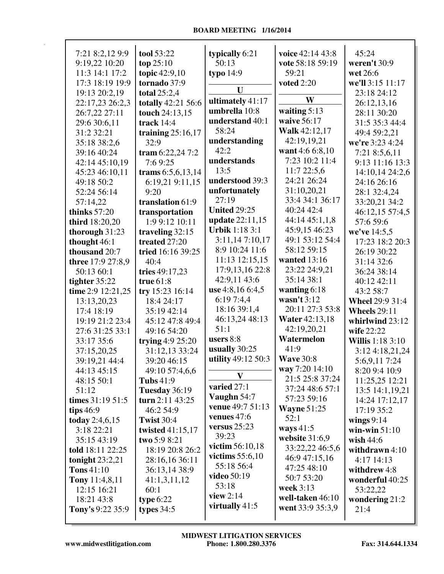| 7:21 8:2,12 9:9   | tool 53:22          | typically 6:21          | voice 42:14 43:8      | 45:24                   |
|-------------------|---------------------|-------------------------|-----------------------|-------------------------|
| 9:19,22 10:20     | top $25:10$         | 50:13                   | vote 58:18 59:19      | weren't 30:9            |
| 11:3 14:1 17:2    | topic 42:9,10       | typo $14:9$             | 59:21                 | wet 26:6                |
| 17:3 18:19 19:9   | tornado 37:9        |                         | <b>voted 2:20</b>     | we'll 3:15 11:17        |
| 19:13 20:2,19     | total 25:2,4        | U                       |                       | 23:18 24:12             |
| 22:17,23 26:2,3   | totally 42:21 56:6  | ultimately 41:17        | W                     | 26:12,13,16             |
| 26:7,22 27:11     | touch 24:13,15      | umbrella 10:8           | waiting $5:13$        | 28:11 30:20             |
| 29:6 30:6,11      | track $14:4$        | understand 40:1         | waive 56:17           | 31:5 35:3 44:4          |
| 31:2 32:21        | training $25:16,17$ | 58:24                   | Walk 42:12,17         | 49:4 59:2.21            |
| 35:18 38:2,6      | 32:9                | understanding           | 42:19,19,21           | we're 3:23 4:24         |
| 39:16 40:24       | tram $6:22,247:2$   | 42:2                    | want 4:6 6:8,10       | 7:21 8:5,6,11           |
| 42:14 45:10,19    | 7:69:25             | understands             | 7:23 10:2 11:4        | 9:13 11:16 13:3         |
| 45:23 46:10,11    | trams 6:5,6,13,14   | 13:5                    | 11:722:5,6            | 14:10,14 24:2,6         |
| 49:18 50:2        | 6:19,21 9:11,15     | understood 39:3         | 24:21 26:24           | 24:16 26:16             |
| 52:24 56:14       | 9:20                | unfortunately           | 31:10,20,21           | 28:1 32:4,24            |
| 57:14,22          | translation 61:9    | 27:19                   | 33:4 34:1 36:17       | 33:20,21 34:2           |
| thinks $57:20$    | transportation      | <b>United 29:25</b>     | 40:24 42:4            | 46:12,15 57:4,5         |
| third 18:20,20    | 1:9 9:12 10:11      | update 22:11,15         | 44:14 45:1,1,8        | 57:6 59:6               |
| thorough $31:23$  | traveling 32:15     | <b>Urbik</b> 1:18 3:1   | 45:9,15 46:23         | we've 14:5,5            |
| thought 46:1      | treated 27:20       | 3:11,147:10,17          | 49:1 53:12 54:4       | 17:23 18:2 20:3         |
| thousand 20:7     | tried 16:16 39:25   | 8:9 10:24 11:6          | 58:12 59:15           | 26:19 30:22             |
| three 17:9 27:8,9 | 40:4                | 11:13 12:15,15          | wanted 13:16          | 31:14 32:6              |
| 50:13 60:1        | tries 49:17,23      | 17:9,13,16 22:8         | 23:22 24:9,21         | 36:24 38:14             |
|                   | true $61:8$         | 42:9,11 43:6            | 35:14 38:1            | 40:12 42:11             |
| tighter $35:22$   |                     | use 4:8,16 6:4,5        | wanting $6:18$        | 43:2 58:7               |
| time 2:9 12:21,25 | try 15:23 16:14     | 6:19 7:4,4              | wasn't $3:12$         |                         |
| 13:13,20,23       | 18:4 24:17          | 18:16 39:1,4            | 20:11 27:3 53:8       | <b>Wheel 29:9 31:4</b>  |
| 17:4 18:19        | 35:19 42:14         | 46:13,24 48:13          | <b>Water 42:13,18</b> | <b>Wheels</b> 29:11     |
| 19:19 21:2 23:4   | 45:12 47:8 49:4     | 51:1                    | 42:19,20,21           | whirlwind 23:12         |
| 27:6 31:25 33:1   | 49:16 54:20         | users $8:8$             | Watermelon            | wife 22:22              |
| 33:17 35:6        | trying $4:9$ 25:20  | usually $30:25$         | 41:9                  | <b>Willis</b> 1:18 3:10 |
| 37:15,20,25       | 31:12,13 33:24      | utility 49:12 50:3      | <b>Wave 30:8</b>      | 3:124:18,21,24          |
| 39:19,21 44:4     | 39:20 46:15         |                         |                       | 5:6,9,117:24            |
| 44:13 45:15       | 49:10 57:4,6,6      | $\mathbf{V}$            | way 7:20 14:10        | 8:20 9:4 10:9           |
| 48:15 50:1        | <b>Tubs</b> 41:9    | varied 27:1             | 21:5 25:8 37:24       | 11:25,25 12:21          |
| 51:12             | Tuesday 36:19       | Vaughn $54:7$           | 37:24 48:6 57:1       | 13:5 14:1,19,21         |
| times $31:1951:5$ | turn 2:11 43:25     | <b>venue</b> 49:7 51:13 | 57:23 59:16           | 14:24 17:12,17          |
| tips $46:9$       | 46:2 54:9           | venues $47:6$           | <b>Wayne</b> $51:25$  | 17:19 35:2              |
| today $2:4,6,15$  | <b>Twist 30:4</b>   |                         | 52:1                  | wings $9:14$            |
| 3:18 22:21        | twisted 41:15,17    | versus $25:23$          | ways $41:5$           | win-win $51:10$         |
| 35:15 43:19       | two 5:9 8:21        | 39:23                   | website $31:6,9$      | wish $44:6$             |
| told 18:11 22:25  | 18:19 20:8 26:2     | victim $56:10,18$       | 33:22,22 46:5,6       | withdrawn $4:10$        |
| tonight $23:2,21$ | 28:16,16 36:11      | victims $55:6,10$       | 46:9 47:15,16         | 4:17 14:13              |
| $T$ ons 41:10     | 36:13,14 38:9       | 55:18 56:4              | 47:25 48:10           | withdrew 4:8            |
| Tony 11:4,8,11    | 41:1,3,11,12        | <b>video</b> 50:19      | 50:7 53:20            | wonderful 40:25         |
| 12:15 16:21       | 60:1                | 53:18                   | week 3:13             | 53:22,22                |
| 18:21 43:8        | type $6:22$         | view $2:14$             | well-taken 46:10      | wondering $21:2$        |
| Tony's 9:22 35:9  | types $34:5$        | virtually $41:5$        | went 33:9 35:3,9      | 21:4                    |
|                   |                     |                         |                       |                         |

 $\mathsf T$